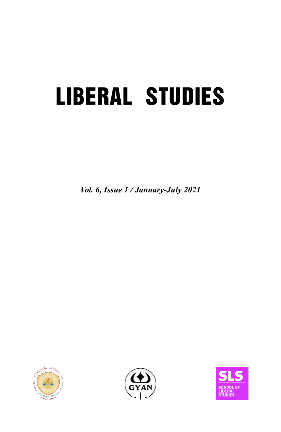# **LIBERAL STUDIES**

*Vol. 6, Issue 1 / January-July 2021*





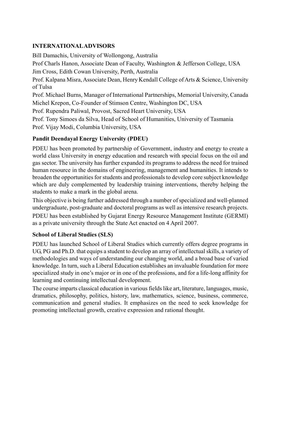### **INTERNATIONAL ADVISORS**

Bill Damachis, University of Wollongong, Australia Prof Charls Hanon, Associate Dean of Faculty, Washington & Jefferson College, USA Jim Cross, Edith Cowan University, Perth, Australia Prof. Kalpana Misra, Associate Dean, Henry Kendall College of Arts & Science, University of Tulsa Prof. Michael Burns, Manager of International Partnerships, Memorial University, Canada Michel Krepon, Co-Founder of Stimson Centre, Washington DC, USA Prof. Rupendra Paliwal, Provost, Sacred Heart University, USA Prof. Tony Simoes da Silva, Head of School of Humanities, University of Tasmania

Prof. Vijay Modi, Columbia University, USA

### **Pandit Deendayal Energy University (PDEU)**

PDEU has been promoted by partnership of Government, industry and energy to create a world class University in energy education and research with special focus on the oil and gas sector. The university has further expanded its programs to address the need for trained human resource in the domains of engineering, management and humanities. It intends to broaden the opportunities for students and professionals to develop core subject knowledge which are duly complemented by leadership training interventions, thereby helping the students to make a mark in the global arena.

This objective is being further addressed through a number of specialized and well-planned undergraduate, post-graduate and doctoral programs as well as intensive research projects. PDEU has been established by Gujarat Energy Resource Management Institute (GERMI) as a private university through the State Act enacted on 4 April 2007.

#### **School of Liberal Studies (SLS)**

PDEU has launched School of Liberal Studies which currently offers degree programs in UG, PG and Ph.D. that equips a student to develop an array of intellectual skills, a variety of methodologies and ways of understanding our changing world, and a broad base of varied knowledge. In turn, such a Liberal Education establishes an invaluable foundation for more specialized study in one's major or in one of the professions, and for a life-long affinity for learning and continuing intellectual development.

The course imparts classical education in various fields like art, literature, languages, music, dramatics, philosophy, politics, history, law, mathematics, science, business, commerce, communication and general studies. It emphasizes on the need to seek knowledge for promoting intellectual growth, creative expression and rational thought.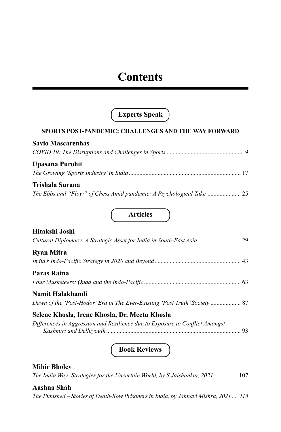### **Contents**

### **Experts Speak**

### **SPORTS POST-PANDEMIC: CHALLENGES AND THE WAY FORWARD**

| <b>Savio Mascarenhas</b>                                         |  |
|------------------------------------------------------------------|--|
|                                                                  |  |
| Upasana Purohit                                                  |  |
|                                                                  |  |
| Trishala Surana                                                  |  |
| The Ebbs and "Flow" of Chess Amid pandemic: A Psychological Take |  |

**Articles**

| Hitakshi Joshi                                                                                 |  |
|------------------------------------------------------------------------------------------------|--|
| <b>Ryan Mitra</b>                                                                              |  |
| Paras Ratna                                                                                    |  |
| Namit Halakhandi<br>Dawn of the 'Post-Hodor' Era in The Ever-Existing 'Post Truth' Society  87 |  |
| Selene Khosla, Irene Khosla, Dr. Meetu Khosla                                                  |  |
| Differences in Aggression and Resilience due to Exposure to Conflict Amongst                   |  |

**Book Reviews**

### **Mihir Bholey**

*The India Way: Strategies for the Uncertain World, by S.Jaishankar, 2021. ..............* 107

### **Aashna Shah**

*The Punished – Stories of Death-Row Prisoners in India, by Jahnavi Mishra, 2021 .... 115*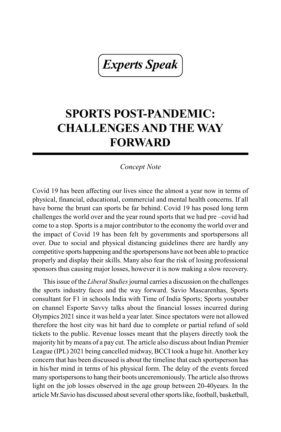*Experts Speak*

### **SPORTS POST-PANDEMIC: CHALLENGES AND THE WAY FORWARD**

### *Concept Note*

Covid 19 has been affecting our lives since the almost a year now in terms of physical, financial, educational, commercial and mental health concerns. If all have borne the brunt can sports be far behind. Covid 19 has posed long term challenges the world over and the year round sports that we had pre –covid had come to a stop. Sports is a major contributor to the economy the world over and the impact of Covid 19 has been felt by governments and sportspersons all over. Due to social and physical distancing guidelines there are hardly any competitive sports happening and the sportspersons have not been able to practice properly and display their skills. Many also fear the risk of losing professional sponsors thus causing major losses, however it is now making a slow recovery.

This issue of the *Liberal Studies* journal carries a discussion on the challenges the sports industry faces and the way forward. Savio Mascarenhas, Sports consultant for F1 in schools India with Time of India Sports; Sports youtuber on channel Esporte Savvy talks about the financial losses incurred during Olympics 2021 since it was held a year later. Since spectators were not allowed therefore the host city was hit hard due to complete or partial refund of sold tickets to the public. Revenue losses meant that the players directly took the majority hit by means of a pay cut. The article also discuss about Indian Premier League (IPL) 2021 being cancelled midway, BCCI took a huge hit. Another key concern that has been discussed is about the timeline that each sportsperson has in his/her mind in terms of his physical form. The delay of the events forced many sportspersons to hang their boots unceremoniously. The article also throws light on the job losses observed in the age group between 20-40years. In the article Mr.Savio has discussed about several other sports like, football, basketball,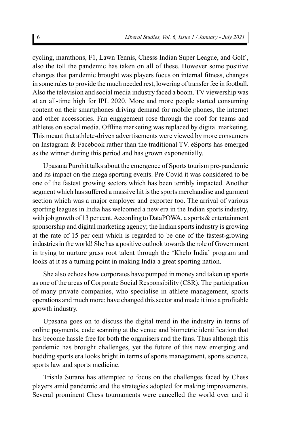cycling, marathons, F1, Lawn Tennis, Chesss Indian Super League, and Golf , also the toll the pandemic has taken on all of these. However some positive changes that pandemic brought was players focus on internal fitness, changes in some rules to provide the much needed rest, lowering of transfer fee in football. Also the television and social media industry faced a boom. TV viewership was at an all-time high for IPL 2020. More and more people started consuming content on their smartphones driving demand for mobile phones, the internet and other accessories. Fan engagement rose through the roof for teams and athletes on social media. Offline marketing was replaced by digital marketing. This meant that athlete-driven advertisements were viewed by more consumers on Instagram & Facebook rather than the traditional TV. eSports has emerged as the winner during this period and has grown exponentially.

Upasana Purohit talks about the emergence of Sports tourism pre-pandemic and its impact on the mega sporting events. Pre Covid it was considered to be one of the fastest growing sectors which has been terribly impacted. Another segment which has suffered a massive hit is the sports merchandise and garment section which was a major employer and exporter too. The arrival of various sporting leagues in India has welcomed a new era in the Indian sports industry, with job growth of 13 per cent. According to DataPOWA, a sports & entertainment sponsorship and digital marketing agency; the Indian sports industry is growing at the rate of 15 per cent which is regarded to be one of the fastest-growing industries in the world! She has a positive outlook towards the role of Government in trying to nurture grass root talent through the 'Khelo India' program and looks at it as a turning point in making India a great sporting nation.

She also echoes how corporates have pumped in money and taken up sports as one of the areas of Corporate Social Responsibility (CSR). The participation of many private companies, who specialise in athlete management, sports operations and much more; have changed this sector and made it into a profitable growth industry.

Upasana goes on to discuss the digital trend in the industry in terms of online payments, code scanning at the venue and biometric identification that has become hassle free for both the organisers and the fans. Thus although this pandemic has brought challenges, yet the future of this new emerging and budding sports era looks bright in terms of sports management, sports science, sports law and sports medicine.

Trishla Surana has attempted to focus on the challenges faced by Chess players amid pandemic and the strategies adopted for making improvements. Several prominent Chess tournaments were cancelled the world over and it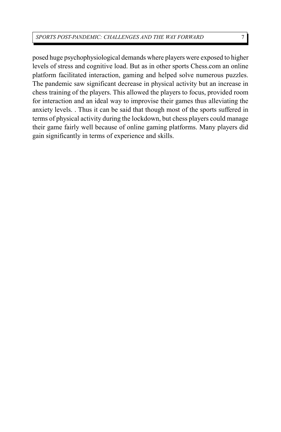posed huge psychophysiological demands where players were exposed to higher levels of stress and cognitive load. But as in other sports Chess.com an online platform facilitated interaction, gaming and helped solve numerous puzzles. The pandemic saw significant decrease in physical activity but an increase in chess training of the players. This allowed the players to focus, provided room for interaction and an ideal way to improvise their games thus alleviating the anxiety levels. . Thus it can be said that though most of the sports suffered in terms of physical activity during the lockdown, but chess players could manage their game fairly well because of online gaming platforms. Many players did gain significantly in terms of experience and skills.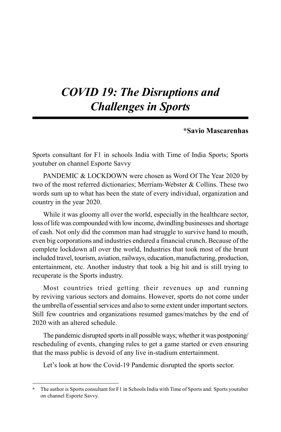### *COVID 19: The Disruptions and Challenges in Sports*

### **\*Savio Mascarenhas**

Sports consultant for F1 in schools India with Time of India Sports; Sports youtuber on channel Esporte Savvy

PANDEMIC & LOCKDOWN were chosen as Word Of The Year 2020 by two of the most referred dictionaries; Merriam-Webster & Collins. These two words sum up to what has been the state of every individual, organization and country in the year 2020.

While it was gloomy all over the world, especially in the healthcare sector, loss of life was compounded with low income, dwindling businesses and shortage of cash. Not only did the common man had struggle to survive hand to mouth, even big corporations and industries endured a financial crunch. Because of the complete lockdown all over the world, Industries that took most of the brunt included travel, tourism, aviation, railways, education, manufacturing, production, entertainment, etc. Another industry that took a big hit and is still trying to recuperate is the Sports industry.

Most countries tried getting their revenues up and running by reviving various sectors and domains. However, sports do not come under the umbrella of essential services and also to some extent under important sectors. Still few countries and organizations resumed games/matches by the end of 2020 with an altered schedule.

The pandemic disrupted sports in all possible ways; whether it was postponing/ rescheduling of events, changing rules to get a game started or even ensuring that the mass public is devoid of any live in-stadium entertainment.

Let's look at how the Covid-19 Pandemic disrupted the sports sector.

**<sup>\*</sup>** The author is Sports consultant for F1 in Schools India with Time of Sports and: Sports youtuber on channel Esporte Savvy.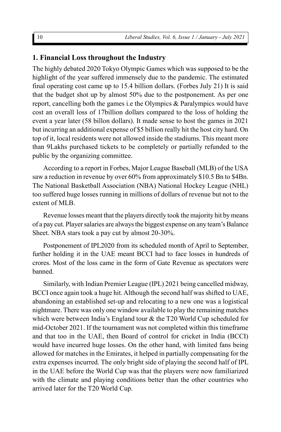### **1. Financial Loss throughout the Industry**

The highly debated 2020 Tokyo Olympic Games which was supposed to be the highlight of the year suffered immensely due to the pandemic. The estimated final operating cost came up to 15.4 billion dollars. (Forbes July 21) It is said that the budget shot up by almost 50% due to the postponement. As per one report, cancelling both the games i.e the Olympics & Paralympics would have cost an overall loss of 17billion dollars compared to the loss of holding the event a year later (58 billon dollars). It made sense to host the games in 2021 but incurring an additional expense of \$5 billion really hit the host city hard. On top of it, local residents were not allowed inside the stadiums. This meant more than 9Lakhs purchased tickets to be completely or partially refunded to the public by the organizing committee.

According to a report in Forbes, Major League Baseball (MLB) of the USA saw a reduction in revenue by over 60% from approximately \$10.5 Bn to \$4Bn. The National Basketball Association (NBA) National Hockey League (NHL) too suffered huge losses running in millions of dollars of revenue but not to the extent of MLB.

Revenue losses meant that the players directly took the majority hit by means of a pay cut. Player salaries are always the biggest expense on any team's Balance Sheet. NBA stars took a pay cut by almost 20-30%.

Postponement of IPL2020 from its scheduled month of April to September, further holding it in the UAE meant BCCI had to face losses in hundreds of crores. Most of the loss came in the form of Gate Revenue as spectators were banned.

Similarly, with Indian Premier League (IPL) 2021 being cancelled midway, BCCI once again took a huge hit. Although the second half was shifted to UAE, abandoning an established set-up and relocating to a new one was a logistical nightmare. There was only one window available to play the remaining matches which were between India's England tour & the T20 World Cup scheduled for mid-October 2021. If the tournament was not completed within this timeframe and that too in the UAE, then Board of control for cricket in India (BCCI) would have incurred huge losses. On the other hand, with limited fans being allowed for matches in the Emirates, it helped in partially compensating for the extra expenses incurred. The only bright side of playing the second half of IPL in the UAE before the World Cup was that the players were now familiarized with the climate and playing conditions better than the other countries who arrived later for the T20 World Cup.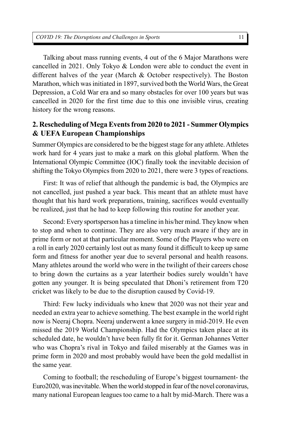Talking about mass running events, 4 out of the 6 Major Marathons were cancelled in 2021. Only Tokyo & London were able to conduct the event in different halves of the year (March  $\&$  October respectively). The Boston Marathon, which was initiated in 1897, survived both the World Wars, the Great Depression, a Cold War era and so many obstacles for over 100 years but was cancelled in 2020 for the first time due to this one invisible virus, creating history for the wrong reasons.

### **2. Rescheduling of Mega Events from 2020 to 2021 - Summer Olympics & UEFA European Championships**

Summer Olympics are considered to be the biggest stage for any athlete. Athletes work hard for 4 years just to make a mark on this global platform. When the International Olympic Committee (IOC) finally took the inevitable decision of shifting the Tokyo Olympics from 2020 to 2021, there were 3 types of reactions.

First: It was of relief that although the pandemic is bad, the Olympics are not cancelled, just pushed a year back. This meant that an athlete must have thought that his hard work preparations, training, sacrifices would eventually be realized, just that he had to keep following this routine for another year.

Second: Every sportsperson has a timeline in his/her mind. They know when to stop and when to continue. They are also very much aware if they are in prime form or not at that particular moment. Some of the Players who were on a roll in early 2020 certainly lost out as many found it difficult to keep up same form and fitness for another year due to several personal and health reasons. Many athletes around the world who were in the twilight of their careers chose to bring down the curtains as a year latertheir bodies surely wouldn't have gotten any younger. It is being speculated that Dhoni's retirement from T20 cricket was likely to be due to the disruption caused by Covid-19.

Third: Few lucky individuals who knew that 2020 was not their year and needed an extra year to achieve something. The best example in the world right now is Neeraj Chopra. Neeraj underwent a knee surgery in mid-2019. He even missed the 2019 World Championship. Had the Olympics taken place at its scheduled date, he wouldn't have been fully fit for it. German Johannes Vetter who was Chopra's rival in Tokyo and failed miserably at the Games was in prime form in 2020 and most probably would have been the gold medallist in the same year.

Coming to football; the rescheduling of Europe's biggest tournament- the Euro2020, was inevitable. When the world stopped in fear of the novel coronavirus, many national European leagues too came to a halt by mid-March. There was a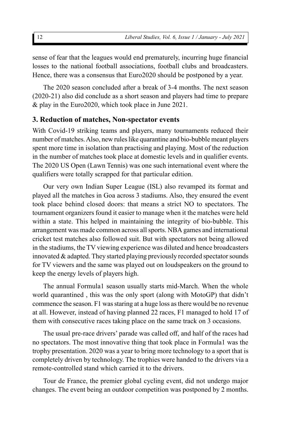sense of fear that the leagues would end prematurely, incurring huge financial losses to the national football associations, football clubs and broadcasters. Hence, there was a consensus that Euro2020 should be postponed by a year.

The 2020 season concluded after a break of 3-4 months. The next season (2020-21) also did conclude as a short season and players had time to prepare & play in the Euro2020, which took place in June 2021.

### **3. Reduction of matches, Non-spectator events**

With Covid-19 striking teams and players, many tournaments reduced their number of matches. Also, new rules like quarantine and bio-bubble meant players spent more time in isolation than practising and playing. Most of the reduction in the number of matches took place at domestic levels and in qualifier events. The 2020 US Open (Lawn Tennis) was one such international event where the qualifiers were totally scrapped for that particular edition.

Our very own Indian Super League (ISL) also revamped its format and played all the matches in Goa across 3 stadiums. Also, they ensured the event took place behind closed doors: that means a strict NO to spectators. The tournament organizers found it easier to manage when it the matches were held within a state. This helped in maintaining the integrity of bio-bubble. This arrangement was made common across all sports. NBA games and international cricket test matches also followed suit. But with spectators not being allowed in the stadiums, the TV viewing experience was diluted and hence broadcasters innovated & adapted. They started playing previously recorded spectator sounds for TV viewers and the same was played out on loudspeakers on the ground to keep the energy levels of players high.

The annual Formula1 season usually starts mid-March. When the whole world quarantined , this was the only sport (along with MotoGP) that didn't commence the season. F1 was staring at a huge loss as there would be no revenue at all. However, instead of having planned 22 races, F1 managed to hold 17 of them with consecutive races taking place on the same track on 3 occasions.

The usual pre-race drivers' parade was called off, and half of the races had no spectators. The most innovative thing that took place in Formula1 was the trophy presentation. 2020 was a year to bring more technology to a sport that is completely driven by technology. The trophies were handed to the drivers via a remote-controlled stand which carried it to the drivers.

Tour de France, the premier global cycling event, did not undergo major changes. The event being an outdoor competition was postponed by 2 months.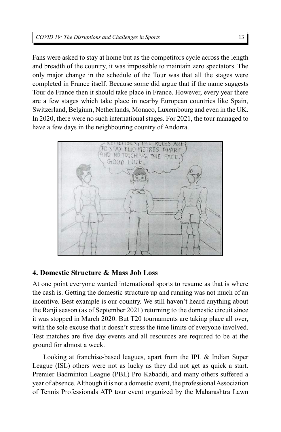#### *COVID 19: The Disruptions and Challenges in Sports*

Fans were asked to stay at home but as the competitors cycle across the length and breadth of the country, it was impossible to maintain zero spectators. The only major change in the schedule of the Tour was that all the stages were completed in France itself. Because some did argue that if the name suggests Tour de France then it should take place in France. However, every year there are a few stages which take place in nearby European countries like Spain, Switzerland, Belgium, Netherlands, Monaco, Luxembourg and even in the UK. In 2020, there were no such international stages. For 2021, the tour managed to have a few days in the neighbouring country of Andorra.



### **4. Domestic Structure & Mass Job Loss**

At one point everyone wanted international sports to resume as that is where the cash is. Getting the domestic structure up and running was not much of an incentive. Best example is our country. We still haven't heard anything about the Ranji season (as of September 2021) returning to the domestic circuit since it was stopped in March 2020. But T20 tournaments are taking place all over, with the sole excuse that it doesn't stress the time limits of everyone involved. Test matches are five day events and all resources are required to be at the ground for almost a week.

Looking at franchise-based leagues, apart from the IPL & Indian Super League (ISL) others were not as lucky as they did not get as quick a start. Premier Badminton League (PBL) Pro Kabaddi, and many others suffered a year of absence. Although it is not a domestic event, the professional Association of Tennis Professionals ATP tour event organized by the Maharashtra Lawn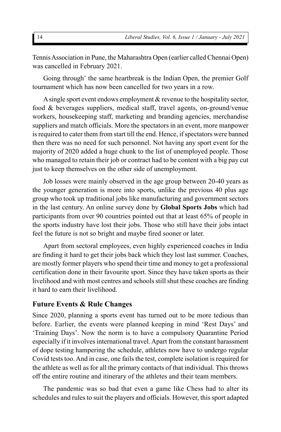Tennis Association in Pune, the Maharashtra Open (earlier called Chennai Open) was cancelled in February 2021.

Going through' the same heartbreak is the Indian Open, the premier Golf tournament which has now been cancelled for two years in a row.

A single sport event endows employment & revenue to the hospitality sector, food & beverages suppliers, medical staff, travel agents, on-ground/venue workers, housekeeping staff, marketing and branding agencies, merchandise suppliers and match officials. More the spectators in an event, more manpower is required to cater them from start till the end. Hence, if spectators were banned then there was no need for such personnel. Not having any sport event for the majority of 2020 added a huge chunk to the list of unemployed people. Those who managed to retain their job or contract had to be content with a big pay cut just to keep themselves on the other side of unemployment.

Job losses were mainly observed in the age group between 20-40 years as the younger generation is more into sports, unlike the previous 40 plus age group who took up traditional jobs like manufacturing and government sectors in the last century. An online survey done by **Global Sports Jobs** which had participants from over 90 countries pointed out that at least 65% of people in the sports industry have lost their jobs. Those who still have their jobs intact feel the future is not so bright and maybe fired sooner or later.

Apart from sectoral employees, even highly experienced coaches in India are finding it hard to get their jobs back which they lost last summer. Coaches, are mostly former players who spend their time and money to get a professional certification done in their favourite sport. Since they have taken sports as their livelihood and with most centres and schools still shut these coaches are finding it hard to earn their livelihood.

#### **Future Events & Rule Changes**

Since 2020, planning a sports event has turned out to be more tedious than before. Earlier, the events were planned keeping in mind 'Rest Days' and 'Training Days'. Now the norm is to have a compulsory Quarantine Period especially if it involves international travel. Apart from the constant harassment of dope testing hampering the schedule, athletes now have to undergo regular Covid tests too. And in case, one fails the test, complete isolation is required for the athlete as well as for all the primary contacts of that individual. This throws off the entire routine and itinerary of the athletes and their team members.

The pandemic was so bad that even a game like Chess had to alter its schedules and rules to suit the players and officials. However, this sport adapted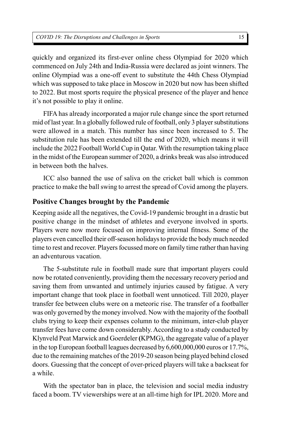quickly and organized its first-ever online chess Olympiad for 2020 which commenced on July 24th and India-Russia were declared as joint winners. The online Olympiad was a one-off event to substitute the 44th Chess Olympiad which was supposed to take place in Moscow in 2020 but now has been shifted to 2022. But most sports require the physical presence of the player and hence it's not possible to play it online.

FIFA has already incorporated a major rule change since the sport returned mid of last year. In a globally followed rule of football, only 3 player substitutions were allowed in a match. This number has since been increased to 5. The substitution rule has been extended till the end of 2020, which means it will include the 2022 Football World Cup in Qatar. With the resumption taking place in the midst of the European summer of 2020, a drinks break was also introduced in between both the halves.

ICC also banned the use of saliva on the cricket ball which is common practice to make the ball swing to arrest the spread of Covid among the players.

### **Positive Changes brought by the Pandemic**

Keeping aside all the negatives, the Covid-19 pandemic brought in a drastic but positive change in the mindset of athletes and everyone involved in sports. Players were now more focused on improving internal fitness. Some of the players even cancelled their off-season holidays to provide the body much needed time to rest and recover. Players focussed more on family time rather than having an adventurous vacation.

The 5-substitute rule in football made sure that important players could now be rotated conveniently, providing them the necessary recovery period and saving them from unwanted and untimely injuries caused by fatigue. A very important change that took place in football went unnoticed. Till 2020, player transfer fee between clubs were on a meteoric rise. The transfer of a footballer was only governed by the money involved. Now with the majority of the football clubs trying to keep their expenses column to the minimum, inter-club player transfer fees have come down considerably. According to a study conducted by Klynveld Peat Marwick and Goerdeler **(**KPMG), the aggregate value of a player in the top European football leagues decreased by 6,600,000,000 euros or 17.7%, due to the remaining matches of the 2019-20 season being played behind closed doors. Guessing that the concept of over-priced players will take a backseat for a while.

With the spectator ban in place, the television and social media industry faced a boom. TV viewerships were at an all-time high for IPL 2020. More and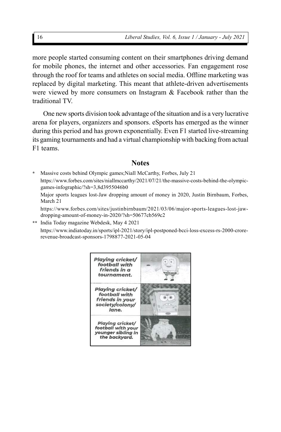more people started consuming content on their smartphones driving demand for mobile phones, the internet and other accessories. Fan engagement rose through the roof for teams and athletes on social media. Offline marketing was replaced by digital marketing. This meant that athlete-driven advertisements were viewed by more consumers on Instagram & Facebook rather than the traditional TV.

One new sports division took advantage of the situation and is a very lucrative arena for players, organizers and sponsors. eSports has emerged as the winner during this period and has grown exponentially. Even F1 started live-streaming its gaming tournaments and had a virtual championship with backing from actual F1 teams.

#### **Notes**

- **\*** Massive costs behind Olympic games;Niall McCarthy, Forbes, July 21 https://www.forbes.com/sites/niallmccarthy/2021/07/21/the-massive-costs-behind-the-olympicgames-infographic/?sh=3,8d3955046b0
	- Major sports leagues lost-Jaw dropping amount of money in 2020, Justin Birnbaum, Forbes, March 21
	- https://www.forbes.com/sites/justinbirnbaum/2021/03/06/major-sports-leagues-lost-jawdropping-amount-of-money-in-2020/?sh=50677cb569c2
- **\*\*** India Today magazine Webdesk, May 4 2021 https://www.indiatoday.in/sports/ipl-2021/story/ipl-postponed-bcci-loss-excess-rs-2000-crorerevenue-broadcast-sponsors-1798877-2021-05-04

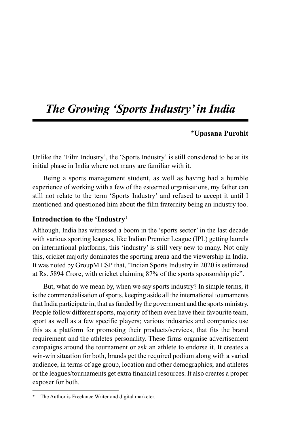### *The Growing 'Sports Industry' in India*

### **\*Upasana Purohit**

Unlike the 'Film Industry', the 'Sports Industry' is still considered to be at its initial phase in India where not many are familiar with it.

Being a sports management student, as well as having had a humble experience of working with a few of the esteemed organisations, my father can still not relate to the term 'Sports Industry' and refused to accept it until I mentioned and questioned him about the film fraternity being an industry too.

### **Introduction to the 'Industry'**

Although, India has witnessed a boom in the 'sports sector' in the last decade with various sporting leagues, like Indian Premier League (IPL) getting laurels on international platforms, this 'industry' is still very new to many. Not only this, cricket majorly dominates the sporting arena and the viewership in India. It was noted by GroupM ESP that, "Indian Sports Industry in 2020 is estimated at Rs. 5894 Crore, with cricket claiming 87% of the sports sponsorship pie".

But, what do we mean by, when we say sports industry? In simple terms, it is the commercialisation of sports, keeping aside all the international tournaments that India participate in, that as funded by the government and the sports ministry. People follow different sports, majority of them even have their favourite team, sport as well as a few specific players; various industries and companies use this as a platform for promoting their products/services, that fits the brand requirement and the athletes personality. These firms organise advertisement campaigns around the tournament or ask an athlete to endorse it. It creates a win-win situation for both, brands get the required podium along with a varied audience, in terms of age group, location and other demographics; and athletes or the leagues/tournaments get extra financial resources. It also creates a proper exposer for both.

**<sup>\*</sup>** The Author is Freelance Writer and digital marketer.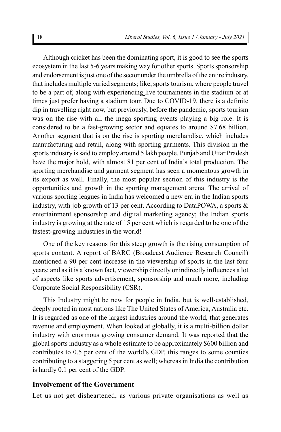Although cricket has been the dominating sport, it is good to see the sports ecosystem in the last 5-6 years making way for other sports. Sports sponsorship and endorsement is just one of the sector under the umbrella of the entire industry, that includes multiple varied segments; like, sports tourism, where people travel to be a part of, along with experiencing live tournaments in the stadium or at times just prefer having a stadium tour. Due to COVID-19, there is a definite dip in travelling right now, but previously, before the pandemic, sports tourism was on the rise with all the mega sporting events playing a big role. It is considered to be a fast-growing sector and equates to around \$7.68 billion. Another segment that is on the rise is sporting merchandise, which includes manufacturing and retail, along with sporting garments. This division in the sports industry is said to employ around 5 lakh people. Punjab and Uttar Pradesh have the major hold, with almost 81 per cent of India's total production. The sporting merchandise and garment segment has seen a momentous growth in its export as well. Finally, the most popular section of this industry is the opportunities and growth in the sporting management arena. The arrival of various sporting leagues in India has welcomed a new era in the Indian sports industry, with job growth of 13 per cent. According to DataPOWA, a sports & entertainment sponsorship and digital marketing agency; the Indian sports industry is growing at the rate of 15 per cent which is regarded to be one of the fastest-growing industries in the world!

One of the key reasons for this steep growth is the rising consumption of sports content. A report of BARC (Broadcast Audience Research Council) mentioned a 90 per cent increase in the viewership of sports in the last four years; and as it is a known fact, viewership directly or indirectly influences a lot of aspects like sports advertisement, sponsorship and much more, including Corporate Social Responsibility (CSR).

This Industry might be new for people in India, but is well-established, deeply rooted in most nations like The United States of America, Australia etc. It is regarded as one of the largest industries around the world, that generates revenue and employment. When looked at globally, it is a multi-billion dollar industry with enormous growing consumer demand. It was reported that the global sports industry as a whole estimate to be approximately \$600 billion and contributes to 0.5 per cent of the world's GDP, this ranges to some counties contributing to a staggering 5 per cent as well; whereas in India the contribution is hardly 0.1 per cent of the GDP.

### **Involvement of the Government**

Let us not get disheartened, as various private organisations as well as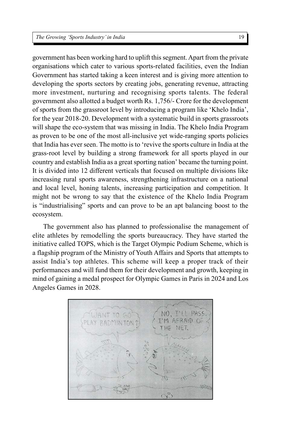government has been working hard to uplift this segment. Apart from the private organisations which cater to various sports-related facilities, even the Indian Government has started taking a keen interest and is giving more attention to developing the sports sectors by creating jobs, generating revenue, attracting more investment, nurturing and recognising sports talents. The federal government also allotted a budget worth Rs. 1,756/- Crore for the development of sports from the grassroot level by introducing a program like 'Khelo India', for the year 2018-20. Development with a systematic build in sports grassroots will shape the eco-system that was missing in India. The Khelo India Program as proven to be one of the most all-inclusive yet wide-ranging sports policies that India has ever seen. The motto is to 'revive the sports culture in India at the grass-root level by building a strong framework for all sports played in our country and establish India as a great sporting nation' became the turning point. It is divided into 12 different verticals that focused on multiple divisions like increasing rural sports awareness, strengthening infrastructure on a national and local level, honing talents, increasing participation and competition. It might not be wrong to say that the existence of the Khelo India Program is "industrialising" sports and can prove to be an apt balancing boost to the ecosystem.

The government also has planned to professionalise the management of elite athletes by remodelling the sports bureaucracy. They have started the initiative called TOPS, which is the Target Olympic Podium Scheme, which is a flagship program of the Ministry of Youth Affairs and Sports that attempts to assist India's top athletes. This scheme will keep a proper track of their performances and will fund them for their development and growth, keeping in mind of gaining a medal prospect for Olympic Games in Paris in 2024 and Los Angeles Games in 2028.

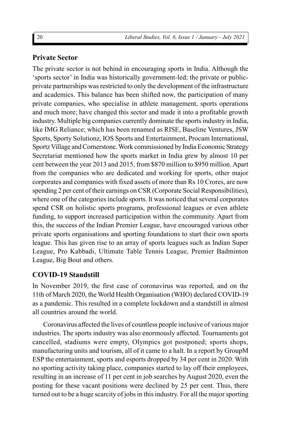### **Private Sector**

The private sector is not behind in encouraging sports in India. Although the 'sports sector' in India was historically government-led; the private or publicprivate partnerships was restricted to only the development of the infrastructure and academics. This balance has been shifted now, the participation of many private companies, who specialise in athlete management, sports operations and much more; have changed this sector and made it into a profitable growth industry. Multiple big companies currently dominate the sports industry in India, like IMG Reliance; which has been renamed as RISE, Baseline Ventures, JSW Sports, Sporty Solutionz, IOS Sports and Entertainment, Procam International, Sportz Village and Cornerstone. Work commissioned by India Economic Strategy Secretariat mentioned how the sports market in India grew by almost 10 per cent between the year 2013 and 2015, from \$870 million to \$950 million. Apart from the companies who are dedicated and working for sports, other major corporates and companies with fixed assets of more than Rs 10 Crores, are now spending 2 per cent of their earnings on CSR (Corporate Social Responsibilities), where one of the categories include sports. It was noticed that several corporates spend CSR on holistic sports programs, professional leagues or even athlete funding, to support increased participation within the community. Apart from this, the success of the Indian Premier League, have encouraged various other private sports organisations and sporting foundations to start their own sports league. This has given rise to an array of sports leagues such as Indian Super League, Pro Kabbadi, Ultimate Table Tennis League, Premier Badminton League, Big Bout and others.

### **COVID-19 Standstill**

In November 2019, the first case of coronavirus was reported, and on the 11th of March 2020, the World Health Organisation (WHO) declared COVID-19 as a pandemic. This resulted in a complete lockdown and a standstill in almost all countries around the world.

Coronavirus affected the lives of countless people inclusive of various major industries. The sports industry was also enormously affected. Tournaments got cancelled, stadiums were empty, Olympics got postponed; sports shops, manufacturing units and tourism, all of it came to a halt. In a report by GroupM ESP the entertainment, sports and esports dropped by 34 per cent in 2020. With no sporting activity taking place, companies started to lay off their employees, resulting in an increase of 11 per cent in job searches by August 2020, even the posting for these vacant positions were declined by 25 per cent. Thus, there turned out to be a huge scarcity of jobs in this industry. For all the major sporting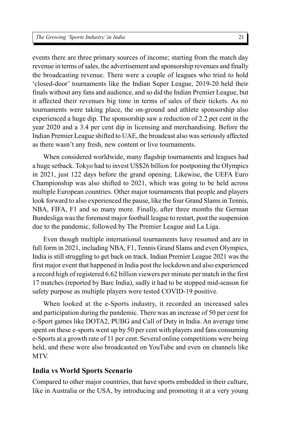events there are three primary sources of income; starting from the match day revenue in terms of sales, the advertisement and sponsorship revenues and finally the broadcasting revenue. There were a couple of leagues who tried to hold 'closed-door' tournaments like the Indian Super League, 2019-20 held their finals without any fans and audience, and so did the Indian Premier League, but it affected their revenues big time in terms of sales of their tickets. As no tournaments were taking place, the on-ground and athlete sponsorship also experienced a huge dip. The sponsorship saw a reduction of 2.2 per cent in the year 2020 and a 3.4 per cent dip in licensing and merchandising. Before the Indian Premier League shifted to UAE, the broadcast also was seriously affected as there wasn't any fresh, new content or live tournaments.

When considered worldwide, many flagship tournaments and leagues had a huge setback. Tokyo had to invest US\$26 billion for postponing the Olympics in 2021, just 122 days before the grand opening. Likewise, the UEFA Euro Championship was also shifted to 2021, which was going to be held across multiple European countries. Other major tournaments that people and players look forward to also experienced the pause, like the four Grand Slams in Tennis, NBA, FIFA, F1 and so many more. Finally, after three months the German Bundesliga was the foremost major football league to restart, post the suspension due to the pandemic, followed by The Premier League and La Liga.

Even though multiple international tournaments have resumed and are in full form in 2021, including NBA, F1, Tennis Grand Slams and even Olympics, India is still struggling to get back on track. Indian Premier League 2021 was the first major event that happened in India post the lockdown and also experienced a record high of registered 6.62 billion viewers per minute per match in the first 17 matches (reported by Barc India), sadly it had to be stopped mid-season for safety purpose as multiple players were tested COVID-19 positive.

When looked at the e-Sports industry, it recorded an increased sales and participation during the pandemic. There was an increase of 50 per cent for e-Sport games like DOTA2, PUBG and Call of Duty in India. An average time spent on these e-sports went up by 50 per cent with players and fans consuming e-Sports at a growth rate of 11 per cent. Several online competitions were being held, and these were also broadcasted on YouTube and even on channels like MTV.

#### **India vs World Sports Scenario**

Compared to other major countries, that have sports embedded in their culture, like in Australia or the USA, by introducing and promoting it at a very young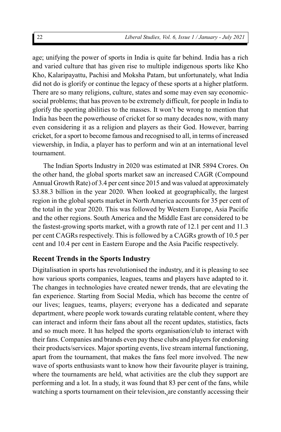age; unifying the power of sports in India is quite far behind. India has a rich and varied culture that has given rise to multiple indigenous sports like Kho Kho, Kalaripayattu, Pachisi and Moksha Patam, but unfortunately, what India did not do is glorify or continue the legacy of these sports at a higher platform. There are so many religions, culture, states and some may even say economicsocial problems; that has proven to be extremely difficult, for people in India to glorify the sporting abilities to the masses. It won't be wrong to mention that India has been the powerhouse of cricket for so many decades now, with many even considering it as a religion and players as their God. However, barring cricket, for a sport to become famous and recognised to all, in terms of increased viewership, in India, a player has to perform and win at an international level tournament.

The Indian Sports Industry in 2020 was estimated at INR 5894 Crores. On the other hand, the global sports market saw an increased CAGR (Compound Annual Growth Rate) of 3.4 per cent since 2015 and was valued at approximately \$3.88.3 billion in the year 2020. When looked at geographically, the largest region in the global sports market in North America accounts for 35 per cent of the total in the year 2020. This was followed by Western Europe, Asia Pacific and the other regions. South America and the Middle East are considered to be the fastest-growing sports market, with a growth rate of 12.1 per cent and 11.3 per cent CAGRs respectively. This is followed by a CAGRs growth of 10.5 per cent and 10.4 per cent in Eastern Europe and the Asia Pacific respectively.

### **Recent Trends in the Sports Industry**

Digitalisation in sports has revolutionised the industry, and it is pleasing to see how various sports companies, leagues, teams and players have adapted to it. The changes in technologies have created newer trends, that are elevating the fan experience. Starting from Social Media, which has become the centre of our lives; leagues, teams, players; everyone has a dedicated and separate department, where people work towards curating relatable content, where they can interact and inform their fans about all the recent updates, statistics, facts and so much more. It has helped the sports organisation/club to interact with their fans. Companies and brands even pay these clubs and players for endorsing their products/services. Major sporting events, live stream internal functioning, apart from the tournament, that makes the fans feel more involved. The new wave of sports enthusiasts want to know how their favourite player is training, where the tournaments are held, what activities are the club they support are performing and a lot. In a study, it was found that 83 per cent of the fans, while watching a sports tournament on their television, are constantly accessing their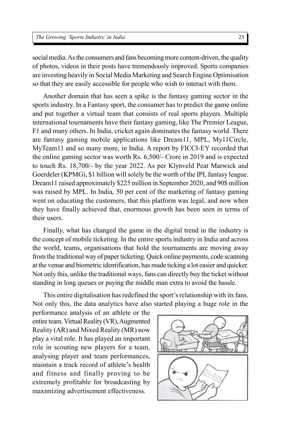social media. As the consumers and fans becoming more content-driven, the quality of photos, videos in their posts have tremendously improved. Sports companies are investing heavily in Social Media Marketing and Search Engine Optimisation so that they are easily accessible for people who wish to interact with them.

Another domain that has seen a spike is the fantasy gaming sector in the sports industry. In a Fantasy sport, the consumer has to predict the game online and put together a virtual team that consists of real sports players. Multiple international tournaments have their fantasy gaming, like The Premier League, F1 and many others. In India, cricket again dominates the fantasy world. There are fantasy gaming mobile applications like Dream11, MPL, My11Circle, MyTeam11 and so many more, in India. A report by FICCI-EY recorded that the online gaming sector was worth Rs. 6,500/- Crore in 2019 and is expected to touch Rs. 18,700/- by the year 2022. As per Klynveld Peat Marwick and Goerdeler (KPMG), \$1 billion will solely be the worth of the IPL fantasy league. Dream11 raised approximately \$225 million in September 2020, and 90\$ million was raised by MPL. In India, 50 per cent of the marketing of fantasy gaming went on educating the customers, that this platform was legal, and now when they have finally achieved that, enormous growth has been seen in terms of their users.

Finally, what has changed the game in the digital trend in the industry is the concept of mobile ticketing. In the entire sports industry in India and across the world, teams, organisations that hold the tournaments are moving away from the traditional way of paper ticketing. Quick online payments, code scanning at the venue and biometric identification, has made ticking a lot easier and quicker. Not only this, unlike the traditional ways, fans can directly buy the ticket without standing in long queues or paying the middle man extra to avoid the hassle.

This entire digitalisation has redefined the sport's relationship with its fans. Not only this, the data analytics have also started playing a huge role in the

performance analysis of an athlete or the entire team. Virtual Reality (VR), Augmented Reality (AR) and Mixed Reality (MR) now play a vital role. It has played an important role in scouting new players for a team, analysing player and team performances, maintain a track record of athlete's health and fitness and finally proving to be extremely profitable for broadcasting by maximizing advertisement effectiveness.

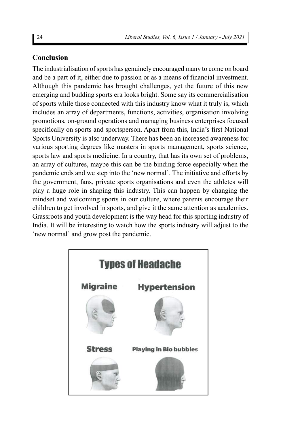### **Conclusion**

The industrialisation of sports has genuinely encouraged many to come on board and be a part of it, either due to passion or as a means of financial investment. Although this pandemic has brought challenges, yet the future of this new emerging and budding sports era looks bright. Some say its commercialisation of sports while those connected with this industry know what it truly is, which includes an array of departments, functions, activities, organisation involving promotions, on-ground operations and managing business enterprises focused specifically on sports and sportsperson. Apart from this, India's first National Sports University is also underway. There has been an increased awareness for various sporting degrees like masters in sports management, sports science, sports law and sports medicine. In a country, that has its own set of problems, an array of cultures, maybe this can be the binding force especially when the pandemic ends and we step into the 'new normal'. The initiative and efforts by the government, fans, private sports organisations and even the athletes will play a huge role in shaping this industry. This can happen by changing the mindset and welcoming sports in our culture, where parents encourage their children to get involved in sports, and give it the same attention as academics. Grassroots and youth development is the way head for this sporting industry of India. It will be interesting to watch how the sports industry will adjust to the 'new normal' and grow post the pandemic.

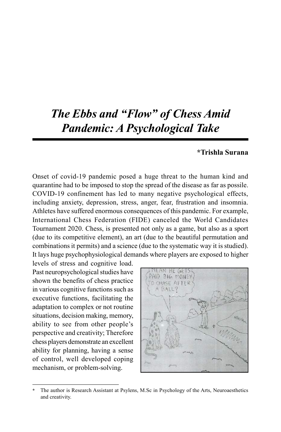### *The Ebbs and "Flow" of Chess Amid Pandemic: A Psychological Take*

#### **\*Trishla Surana**

Onset of covid-19 pandemic posed a huge threat to the human kind and quarantine had to be imposed to stop the spread of the disease as far as possile. COVID-19 confinement has led to many negative psychological effects, including anxiety, depression, stress, anger, fear, frustration and insomnia. Athletes have suffered enormous consequences of this pandemic. For example, International Chess Federation (FIDE) canceled the World Candidates Tournament 2020. Chess, is presented not only as a game, but also as a sport (due to its competitive element), an art (due to the beautiful permutation and combinations it permits) and a science (due to the systematic way it is studied). It lays huge psychophysiological demands where players are exposed to higher

levels of stress and cognitive load. Past neuropsychological studies have shown the benefits of chess practice in various cognitive functions such as executive functions, facilitating the adaptation to complex or not routine situations, decision making, memory, ability to see from other people's perspective and creativity; Therefore chess players demonstrate an excellent ability for planning, having a sense of control, well developed coping mechanism, or problem-solving.



**<sup>\*</sup>** The author is Research Assistant at Psylens, M.Sc in Psychology of the Arts, Neuroaesthetics and creativity.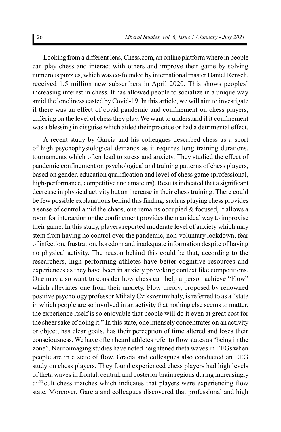Looking from a different lens, Chess.com, an online platform where in people can play chess and interact with others and improve their game by solving numerous puzzles, which was co-founded by international master Daniel Rensch, received 1.5 million new subscribers in April 2020. This shows peoples' increasing interest in chess. It has allowed people to socialize in a unique way amid the loneliness casted by Covid-19. In this article, we will aim to investigate if there was an effect of covid pandemic and confinement on chess players, differing on the level of chess they play. We want to understand if it confinement was a blessing in disguise which aided their practice or had a detrimental effect.

A recent study by García and his colleagues described chess as a sport of high psychophysiological demands as it requires long training durations, tournaments which often lead to stress and anxiety. They studied the effect of pandemic confinement on psychological and training patterns of chess players, based on gender, education qualification and level of chess game (professional, high-performance, competitive and amateurs). Results indicated that a significant decrease in physical activity but an increase in their chess training. There could be few possible explanations behind this finding, such as playing chess provides a sense of control amid the chaos, one remains occupied & focused, it allows a room for interaction or the confinement provides them an ideal way to improvise their game. In this study, players reported moderate level of anxiety which may stem from having no control over the pandemic, non-voluntary lockdown, fear of infection, frustration, boredom and inadequate information despite of having no physical activity. The reason behind this could be that, according to the researchers, high performing athletes have better cognitive resources and experiences as they have been in anxiety provoking context like competitions. One may also want to consider how chess can help a person achieve "Flow" which alleviates one from their anxiety. Flow theory, proposed by renowned positive psychology professor Mihaly Czikszentmihaly, is referred to as a "state in which people are so involved in an activity that nothing else seems to matter, the experience itself is so enjoyable that people will do it even at great cost for the sheer sake of doing it." In this state, one intensely concentrates on an activity or object, has clear goals, has their perception of time altered and loses their consciousness. We have often heard athletes refer to flow states as "being in the zone". Neuroimaging studies have noted heightened theta waves in EEGs when people are in a state of flow. Gracia and colleagues also conducted an EEG study on chess players. They found experienced chess players had high levels of theta waves in frontal, central, and posterior brain regions during increasingly difficult chess matches which indicates that players were experiencing flow state. Moreover, Garcia and colleagues discovered that professional and high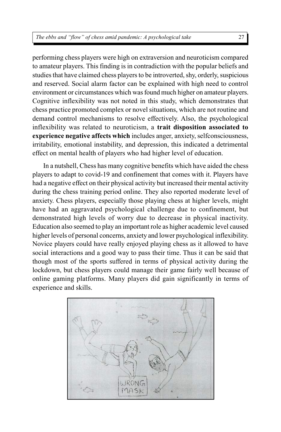performing chess players were high on extraversion and neuroticism compared to amateur players. This finding is in contradiction with the popular beliefs and studies that have claimed chess players to be introverted, shy, orderly, suspicious and reserved. Social alarm factor can be explained with high need to control environment or circumstances which was found much higher on amateur players. Cognitive inflexibility was not noted in this study, which demonstrates that chess practice promoted complex or novel situations, which are not routine and demand control mechanisms to resolve effectively. Also, the psychological inflexibility was related to neuroticism, a **trait disposition associated to experience negative affects which** includes anger, anxiety, selfconsciousness, irritability, emotional instability, and depression, this indicated a detrimental effect on mental health of players who had higher level of education.

In a nutshell, Chess has many cognitive benefits which have aided the chess players to adapt to covid-19 and confinement that comes with it. Players have had a negative effect on their physical activity but increased their mental activity during the chess training period online. They also reported moderate level of anxiety. Chess players, especially those playing chess at higher levels, might have had an aggravated psychological challenge due to confinement, but demonstrated high levels of worry due to decrease in physical inactivity. Education also seemed to play an important role as higher academic level caused higher levels of personal concerns, anxiety and lower psychological inflexibility. Novice players could have really enjoyed playing chess as it allowed to have social interactions and a good way to pass their time. Thus it can be said that though most of the sports suffered in terms of physical activity during the lockdown, but chess players could manage their game fairly well because of online gaming platforms. Many players did gain significantly in terms of experience and skills.

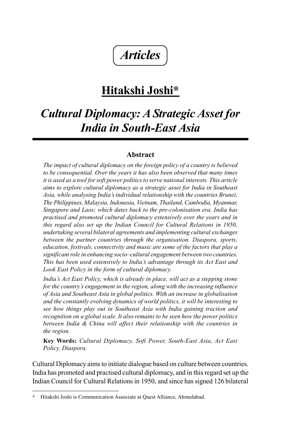## *Articles*

### **Hitakshi Joshi\***

### *Cultural Diplomacy: A Strategic Asset for India in South-East Asia*

### **Abstract**

*The impact of cultural diplomacy on the foreign policy of a country is believed to be consequential. Over the years it has also been observed that many times it is used as a tool for soft power politics to serve national interests. This article aims to explore cultural diplomacy as a strategic asset for India in Southeast Asia, while analysing India's individual relationship with the countries Brunei, The Philippines, Malaysia, Indonesia, Vietnam, Thailand, Cambodia, Myanmar, Singapore and Laos; which dates back to the pre-colonisation era. India has practised and promoted cultural diplomacy extensively over the years and in this regard also set up the Indian Council for Cultural Relations in 1950, undertaking several bilateral agreements and implementing cultural exchanges between the partner countries through the organisation. Diaspora, sports, education, festivals, connectivity and music are some of the factors that play a significant role in enhancing socio–cultural engagement between two countries. This has been used extensively to India's advantage through its Act East and Look East Policy in the form of cultural diplomacy.*

*India's Act East Policy, which is already in place, will act as a stepping stone for the country's engagement in the region, along with the increasing influence of Asia and Southeast Asia in global politics. With an increase in globalisation and the constantly evolving dynamics of world politics, it will be interesting to see how things play out in Southeast Asia with India gaining traction and recognition on a global scale. It also remains to be seen how the power politics between India & China will affect their relationship with the countries in the region.*

**Key Words:** *Cultural Diplomacy, Soft Power, South-East Asia, Act East Policy, Diaspora.*

Cultural Diplomacy aims to initiate dialogue based on culture between countries. India has promoted and practised cultural diplomacy, and in this regard set up the Indian Council for Cultural Relations in 1950, and since has signed 126 bilateral

**<sup>\*</sup>** Hitakshi Joshi is Communication Associate at Quest Alliance, Ahmedabad.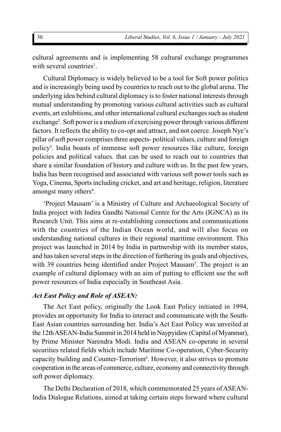cultural agreements and is implementing 58 cultural exchange programmes with several countries<sup>1</sup>.

Cultural Diplomacy is widely believed to be a tool for Soft power politics and is increasingly being used by countries to reach out to the global arena. The underlying idea behind cultural diplomacy is to foster national interests through mutual understanding by promoting various cultural activities such as cultural events, art exhibitions, and other international cultural exchanges such as student exchange<sup>2</sup>. Soft power is a medium of exercising power through various different factors. It reflects the ability to co-opt and attract, and not coerce. Joseph Nye's pillar of soft power comprises three aspects- political values, culture and foreign policy<sup>3</sup> . India boasts of immense soft power resources like culture, foreign policies and political values. that can be used to reach out to countries that share a similar foundation of history and culture with us. In the past few years, India has been recognised and associated with various soft power tools such as Yoga, Cinema, Sports including cricket, and art and heritage, religion, literature amongst many others<sup>4</sup>.

'Project Mausam' is a Ministry of Culture and Archaeological Society of India project with Indira Gandhi National Centre for the Arts (IGNCA) as its Research Unit. This aims at re-establishing connections and communications with the countries of the Indian Ocean world, and will also focus on understanding national cultures in their regional maritime environment. This project was launched in 2014 by India in partnership with its member states, and has taken several steps in the direction of furthering its goals and objectives, with 39 countries being identified under Project Mausam<sup>5</sup>. The project is an example of cultural diplomacy with an aim of putting to efficient use the soft power resources of India especially in Southeast Asia.

#### *Act East Policy and Role of ASEAN:*

The Act East policy, originally the Look East Policy initiated in 1994, provides an opportunity for India to interact and communicate with the South-East Asian countries surrounding her. India's Act East Policy was unveiled at the 12th ASEAN-India Summit in 2014 held in Naypyidaw (Capital of Myanmar), by Prime Minister Narendra Modi. India and ASEAN co-operate in several securities related fields which include Maritime Co-operation, Cyber-Security capacity building and Counter-Terrorism<sup>6</sup>. However, it also strives to promote cooperation in the areas of commerce, culture, economy and connectivity through soft power diplomacy.

The Delhi Declaration of 2018, which commemorated 25 years of ASEAN-India Dialogue Relations, aimed at taking certain steps forward where cultural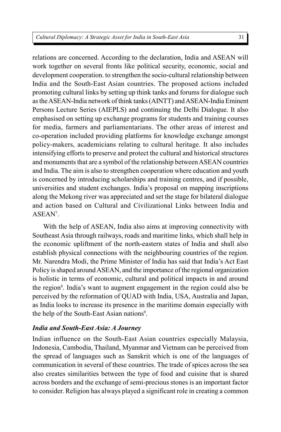relations are concerned. According to the declaration, India and ASEAN will work together on several fronts like political security, economic, social and development cooperation. to strengthen the socio-cultural relationship between India and the South-East Asian countries. The proposed actions included promoting cultural links by setting up think tanks and forums for dialogue such as the ASEAN-India network of think tanks (AINTT) and ASEAN-India Eminent Persons Lecture Series (AIEPLS) and continuing the Delhi Dialogue. It also emphasised on setting up exchange programs for students and training courses for media, farmers and parliamentarians. The other areas of interest and co-operation included providing platforms for knowledge exchange amongst policy-makers, academicians relating to cultural heritage. It also includes intensifying efforts to preserve and protect the cultural and historical structures and monuments that are a symbol of the relationship between ASEAN countries and India. The aim is also to strengthen cooperation where education and youth is concerned by introducing scholarships and training centres, and if possible, universities and student exchanges. India's proposal on mapping inscriptions along the Mekong river was appreciated and set the stage for bilateral dialogue and action based on Cultural and Civilizational Links between India and ASEAN<sup>7</sup>.

With the help of ASEAN, India also aims at improving connectivity with Southeast Asia through railways, roads and maritime links, which shall help in the economic upliftment of the north-eastern states of India and shall also establish physical connections with the neighbouring countries of the region. Mr. Narendra Modi, the Prime Minister of India has said that India's Act East Policy is shaped around ASEAN, and the importance of the regional organization is holistic in terms of economic, cultural and political impacts in and around the region<sup>8</sup>. India's want to augment engagement in the region could also be perceived by the reformation of QUAD with India, USA, Australia and Japan, as India looks to increase its presence in the maritime domain especially with the help of the South-East Asian nations<sup>9</sup>.

### *India and South-East Asia: A Journey*

Indian influence on the South-East Asian countries especially Malaysia, Indonesia, Cambodia, Thailand, Myanmar and Vietnam can be perceived from the spread of languages such as Sanskrit which is one of the languages of communication in several of these countries. The trade of spices across the sea also creates similarities between the type of food and cuisine that is shared across borders and the exchange of semi-precious stones is an important factor to consider. Religion has always played a significant role in creating a common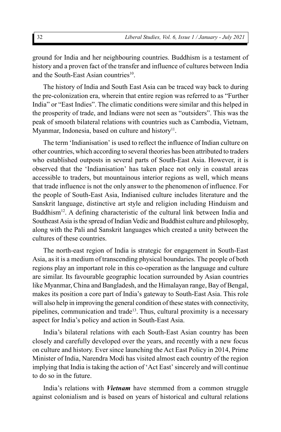ground for India and her neighbouring countries. Buddhism is a testament of history and a proven fact of the transfer and influence of cultures between India and the South-East Asian countries<sup>10</sup>.

The history of India and South East Asia can be traced way back to during the pre-colonization era, wherein that entire region was referred to as "Further India" or "East Indies". The climatic conditions were similar and this helped in the prosperity of trade, and Indians were not seen as "outsiders". This was the peak of smooth bilateral relations with countries such as Cambodia, Vietnam, Myanmar, Indonesia, based on culture and history<sup>11</sup>.

The term 'Indianisation' is used to reflect the influence of Indian culture on other countries, which according to several theories has been attributed to traders who established outposts in several parts of South-East Asia. However, it is observed that the 'Indianisation' has taken place not only in coastal areas accessible to traders, but mountainous interior regions as well, which means that trade influence is not the only answer to the phenomenon of influence. For the people of South-East Asia, Indianised culture includes literature and the Sanskrit language, distinctive art style and religion including Hinduism and Buddhism<sup>12</sup>. A defining characteristic of the cultural link between India and Southeast Asia is the spread of Indian Vedic and Buddhist culture and philosophy, along with the Pali and Sanskrit languages which created a unity between the cultures of these countries.

The north-east region of India is strategic for engagement in South-East Asia, as it is a medium of transcending physical boundaries. The people of both regions play an important role in this co-operation as the language and culture are similar. Its favourable geographic location surrounded by Asian countries like Myanmar, China and Bangladesh, and the Himalayan range, Bay of Bengal, makes its position a core part of India's gateway to South-East Asia. This role will also help in improving the general condition of these states with connectivity, pipelines, communication and trade<sup>13</sup>. Thus, cultural proximity is a necessary aspect for India's policy and action in South-East Asia.

India's bilateral relations with each South-East Asian country has been closely and carefully developed over the years, and recently with a new focus on culture and history. Ever since launching the Act East Policy in 2014, Prime Minister of India, Narendra Modi has visited almost each country of the region implying that India is taking the action of 'Act East' sincerely and will continue to do so in the future.

India's relations with *Vietnam* have stemmed from a common struggle against colonialism and is based on years of historical and cultural relations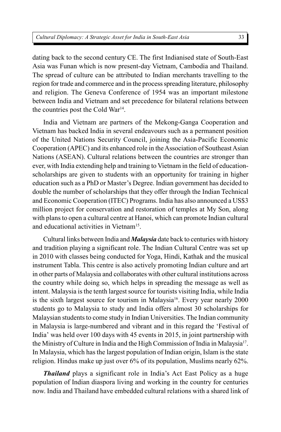dating back to the second century CE. The first Indianised state of South-East Asia was Funan which is now present-day Vietnam, Cambodia and Thailand. The spread of culture can be attributed to Indian merchants travelling to the region for trade and commerce and in the process spreading literature, philosophy and religion. The Geneva Conference of 1954 was an important milestone between India and Vietnam and set precedence for bilateral relations between the countries post the Cold War<sup>14</sup>.

India and Vietnam are partners of the Mekong-Ganga Cooperation and Vietnam has backed India in several endeavours such as a permanent position of the United Nations Security Council, joining the Asia-Pacific Economic Cooperation (APEC) and its enhanced role in the Association of Southeast Asian Nations (ASEAN). Cultural relations between the countries are stronger than ever, with India extending help and training to Vietnam in the field of educationscholarships are given to students with an opportunity for training in higher education such as a PhD or Master's Degree. Indian government has decided to double the number of scholarships that they offer through the Indian Technical and Economic Cooperation (ITEC) Programs. India has also announced a US\$3 million project for conservation and restoration of temples at My Son, along with plans to open a cultural centre at Hanoi, which can promote Indian cultural and educational activities in Vietnam<sup>15</sup>.

Cultural links between India and *Malaysia* date back to centuries with history and tradition playing a significant role. The Indian Cultural Centre was set up in 2010 with classes being conducted for Yoga, Hindi, Kathak and the musical instrument Tabla. This centre is also actively promoting Indian culture and art in other parts of Malaysia and collaborates with other cultural institutions across the country while doing so, which helps in spreading the message as well as intent. Malaysia is the tenth largest source for tourists visiting India, while India is the sixth largest source for tourism in Malaysia<sup>16</sup>. Every year nearly  $2000$ students go to Malaysia to study and India offers almost 30 scholarships for Malaysian students to come study in Indian Universities. The Indian community in Malaysia is large-numbered and vibrant and in this regard the 'Festival of India' was held over 100 days with 45 events in 2015, in joint partnership with the Ministry of Culture in India and the High Commission of India in Malaysia<sup>17</sup>. In Malaysia, which has the largest population of Indian origin, Islam is the state religion. Hindus make up just over 6% of its population, Muslims nearly 62%.

*Thailand* plays a significant role in India's Act East Policy as a huge population of Indian diaspora living and working in the country for centuries now. India and Thailand have embedded cultural relations with a shared link of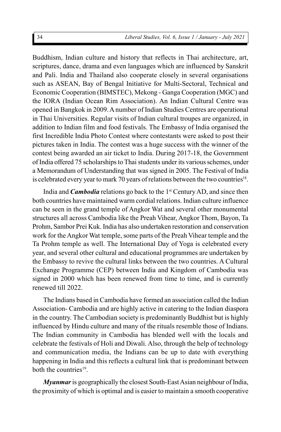Buddhism, Indian culture and history that reflects in Thai architecture, art, scriptures, dance, drama and even languages which are influenced by Sanskrit and Pali. India and Thailand also cooperate closely in several organisations such as ASEAN, Bay of Bengal Initiative for Multi-Sectoral, Technical and Economic Cooperation (BIMSTEC), Mekong - Ganga Cooperation (MGC) and the IORA (Indian Ocean Rim Association). An Indian Cultural Centre was opened in Bangkok in 2009. A number of Indian Studies Centres are operational in Thai Universities. Regular visits of Indian cultural troupes are organized, in addition to Indian film and food festivals. The Embassy of India organised the first Incredible India Photo Contest where contestants were asked to post their pictures taken in India. The contest was a huge success with the winner of the contest being awarded an air ticket to India. During 2017-18, the Government of India offered 75 scholarships to Thai students under its various schemes, under a Memorandum of Understanding that was signed in 2005. The Festival of India is celebrated every year to mark 70 years of relations between the two countries<sup>18</sup>.

India and *Cambodia* relations go back to the 1<sup>st</sup> Century AD, and since then both countries have maintained warm cordial relations. Indian culture influence can be seen in the grand temple of Angkor Wat and several other monumental structures all across Cambodia like the Preah Vihear, Angkor Thom, Bayon, Ta Prohm, Sambor Prei Kuk. India has also undertaken restoration and conservation work for the Angkor Wat temple, some parts of the Preah Vihear temple and the Ta Prohm temple as well. The International Day of Yoga is celebrated every year, and several other cultural and educational programmes are undertaken by the Embassy to revive the cultural links between the two countries. A Cultural Exchange Programme (CEP) between India and Kingdom of Cambodia was signed in 2000 which has been renewed from time to time, and is currently renewed till 2022.

The Indians based in Cambodia have formed an association called the Indian Association- Cambodia and are highly active in catering to the Indian diaspora in the country. The Cambodian society is predominantly Buddhist but is highly influenced by Hindu culture and many of the rituals resemble those of Indians. The Indian community in Cambodia has blended well with the locals and celebrate the festivals of Holi and Diwali. Also, through the help of technology and communication media, the Indians can be up to date with everything happening in India and this reflects a cultural link that is predominant between both the countries<sup>19</sup>.

*Myanmar* is geographically the closest South-East Asian neighbour of India, the proximity of which is optimal and is easier to maintain a smooth cooperative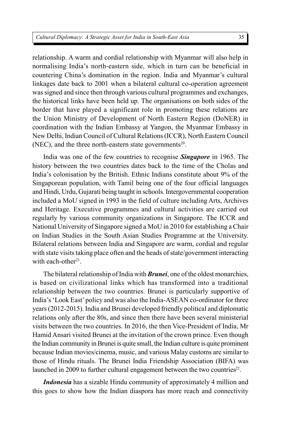relationship. A warm and cordial relationship with Myanmar will also help in normalising India's north-eastern side, which in turn can be beneficial in countering China's domination in the region. India and Myanmar's cultural linkages date back to 2001 when a bilateral cultural co-operation agreement was signed and since then through various cultural programmes and exchanges, the historical links have been held up. The organisations on both sides of the border that have played a significant role in promoting these relations are the Union Ministry of Development of North Eastern Region (DoNER) in coordination with the Indian Embassy at Yangon, the Myanmar Embassy in New Delhi, Indian Council of Cultural Relations (ICCR), North Eastern Council  $(NEC)$ , and the three north-eastern state governments<sup>20</sup>.

India was one of the few countries to recognise *Singapore* in 1965. The history between the two countries dates back to the time of the Cholas and India's colonisation by the British. Ethnic Indians constitute about 9% of the Singaporean population, with Tamil being one of the four official languages and Hindi, Urdu, Gujarati being taught in schools. Intergovernmental cooperation included a MoU signed in 1993 in the field of culture including Arts, Archives and Heritage. Executive programmes and cultural activities are carried out regularly by various community organizations in Singapore. The ICCR and National University of Singapore signed a MoU in 2010 for establishing a Chair on Indian Studies in the South Asian Studies Programme at the University. Bilateral relations between India and Singapore are warm, cordial and regular with state visits taking place often and the heads of state/government interacting with each-other<sup>21</sup>.

The bilateral relationship of India with *Brunei*, one of the oldest monarchies, is based on civilizational links which has transformed into a traditional relationship between the two countries. Brunei is particularly supportive of India's 'Look East' policy and was also the India-ASEAN co-ordinator for three years (2012-2015). India and Brunei developed friendly political and diplomatic relations only after the 80s, and since then there have been several ministerial visits between the two countries. In 2016, the then Vice-President of India, Mr Hamid Ansari visited Brunei at the invitation of the crown prince. Even though the Indian community in Brunei is quite small, the Indian culture is quite prominent because Indian movies/cinema, music, and various Malay customs are similar to those of Hindu rituals. The Brunei India Friendship Association (BIFA) was launched in 2009 to further cultural engagement between the two countries<sup>22</sup>.

*Indonesia* has a sizable Hindu community of approximately 4 million and this goes to show how the Indian diaspora has more reach and connectivity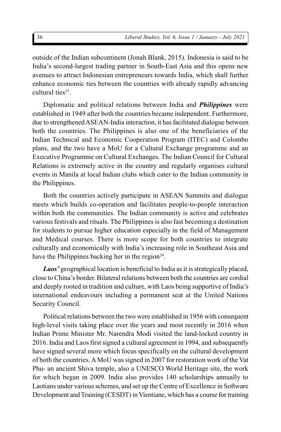outside of the Indian subcontinent (Jonah Blank, 2015). Indonesia is said to be India's second-largest trading partner in South-East Asia and this opens new avenues to attract Indonesian entrepreneurs towards India, which shall further enhance economic ties between the countries with already rapidly advancing cultural ties<sup>23</sup>.

Diplomatic and political relations between India and *Philippines* were established in 1949 after both the countries became independent. Furthermore, due to strengthened ASEAN-India interaction, it has facilitated dialogue between both the countries. The Philippines is also one of the beneficiaries of the Indian Technical and Economic Cooperation Program (ITEC) and Colombo plans, and the two have a MoU for a Cultural Exchange programme and an Executive Programme on Cultural Exchanges. The Indian Council for Cultural Relations is extremely active in the country and regularly organises cultural events in Manila at local Indian clubs which cater to the Indian community in the Philippines.

Both the countries actively participate in ASEAN Summits and dialogue meets which builds co-operation and facilitates people-to-people interaction within both the communities. The Indian community is active and celebrates various festivals and rituals. The Philippines is also fast becoming a destination for students to pursue higher education especially in the field of Management and Medical courses. There is more scope for both countries to integrate culturally and economically with India's increasing role in Southeast Asia and have the Philippines backing her in the region $24$ .

*Laos'* geographical location is beneficial to India as it is strategically placed, close to China's border. Bilateral relations between both the countries are cordial and deeply rooted in tradition and culture, with Laos being supportive of India's international endeavours including a permanent seat at the United Nations Security Council.

Political relations between the two were established in 1956 with consequent high-level visits taking place over the years and most recently in 2016 when Indian Prime Minister Mr. Narendra Modi visited the land-locked country in 2016. India and Laos first signed a cultural agreement in 1994, and subsequently have signed several more which focus specifically on the cultural development of both the countries. A MoU was signed in 2007 for restoration work of the Vat Phu- an ancient Shiva temple, also a UNESCO World Heritage site, the work for which began in 2009. India also provides 140 scholarships annually to Laotians under various schemes, and set up the Centre of Excellence in Software Development and Training (CESDT) in Vientiane, which has a course for training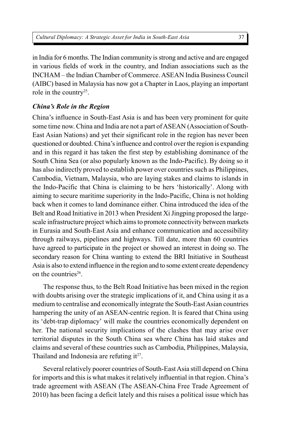in India for 6 months. The Indian community is strong and active and are engaged in various fields of work in the country, and Indian associations such as the INCHAM – the Indian Chamber of Commerce. ASEAN India Business Council (AIBC) based in Malaysia has now got a Chapter in Laos, playing an important role in the country<sup>25</sup>.

## *China's Role in the Region*

China's influence in South-East Asia is and has been very prominent for quite some time now. China and India are not a part of ASEAN (Association of South-East Asian Nations) and yet their significant role in the region has never been questioned or doubted. China's influence and control over the region is expanding and in this regard it has taken the first step by establishing dominance of the South China Sea (or also popularly known as the Indo-Pacific). By doing so it has also indirectly proved to establish power over countries such as Philippines, Cambodia, Vietnam, Malaysia, who are laying stakes and claims to islands in the Indo-Pacific that China is claiming to be hers 'historically'. Along with aiming to secure maritime superiority in the Indo-Pacific, China is not holding back when it comes to land dominance either. China introduced the idea of the Belt and Road Initiative in 2013 when President Xi Jingping proposed the largescale infrastructure project which aims to promote connectivity between markets in Eurasia and South-East Asia and enhance communication and accessibility through railways, pipelines and highways. Till date, more than 60 countries have agreed to participate in the project or showed an interest in doing so. The secondary reason for China wanting to extend the BRI Initiative in Southeast Asia is also to extend influence in the region and to some extent create dependency on the countries<sup>26</sup>.

The response thus, to the Belt Road Initiative has been mixed in the region with doubts arising over the strategic implications of it, and China using it as a medium to centralise and economically integrate the South-East Asian countries hampering the unity of an ASEAN-centric region. It is feared that China using its 'debt-trap diplomacy' will make the countries economically dependent on her. The national security implications of the clashes that may arise over territorial disputes in the South China sea where China has laid stakes and claims and several of these countries such as Cambodia, Philippines, Malaysia, Thailand and Indonesia are refuting  $it^{27}$ .

Several relatively poorer countries of South-East Asia still depend on China for imports and this is what makes it relatively influential in that region. China's trade agreement with ASEAN (The ASEAN-China Free Trade Agreement of 2010) has been facing a deficit lately and this raises a political issue which has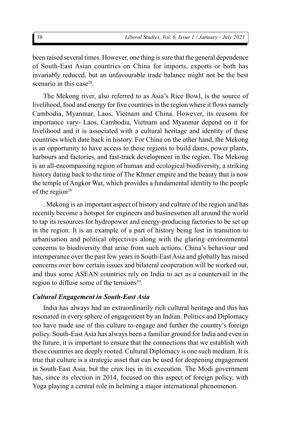been raised several times. However, one thing is sure that the general dependence of South-East Asian countries on China for imports, exports or both has invariably reduced, but an unfavourable trade balance might not be the best scenario in this case<sup>28</sup>.

The Mekong river, also referred to as Asia's Rice Bowl, is the source of livelihood, food and energy for five countries in the region where it flows namely Cambodia, Myanmar, Laos, Vietnam and China. However, its reasons for importance vary- Laos, Cambodia, Vietnam and Myanmar depend on it for livelihood and it is associated with a cultural heritage and identity of these countries which date back in history. For China on the other hand, the Mekong is an opportunity to have access to these regions to build dams, power plants, harbours and factories, and fast-track development in the region. The Mekong is an all-encompassing region of human and ecological biodiversity, a striking history dating back to the time of The Khmer empire and the beauty that is now the temple of Angkor Wat, which provides a fundamental identity to the people of the region $29$ 

. Mekong is an important aspect of history and culture of the region and has recently become a hotspot for engineers and businessmen all around the world to tap its resources for hydropower and energy-producing factories to be set up in the region. It is an example of a part of history being lost in transition to urbanisation and political objectives along with the glaring environmental concerns to biodiversity that arise from such actions. China's behaviour and intemperance over the past few years in South-East Asia and globally has raised concerns over how certain issues and bilateral cooperation will be worked out, and thus some ASEAN countries rely on India to act as a countervail in the region to diffuse some of the tensions<sup>30</sup>.

#### *Cultural Engagement in South-East Asia*

India has always had an extraordinarily rich cultural heritage and this has resonated in every sphere of engagement by an Indian. Politics and Diplomacy too have made use of this culture to engage and further the country's foreign policy. South-East Asia has always been a familiar ground for India and even in the future, it is important to ensure that the connections that we establish with these countries are deeply rooted. Cultural Diplomacy is one such medium. It is true that culture is a strategic asset that can be used for deepening engagement in South-East Asia, but the crux lies in its execution. The Modi government has, since its election in 2014, focused on this aspect of foreign policy, with Yoga playing a central role in helming a major international phenomenon.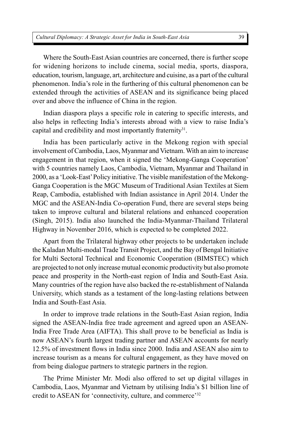Where the South-East Asian countries are concerned, there is further scope for widening horizons to include cinema, social media, sports, diaspora, education, tourism, language, art, architecture and cuisine, as a part of the cultural phenomenon. India's role in the furthering of this cultural phenomenon can be extended through the activities of ASEAN and its significance being placed over and above the influence of China in the region.

Indian diaspora plays a specific role in catering to specific interests, and also helps in reflecting India's interests abroad with a view to raise India's capital and credibility and most importantly fraternity<sup>31</sup>.

India has been particularly active in the Mekong region with special involvement of Cambodia, Laos, Myanmar and Vietnam. With an aim to increase engagement in that region, when it signed the 'Mekong-Ganga Cooperation' with 5 countries namely Laos, Cambodia, Vietnam, Myanmar and Thailand in 2000, as a 'Look-East' Policy initiative. The visible manifestation of the Mekong-Ganga Cooperation is the MGC Museum of Traditional Asian Textiles at Siem Reap, Cambodia, established with Indian assistance in April 2014. Under the MGC and the ASEAN-India Co-operation Fund, there are several steps being taken to improve cultural and bilateral relations and enhanced cooperation (Singh, 2015). India also launched the India-Myanmar-Thailand Trilateral Highway in November 2016, which is expected to be completed 2022.

Apart from the Trilateral highway other projects to be undertaken include the Kaladan Multi-modal Trade Transit Project, and the Bay of Bengal Initiative for Multi Sectoral Technical and Economic Cooperation (BIMSTEC) which are projected to not only increase mutual economic productivity but also promote peace and prosperity in the North-east region of India and South-East Asia. Many countries of the region have also backed the re-establishment of Nalanda University, which stands as a testament of the long-lasting relations between India and South-East Asia.

In order to improve trade relations in the South-East Asian region, India signed the ASEAN-India free trade agreement and agreed upon an ASEAN-India Free Trade Area (AIFTA). This shall prove to be beneficial as India is now ASEAN's fourth largest trading partner and ASEAN accounts for nearly 12.5% of investment flows in India since 2000. India and ASEAN also aim to increase tourism as a means for cultural engagement, as they have moved on from being dialogue partners to strategic partners in the region.

The Prime Minister Mr. Modi also offered to set up digital villages in Cambodia, Laos, Myanmar and Vietnam by utilising India's \$1 billion line of credit to ASEAN for 'connectivity, culture, and commerce'<sup>32</sup>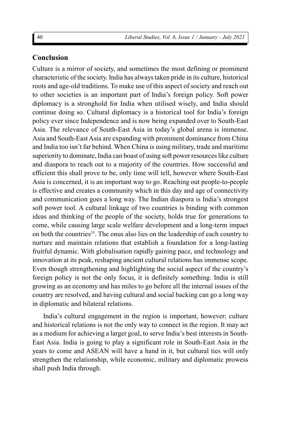## **Conclusion**

Culture is a mirror of society, and sometimes the most defining or prominent characteristic of the society. India has always taken pride in its culture, historical roots and age-old traditions. To make use of this aspect of society and reach out to other societies is an important part of India's foreign policy. Soft power diplomacy is a stronghold for India when utilised wisely, and India should continue doing so. Cultural diplomacy is a historical tool for India's foreign policy ever since Independence and is now being expanded over to South-East Asia. The relevance of South-East Asia in today's global arena is immense. Asia and South-East Asia are expanding with prominent dominance from China and India too isn't far behind. When China is using military, trade and maritime superiority to dominate, India can boast of using soft power resources like culture and diaspora to reach out to a majority of the countries. How successful and efficient this shall prove to be, only time will tell, however where South-East Asia is concerned, it is an important way to go. Reaching out people-to-people is effective and creates a community which in this day and age of connectivity and communication goes a long way. The Indian diaspora is India's strongest soft power tool. A cultural linkage of two countries is binding with common ideas and thinking of the people of the society, holds true for generations to come, while causing large scale welfare development and a long-term impact on both the countries<sup>33</sup>. The onus also lies on the leadership of each country to nurture and maintain relations that establish a foundation for a long-lasting fruitful dynamic. With globalisation rapidly gaining pace, and technology and innovation at its peak, reshaping ancient cultural relations has immense scope. Even though strengthening and highlighting the social aspect of the country's foreign policy is not the only focus, it is definitely something. India is still growing as an economy and has miles to go before all the internal issues of the country are resolved, and having cultural and social backing can go a long way in diplomatic and bilateral relations.

India's cultural engagement in the region is important, however; culture and historical relations is not the only way to connect in the region. It may act as a medium for achieving a larger goal, to serve India's best interests in South-East Asia. India is going to play a significant role in South-East Asia in the years to come and ASEAN will have a hand in it, but cultural ties will only strengthen the relationship, while economic, military and diplomatic prowess shall push India through.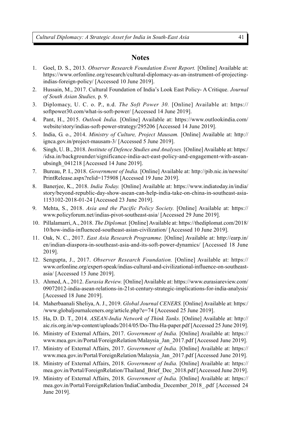#### **Notes**

- 1. Goel, D. S., 2013. *Observer Research Foundation Event Report.* [Online] Available at: https://www.orfonline.org/research/cultural-diplomacy-as-an-instrument-of-projectingindias-foreign-policy/ [Accessed 10 June 2019].
- 2. Hussain, M., 2017. Cultural Foundation of India's Look East Policy- A Critique. *Journal of South Asian Studies,* p. 9.
- 3. Diplomacy, U. C. o. P., n.d. *The Soft Power 30.* [Online] Available at: https:// softpower30.com/what-is-soft-power/ [Accessed 14 June 2019].
- 4. Pant, H., 2015. *Outlook India.* [Online] Available at: https://www.outlookindia.com/ website/story/indias-soft-power-strategy/295206 [Accessed 14 June 2019].
- 5. India, G. o., 2014. *Ministry of Culture, Project Mausam.* [Online] Available at: http:// ignca.gov.in/project-mausam-3/ [Accessed 5 June 2019].
- 6. Singh, U. B., 2018. *Institute of Defence Studies and Analyses.* [Online] Available at: https:/ /idsa.in/backgrounder/significance-india-act-east-policy-and-engagement-with-aseanubsingh\_041218 [Accessed 14 June 2019].
- 7. Bureau, P. I., 2018. *Government of India.* [Online] Available at: http://pib.nic.in/newsite/ PrintRelease.aspx?relid=175908 [Accessed 19 June 2019].
- 8. Banerjee, K., 2018. *India Today.* [Online] Available at: https://www.indiatoday.in/india/ story/beyond-republic-day-show-asean-can-help-india-take-on-china-in-southeast-asia-1153102-2018-01-24 [Accessed 23 June 2019].
- 9. Mehta, S., 2018. *Asia and the Pacific Policy Society.* [Online] Available at: https:// www.policyforum.net/indias-pivot-southeast-asia/ [Accessed 29 June 2019].
- 10. Pillalamarri, A., 2018. *The Diplomat.* [Online] Available at: https://thediplomat.com/2018/ 10/how-india-influenced-southeast-asian-civilization/ [Accessed 10 June 2019].
- 11. Oak, N. C., 2017. *East Asia Research Programme.* [Online] Available at: http://earp.in/ en/indian-diaspora-in-southeast-asia-and-its-soft-power-dynamics/ [Accessed 18 June 2019].
- 12. Sengupta, J., 2017. *Observer Research Foundation.* [Online] Available at: https:// www.orfonline.org/expert-speak/indias-cultural-and-civilizational-influence-on-southeastasia/ [Accessed 15 June 2019].
- 13. Ahmed, A., 2012. *Eurasia Review.* [Online] Available at: https://www.eurasiareview.com/ 09072012-india-asean-relations-in-21st-century-strategic-implications-for-india-analysis/ [Accessed 18 June 2019].
- 14. Maherbaanali Sheliya, A. J., 2019. *Global Journal CENERS.* [Online] Available at: https:/ /www.globaljournalceners.org/article.php?e=74 [Accessed 25 June 2019].
- 15. Ha, D. D. T., 2014. *ASEAN-India Network of Think Tanks.* [Online] Available at: http:// aic.ris.org.in/wp-content/uploads/2014/05/Do-Thu-Ha-paper.pdf [Accessed 25 June 2019].
- 16. Ministry of External Affairs, 2017. *Government of India.* [Online] Available at: https:// www.mea.gov.in/Portal/ForeignRelation/Malaysia\_Jan\_2017.pdf [Accessed June 2019].
- 17. Ministry of External Affairs, 2017. *Government of India.* [Online] Available at: https:// www.mea.gov.in/Portal/ForeignRelation/Malaysia\_Jan\_2017.pdf [Accessed June 2019].
- 18. Ministry of External Affairs, 2018. *Government of India.* [Online] Available at: https:// mea.gov.in/Portal/ForeignRelation/Thailand\_Brief\_Dec\_2018.pdf [Accessed June 2019].
- 19. Ministry of External Affairs, 2018. *Government of India.* [Online] Available at: https:// mea.gov.in/Portal/ForeignRelation/IndiaCambodia\_December\_2018\_.pdf [Accessed 24 June 2019].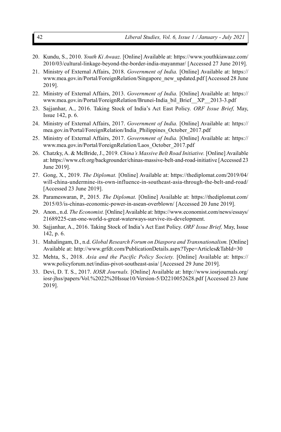- 20. Kundu, S., 2010. *Youth Ki Awaaz.* [Online] Available at: https://www.youthkiawaaz.com/ 2010/03/cultural-linkage-beyond-the-border-india-mayanmar/ [Accessed 27 June 2019].
- 21. Ministry of External Affairs, 2018. *Government of India.* [Online] Available at: https:// www.mea.gov.in/Portal/ForeignRelation/Singapore\_new\_updated.pdf [Accessed 28 June 2019].
- 22. Ministry of External Affairs, 2013. *Government of India.* [Online] Available at: https:// www.mea.gov.in/Portal/ForeignRelation/Brunei-India\_bil\_Brief\_\_XP\_\_2013-3.pdf
- 23. Sajjanhar, A., 2016. Taking Stock of India's Act East Policy. *ORF Issue Brief,* May, Issue 142, p. 6.
- 24. Ministry of External Affairs, 2017. *Government of India.* [Online] Available at: https:// mea.gov.in/Portal/ForeignRelation/India\_Philippines\_October\_2017.pdf
- 25. Ministry of External Affairs, 2017. *Government of India.* [Online] Available at: https:// www.mea.gov.in/Portal/ForeignRelation/Laos\_October\_2017.pdf
- 26. Chatzky, A. & McBride, J., 2019. *China's Massive Belt Road Initiative.* [Online] Available at: https://www.cfr.org/backgrounder/chinas-massive-belt-and-road-initiative [Accessed 23 June 2019].
- 27. Gong, X., 2019. *The Diplomat.* [Online] Available at: https://thediplomat.com/2019/04/ will-china-undermine-its-own-influence-in-southeast-asia-through-the-belt-and-road/ [Accessed 23 June 2019].
- 28. Parameswaran, P., 2015. *The Diplomat.* [Online] Available at: https://thediplomat.com/ 2015/03/is-chinas-economic-power-in-asean-overblown/ [Accessed 20 June 2019].
- 29. Anon., n.d. *The Economist.* [Online] Available at: https://www.economist.com/news/essays/ 21689225-can-one-world-s-great-waterways-survive-its-development.
- 30. Sajjanhar, A., 2016. Taking Stock of India's Act East Policy. *ORF Issue Brief,* May, Issue 142, p. 6.
- 31. Mahalingam, D., n.d. *Global Research Forum on Diaspora and Transnationalism.* [Online] Available at: http://www.grfdt.com/PublicationDetails.aspx?Type=Articles&TabId=30
- 32. Mehta, S., 2018. *Asia and the Pacific Policy Society.* [Online] Available at: https:// www.policyforum.net/indias-pivot-southeast-asia/ [Accessed 29 June 2019].
- 33. Devi, D. T. S., 2017. *IOSR Journals.* [Online] Available at: http://www.iosrjournals.org/ iosr-jhss/papers/Vol.%2022%20Issue10/Version-5/D2210052628.pdf [Accessed 23 June 2019].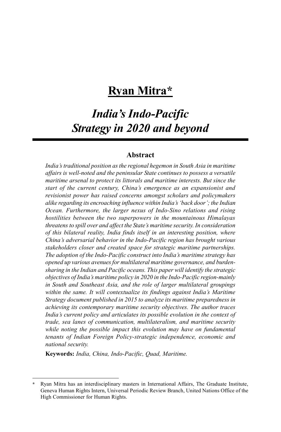# **Ryan Mitra\***

# *India's Indo-Pacific Strategy in 2020 and beyond*

## **Abstract**

*India's traditional position as the regional hegemon in South Asia in maritime affairs is well-noted and the peninsular State continues to possess a versatile maritime arsenal to protect its littorals and maritime interests. But since the start of the current century, China's emergence as an expansionist and revisionist power has raised concerns amongst scholars and policymakers alike regarding its encroaching influence within India's 'back door'; the Indian Ocean. Furthermore, the larger nexus of Indo-Sino relations and rising hostilities between the two superpowers in the mountainous Himalayas threatens to spill over and affect the State's maritime security. In consideration of this bilateral reality, India finds itself in an interesting position, where China's adversarial behavior in the Indo-Pacific region has brought various stakeholders closer and created space for strategic maritime partnerships. The adoption of the Indo-Pacific construct into India's maritime strategy has opened up various avenues for multilateral maritime governance, and burdensharing in the Indian and Pacific oceans. This paper will identify the strategic objectives of India's maritime policy in 2020 in the Indo-Pacific region-mainly in South and Southeast Asia, and the role of larger multilateral groupings within the same. It will contextualize its findings against India's Maritime Strategy document published in 2015 to analyze its maritime preparedness in achieving its contemporary maritime security objectives. The author traces India's current policy and articulates its possible evolution in the context of trade, sea lanes of communication, multilateralism, and maritime security while noting the possible impact this evolution may have on fundamental tenants of Indian Foreign Policy-strategic independence, economic and national security.*

**Keywords:** *India, China, Indo-Pacific, Quad, Maritime.*

**<sup>\*</sup>** Ryan Mitra has an interdisciplinary masters in International Affairs, The Graduate Institute, Geneva Human Rights Intern, Universal Periodic Review Branch, United Nations Office of the High Commissioner for Human Rights.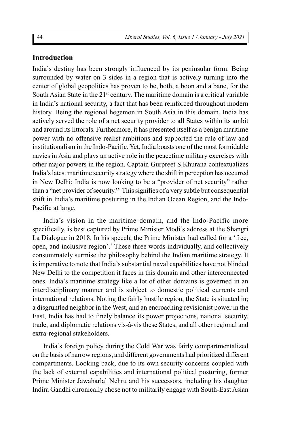## **Introduction**

India's destiny has been strongly influenced by its peninsular form. Being surrounded by water on 3 sides in a region that is actively turning into the center of global geopolitics has proven to be, both, a boon and a bane, for the South Asian State in the  $21<sup>st</sup>$  century. The maritime domain is a critical variable in India's national security, a fact that has been reinforced throughout modern history. Being the regional hegemon in South Asia in this domain, India has actively served the role of a net security provider to all States within its ambit and around its littorals. Furthermore, it has presented itself as a benign maritime power with no offensive realist ambitions and supported the rule of law and institutionalism in the Indo-Pacific. Yet, India boasts one of the most formidable navies in Asia and plays an active role in the peacetime military exercises with other major powers in the region. Captain Gurpreet S Khurana contextualizes India's latest maritime security strategy where the shift in perception has occurred in New Delhi; India is now looking to be a "provider of net security" rather than a "net provider of security."<sup>1</sup> This signifies of a very subtle but consequential shift in India's maritime posturing in the Indian Ocean Region, and the Indo-Pacific at large.

India's vision in the maritime domain, and the Indo-Pacific more specifically, is best captured by Prime Minister Modi's address at the Shangri La Dialogue in 2018. In his speech, the Prime Minister had called for a 'free, open, and inclusive region'.<sup>2</sup> These three words individually, and collectively consummately surmise the philosophy behind the Indian maritime strategy. It is imperative to note that India's substantial naval capabilities have not blinded New Delhi to the competition it faces in this domain and other interconnected ones. India's maritime strategy like a lot of other domains is governed in an interdisciplinary manner and is subject to domestic political currents and international relations. Noting the fairly hostile region, the State is situated in; a disgruntled neighbor in the West, and an encroaching revisionist power in the East, India has had to finely balance its power projections, national security, trade, and diplomatic relations vis-à-vis these States, and all other regional and extra-regional stakeholders.

India's foreign policy during the Cold War was fairly compartmentalized on the basis of narrow regions, and different governments had prioritized different compartments. Looking back, due to its own security concerns coupled with the lack of external capabilities and international political posturing, former Prime Minister Jawaharlal Nehru and his successors, including his daughter Indira Gandhi chronically chose not to militarily engage with South-East Asian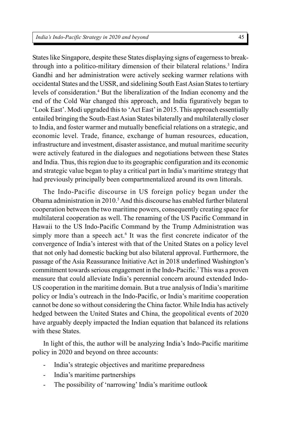States like Singapore, despite these States displaying signs of eagerness to breakthrough into a politico-military dimension of their bilateral relations.<sup>3</sup> Indira Gandhi and her administration were actively seeking warmer relations with occidental States and the USSR, and sidelining South East Asian States to tertiary levels of consideration.<sup>4</sup> But the liberalization of the Indian economy and the end of the Cold War changed this approach, and India figuratively began to 'Look East'. Modi upgraded this to 'Act East' in 2015. This approach essentially entailed bringing the South-East Asian States bilaterally and multilaterally closer to India, and foster warmer and mutually beneficial relations on a strategic, and economic level. Trade, finance, exchange of human resources, education, infrastructure and investment, disaster assistance, and mutual maritime security were actively featured in the dialogues and negotiations between these States and India. Thus, this region due to its geographic configuration and its economic and strategic value began to play a critical part in India's maritime strategy that had previously principally been compartmentalized around its own littorals.

The Indo-Pacific discourse in US foreign policy began under the Obama administration in 2010.<sup>5</sup> And this discourse has enabled further bilateral cooperation between the two maritime powers, consequently creating space for multilateral cooperation as well. The renaming of the US Pacific Command in Hawaii to the US Indo-Pacific Command by the Trump Administration was simply more than a speech act.<sup>6</sup> It was the first concrete indicator of the convergence of India's interest with that of the United States on a policy level that not only had domestic backing but also bilateral approval. Furthermore, the passage of the Asia Reassurance Initiative Act in 2018 underlined Washington's commitment towards serious engagement in the Indo-Pacific.<sup>7</sup> This was a proven measure that could alleviate India's perennial concern around extended Indo-US cooperation in the maritime domain. But a true analysis of India's maritime policy or India's outreach in the Indo-Pacific, or India's maritime cooperation cannot be done so without considering the China factor. While India has actively hedged between the United States and China, the geopolitical events of 2020 have arguably deeply impacted the Indian equation that balanced its relations with these States.

In light of this, the author will be analyzing India's Indo-Pacific maritime policy in 2020 and beyond on three accounts:

- India's strategic objectives and maritime preparedness
- India's maritime partnerships
- The possibility of 'narrowing' India's maritime outlook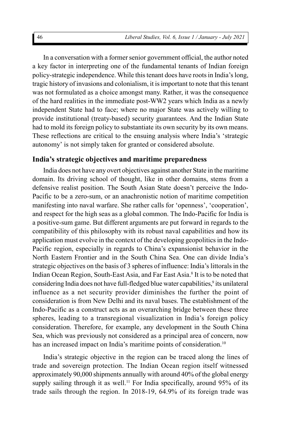In a conversation with a former senior government official, the author noted a key factor in interpreting one of the fundamental tenants of Indian foreign policy-strategic independence. While this tenant does have roots in India's long, tragic history of invasions and colonialism, it is important to note that this tenant was not formulated as a choice amongst many. Rather, it was the consequence of the hard realities in the immediate post-WW2 years which India as a newly independent State had to face; where no major State was actively willing to provide institutional (treaty-based) security guarantees. And the Indian State had to mold its foreign policy to substantiate its own security by its own means. These reflections are critical to the ensuing analysis where India's 'strategic autonomy' is not simply taken for granted or considered absolute.

#### **India's strategic objectives and maritime preparedness**

India does not have any overt objectives against another State in the maritime domain. Its driving school of thought, like in other domains, stems from a defensive realist position. The South Asian State doesn't perceive the Indo-Pacific to be a zero-sum, or an anachronistic notion of maritime competition manifesting into naval warfare. She rather calls for 'openness', 'cooperation', and respect for the high seas as a global common. The Indo-Pacific for India is a positive-sum game. But different arguments are put forward in regards to the compatibility of this philosophy with its robust naval capabilities and how its application must evolve in the context of the developing geopolitics in the Indo-Pacific region, especially in regards to China's expansionist behavior in the North Eastern Frontier and in the South China Sea. One can divide India's strategic objectives on the basis of 3 spheres of influence: India's littorals in the Indian Ocean Region, South-East Asia, and Far East Asia.<sup>8</sup> It is to be noted that considering India does not have full-fledged blue water capabilities,<sup>9</sup> its unilateral influence as a net security provider diminishes the further the point of consideration is from New Delhi and its naval bases. The establishment of the Indo-Pacific as a construct acts as an overarching bridge between these three spheres, leading to a transregional visualization in India's foreign policy consideration. Therefore, for example, any development in the South China Sea, which was previously not considered as a principal area of concern, now has an increased impact on India's maritime points of consideration.<sup>10</sup>

India's strategic objective in the region can be traced along the lines of trade and sovereign protection. The Indian Ocean region itself witnessed approximately 90,000 shipments annually with around 40% of the global energy supply sailing through it as well.<sup>11</sup> For India specifically, around  $95\%$  of its trade sails through the region. In 2018-19, 64.9% of its foreign trade was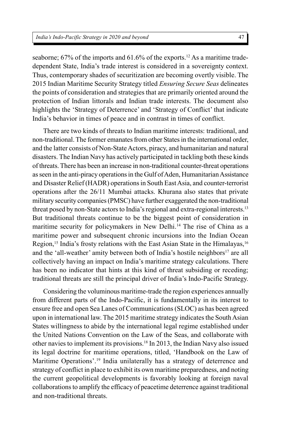seaborne; 67% of the imports and 61.6% of the exports.<sup>12</sup> As a maritime tradedependent State, India's trade interest is considered in a sovereignty context. Thus, contemporary shades of securitization are becoming overtly visible. The 2015 Indian Maritime Security Strategy titled *Ensuring Secure Seas* delineates the points of consideration and strategies that are primarily oriented around the protection of Indian littorals and Indian trade interests. The document also highlights the 'Strategy of Deterrence' and 'Strategy of Conflict' that indicate India's behavior in times of peace and in contrast in times of conflict.

There are two kinds of threats to Indian maritime interests: traditional, and non-traditional. The former emanates from other States in the international order, and the latter consists of Non-State Actors, piracy, and humanitarian and natural disasters. The Indian Navy has actively participated in tackling both these kinds of threats. There has been an increase in non-traditional counter-threat operations as seen in the anti-piracy operations in the Gulf of Aden, Humanitarian Assistance and Disaster Relief (HADR) operations in South East Asia, and counter-terrorist operations after the 26/11 Mumbai attacks. Khurana also states that private military security companies (PMSC) have further exaggerated the non-traditional threat posed by non-State actors to India's regional and extra-regional interests.<sup>13</sup> But traditional threats continue to be the biggest point of consideration in maritime security for policymakers in New Delhi.<sup>14</sup> The rise of China as a maritime power and subsequent chronic incursions into the Indian Ocean Region,<sup>15</sup> India's frosty relations with the East Asian State in the Himalayas,<sup>16</sup> and the 'all-weather' amity between both of India's hostile neighbors<sup>17</sup> are all collectively having an impact on India's maritime strategy calculations. There has been no indicator that hints at this kind of threat subsiding or receding; traditional threats are still the principal driver of India's Indo-Pacific Strategy.

Considering the voluminous maritime-trade the region experiences annually from different parts of the Indo-Pacific, it is fundamentally in its interest to ensure free and open Sea Lanes of Communications (SLOC) as has been agreed upon in international law. The 2015 maritime strategy indicates the South Asian States willingness to abide by the international legal regime established under the United Nations Convention on the Law of the Seas, and collaborate with other navies to implement its provisions.<sup>18</sup> In 2013, the Indian Navy also issued its legal doctrine for maritime operations, titled, 'Handbook on the Law of Maritime Operations'.<sup>19</sup> India unilaterally has a strategy of deterrence and strategy of conflict in place to exhibit its own maritime preparedness, and noting the current geopolitical developments is favorably looking at foreign naval collaborations to amplify the efficacy of peacetime deterrence against traditional and non-traditional threats.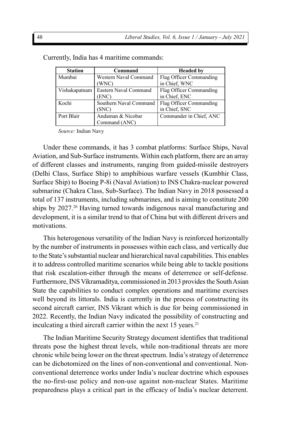| <b>Station</b> | Command                | <b>Headed by</b>        |
|----------------|------------------------|-------------------------|
| Mumbai         | Western Naval Command  | Flag Officer Commanding |
|                | (WNC)                  | in Chief, WNC           |
| Vishakapatnam  | Eastern Naval Command  | Flag Officer Commanding |
|                | ENC)                   | in Chief, ENC           |
| Kochi          | Southern Naval Command | Flag Officer Commanding |
|                | (SNC)                  | in Chief, SNC           |
| Port Blair     | Andaman & Nicobar      | Commander in Chief, ANC |
|                | Command (ANC)          |                         |

Currently, India has 4 maritime commands:

*Source:* Indian Navy

Under these commands, it has 3 combat platforms: Surface Ships, Naval Aviation, and Sub-Surface instruments. Within each platform, there are an array of different classes and instruments, ranging from guided-missile destroyers (Delhi Class, Surface Ship) to amphibious warfare vessels (Kumbhir Class, Surface Ship) to Boeing P-8i (Naval Aviation) to INS Chakra-nuclear powered submarine (Chakra Class, Sub-Surface). The Indian Navy in 2018 possessed a total of 137 instruments, including submarines, and is aiming to constitute 200 ships by 2027.<sup>20</sup> Having turned towards indigenous naval manufacturing and development, it is a similar trend to that of China but with different drivers and motivations.

This heterogenous versatility of the Indian Navy is reinforced horizontally by the number of instruments in possesses within each class, and vertically due to the State's substantial nuclear and hierarchical naval capabilities. This enables it to address controlled maritime scenarios while being able to tackle positions that risk escalation-either through the means of deterrence or self-defense. Furthermore, INS Vikramaditya, commissioned in 2013 provides the South Asian State the capabilities to conduct complex operations and maritime exercises well beyond its littorals. India is currently in the process of constructing its second aircraft carrier, INS Vikrant which is due for being commissioned in 2022. Recently, the Indian Navy indicated the possibility of constructing and inculcating a third aircraft carrier within the next 15 years.<sup>21</sup>

The Indian Maritime Security Strategy document identifies that traditional threats pose the highest threat levels, while non-traditional threats are more chronic while being lower on the threat spectrum. India's strategy of deterrence can be dichotomized on the lines of non-conventional and conventional. Nonconventional deterrence works under India's nuclear doctrine which espouses the no-first-use policy and non-use against non-nuclear States. Maritime preparedness plays a critical part in the efficacy of India's nuclear deterrent.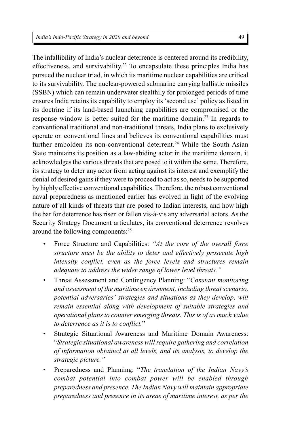The infallibility of India's nuclear deterrence is centered around its credibility, effectiveness, and survivability.<sup>22</sup> To encapsulate these principles India has pursued the nuclear triad, in which its maritime nuclear capabilities are critical to its survivability. The nuclear-powered submarine carrying ballistic missiles (SSBN) which can remain underwater stealthily for prolonged periods of time ensures India retains its capability to employ its 'second use' policy as listed in its doctrine if its land-based launching capabilities are compromised or the response window is better suited for the maritime domain.<sup>23</sup> In regards to conventional traditional and non-traditional threats, India plans to exclusively operate on conventional lines and believes its conventional capabilities must further embolden its non-conventional deterrent.<sup>24</sup> While the South Asian State maintains its position as a law-abiding actor in the maritime domain, it acknowledges the various threats that are posed to it within the same. Therefore, its strategy to deter any actor from acting against its interest and exemplify the denial of desired gains if they were to proceed to act as so, needs to be supported by highly effective conventional capabilities. Therefore, the robust conventional naval preparedness as mentioned earlier has evolved in light of the evolving nature of all kinds of threats that are posed to Indian interests, and how high the bar for deterrence has risen or fallen vis-à-vis any adversarial actors. As the Security Strategy Document articulates, its conventional deterrence revolves around the following components:<sup>25</sup>

- Force Structure and Capabilities: *"At the core of the overall force structure must be the ability to deter and effectively prosecute high intensity conflict, even as the force levels and structures remain adequate to address the wider range of lower level threats."*
- Threat Assessment and Contingency Planning: "*Constant monitoring and assessment of the maritime environment, including threat scenario, potential adversaries' strategies and situations as they develop, will remain essential along with development of suitable strategies and operational plans to counter emerging threats. This is of as much value to deterrence as it is to conflict.*"
- Strategic Situational Awareness and Maritime Domain Awareness: "*Strategic situational awareness will require gathering and correlation of information obtained at all levels, and its analysis, to develop the strategic picture."*
- Preparedness and Planning: "*The translation of the Indian Navy's combat potential into combat power will be enabled through preparedness and presence. The Indian Navy will maintain appropriate preparedness and presence in its areas of maritime interest, as per the*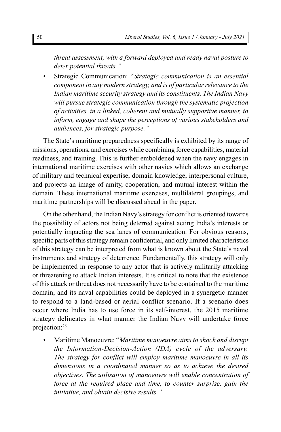*threat assessment, with a forward deployed and ready naval posture to deter potential threats."*

• Strategic Communication: "*Strategic communication is an essential component in any modern strategy, and is of particular relevance to the Indian maritime security strategy and its constituents. The Indian Navy will pursue strategic communication through the systematic projection of activities, in a linked, coherent and mutually supportive manner, to inform, engage and shape the perceptions of various stakeholders and audiences, for strategic purpose."*

The State's maritime preparedness specifically is exhibited by its range of missions, operations, and exercises while combining force capabilities, material readiness, and training. This is further emboldened when the navy engages in international maritime exercises with other navies which allows an exchange of military and technical expertise, domain knowledge, interpersonal culture, and projects an image of amity, cooperation, and mutual interest within the domain. These international maritime exercises, multilateral groupings, and maritime partnerships will be discussed ahead in the paper.

On the other hand, the Indian Navy's strategy for conflict is oriented towards the possibility of actors not being deterred against acting India's interests or potentially impacting the sea lanes of communication. For obvious reasons, specific parts of this strategy remain confidential, and only limited characteristics of this strategy can be interpreted from what is known about the State's naval instruments and strategy of deterrence. Fundamentally, this strategy will only be implemented in response to any actor that is actively militarily attacking or threatening to attack Indian interests. It is critical to note that the existence of this attack or threat does not necessarily have to be contained to the maritime domain, and its naval capabilities could be deployed in a synergetic manner to respond to a land-based or aerial conflict scenario. If a scenario does occur where India has to use force in its self-interest, the 2015 maritime strategy delineates in what manner the Indian Navy will undertake force projection:<sup>26</sup>

• Maritime Manoeuvre: "*Maritime manoeuvre aims to shock and disrupt the Information-Decision-Action (IDA) cycle of the adversary. The strategy for conflict will employ maritime manoeuvre in all its dimensions in a coordinated manner so as to achieve the desired objectives. The utilisation of manoeuvre will enable concentration of force at the required place and time, to counter surprise, gain the initiative, and obtain decisive results."*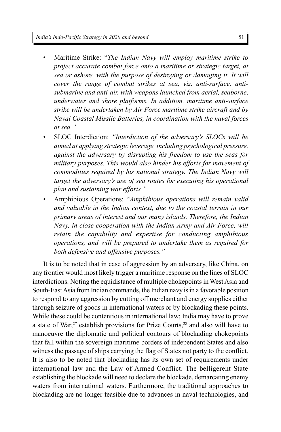- Maritime Strike: "*The Indian Navy will employ maritime strike to project accurate combat force onto a maritime or strategic target, at sea or ashore, with the purpose of destroying or damaging it. It will cover the range of combat strikes at sea, viz. anti-surface, antisubmarine and anti-air, with weapons launched from aerial, seaborne, underwater and shore platforms. In addition, maritime anti-surface strike will be undertaken by Air Force maritime strike aircraft and by Naval Coastal Missile Batteries, in coordination with the naval forces at sea."*
- SLOC Interdiction: *"Interdiction of the adversary's SLOCs will be aimed at applying strategic leverage, including psychological pressure, against the adversary by disrupting his freedom to use the seas for military purposes. This would also hinder his efforts for movement of commodities required by his national strategy. The Indian Navy will target the adversary's use of sea routes for executing his operational plan and sustaining war efforts."*
- Amphibious Operations: "*Amphibious operations will remain valid and valuable in the Indian context, due to the coastal terrain in our primary areas of interest and our many islands. Therefore, the Indian Navy, in close cooperation with the Indian Army and Air Force, will retain the capability and expertise for conducting amphibious operations, and will be prepared to undertake them as required for both defensive and offensive purposes."*

It is to be noted that in case of aggression by an adversary, like China, on any frontier would most likely trigger a maritime response on the lines of SLOC interdictions. Noting the equidistance of multiple chokepoints in West Asia and South-East Asia from Indian commands, the Indian navy is in a favorable position to respond to any aggression by cutting off merchant and energy supplies either through seizure of goods in international waters or by blockading these points. While these could be contentious in international law; India may have to prove a state of War,<sup>27</sup> establish provisions for Prize Courts,<sup>28</sup> and also will have to manoeuvre the diplomatic and political contours of blockading chokepoints that fall within the sovereign maritime borders of independent States and also witness the passage of ships carrying the flag of States not party to the conflict. It is also to be noted that blockading has its own set of requirements under international law and the Law of Armed Conflict. The belligerent State establishing the blockade will need to declare the blockade, demarcating enemy waters from international waters. Furthermore, the traditional approaches to blockading are no longer feasible due to advances in naval technologies, and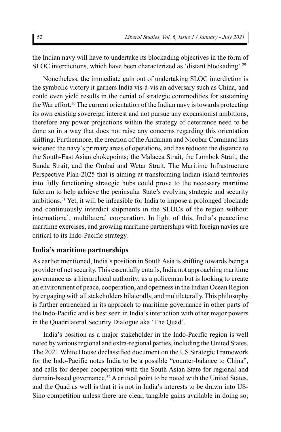the Indian navy will have to undertake its blockading objectives in the form of SLOC interdictions, which have been characterized as 'distant blockading'.<sup>29</sup>

Nonetheless, the immediate gain out of undertaking SLOC interdiction is the symbolic victory it garners India vis-à-vis an adversary such as China, and could even yield results in the denial of strategic commodities for sustaining the War effort.<sup>30</sup> The current orientation of the Indian navy is towards protecting its own existing sovereign interest and not pursue any expansionist ambitions, therefore any power projections within the strategy of deterrence need to be done so in a way that does not raise any concerns regarding this orientation shifting. Furthermore, the creation of the Andaman and Nicobar Command has widened the navy's primary areas of operations, and has reduced the distance to the South-East Asian chokepoints; the Malacca Strait, the Lombok Strait, the Sunda Strait, and the Ombai and Wetar Strait. The Maritime Infrastructure Perspective Plan-2025 that is aiming at transforming Indian island territories into fully functioning strategic hubs could prove to the necessary maritime fulcrum to help achieve the peninsular State's evolving strategic and security ambitions.<sup>31</sup> Yet, it will be infeasible for India to impose a prolonged blockade and continuously interdict shipments in the SLOCs of the region without international, multilateral cooperation. In light of this, India's peacetime maritime exercises, and growing maritime partnerships with foreign navies are critical to its Indo-Pacific strategy.

## **India's maritime partnerships**

As earlier mentioned, India's position in South Asia is shifting towards being a provider of net security. This essentially entails, India not approaching maritime governance as a hierarchical authority; as a policeman but is looking to create an environment of peace, cooperation, and openness in the Indian Ocean Region by engaging with all stakeholders bilaterally, and multilaterally. This philosophy is further entrenched in its approach to maritime governance in other parts of the Indo-Pacific and is best seen in India's interaction with other major powers in the Quadrilateral Security Dialogue aka 'The Quad'.

India's position as a major stakeholder in the Indo-Pacific region is well noted by various regional and extra-regional parties, including the United States. The 2021 White House declassified document on the US Strategic Framework for the Indo-Pacific notes India to be a possible "counter-balance to China", and calls for deeper cooperation with the South Asian State for regional and domain-based governance.<sup>32</sup> A critical point to be noted with the United States, and the Quad as well is that it is not in India's interests to be drawn into US-Sino competition unless there are clear, tangible gains available in doing so;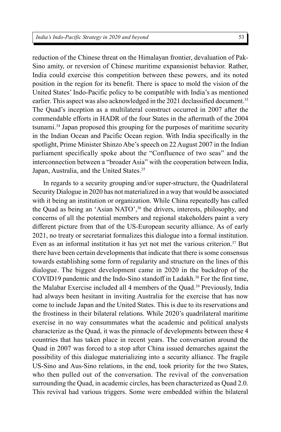reduction of the Chinese threat on the Himalayan frontier, devaluation of Pak-Sino amity, or reversion of Chinese maritime expansionist behavior. Rather, India could exercise this competition between these powers, and its noted position in the region for its benefit. There is space to mold the vision of the United States' Indo-Pacific policy to be compatible with India's as mentioned earlier. This aspect was also acknowledged in the 2021 declassified document.<sup>33</sup> The Quad's inception as a multilateral construct occurred in 2007 after the commendable efforts in HADR of the four States in the aftermath of the 2004 tsunami.<sup>34</sup> Japan proposed this grouping for the purposes of maritime security in the Indian Ocean and Pacific Ocean region. With India specifically in the spotlight, Prime Minister Shinzo Abe's speech on 22 August 2007 in the Indian parliament specifically spoke about the "Confluence of two seas" and the interconnection between a "broader Asia" with the cooperation between India, Japan, Australia, and the United States.<sup>35</sup>

In regards to a security grouping and/or super-structure, the Quadrilateral Security Dialogue in 2020 has not materialized in a way that would be associated with it being an institution or organization. While China repeatedly has called the Quad as being an 'Asian NATO',<sup>36</sup> the drivers, interests, philosophy, and concerns of all the potential members and regional stakeholders paint a very different picture from that of the US-European security alliance. As of early 2021, no treaty or secretariat formalizes this dialogue into a formal institution. Even as an informal institution it has yet not met the various criterion.<sup>37</sup> But there have been certain developments that indicate that there is some consensus towards establishing some form of regularity and structure on the lines of this dialogue. The biggest development came in 2020 in the backdrop of the COVID19 pandemic and the Indo-Sino standoff in Ladakh.<sup>38</sup> For the first time, the Malabar Exercise included all 4 members of the Quad.<sup>39</sup> Previously, India had always been hesitant in inviting Australia for the exercise that has now come to include Japan and the United States. This is due to its reservations and the frostiness in their bilateral relations. While 2020's quadrilateral maritime exercise in no way consummates what the academic and political analysts characterize as the Quad, it was the pinnacle of developments between these 4 countries that has taken place in recent years. The conversation around the Quad in 2007 was forced to a stop after China issued demarches against the possibility of this dialogue materializing into a security alliance. The fragile US-Sino and Aus-Sino relations, in the end, took priority for the two States, who then pulled out of the conversation. The revival of the conversation surrounding the Quad, in academic circles, has been characterized as Quad 2.0. This revival had various triggers. Some were embedded within the bilateral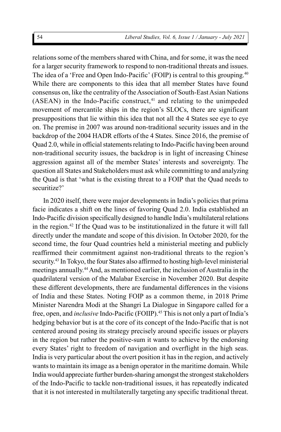relations some of the members shared with China, and for some, it was the need for a larger security framework to respond to non-traditional threats and issues. The idea of a 'Free and Open Indo-Pacific' (FOIP) is central to this grouping.<sup>40</sup> While there are components to this idea that all member States have found consensus on, like the centrality of the Association of South-East Asian Nations  $(ASEAN)$  in the Indo-Pacific construct, $41$  and relating to the unimpeded movement of mercantile ships in the region's SLOCs, there are significant presuppositions that lie within this idea that not all the 4 States see eye to eye on. The premise in 2007 was around non-traditional security issues and in the backdrop of the 2004 HADR efforts of the 4 States. Since 2016, the premise of Quad 2.0, while in official statements relating to Indo-Pacific having been around non-traditional security issues, the backdrop is in light of increasing Chinese aggression against all of the member States' interests and sovereignty. The question all States and Stakeholders must ask while committing to and analyzing the Quad is that 'what is the existing threat to a FOIP that the Quad needs to securitize?'

In 2020 itself, there were major developments in India's policies that prima facie indicates a shift on the lines of favoring Quad 2.0. India established an Indo-Pacific division specifically designed to handle India's multilateral relations in the region.<sup>42</sup> If the Quad was to be institutionalized in the future it will fall directly under the mandate and scope of this division. In October 2020, for the second time, the four Quad countries held a ministerial meeting and publicly reaffirmed their commitment against non-traditional threats to the region's security.<sup>43</sup> In Tokyo, the four States also affirmed to hosting high-level ministerial meetings annually.<sup>44</sup> And, as mentioned earlier, the inclusion of Australia in the quadrilateral version of the Malabar Exercise in November 2020. But despite these different developments, there are fundamental differences in the visions of India and these States. Noting FOIP as a common theme, in 2018 Prime Minister Narendra Modi at the Shangri La Dialogue in Singapore called for a free, open, and *inclusive* Indo-Pacific (FOIIP).<sup>45</sup> This is not only a part of India's hedging behavior but is at the core of its concept of the Indo-Pacific that is not centered around posing its strategy precisely around specific issues or players in the region but rather the positive-sum it wants to achieve by the endorsing every States' right to freedom of navigation and overflight in the high seas. India is very particular about the overt position it has in the region, and actively wants to maintain its image as a benign operator in the maritime domain. While India would appreciate further burden-sharing amongst the strongest stakeholders of the Indo-Pacific to tackle non-traditional issues, it has repeatedly indicated that it is not interested in multilaterally targeting any specific traditional threat.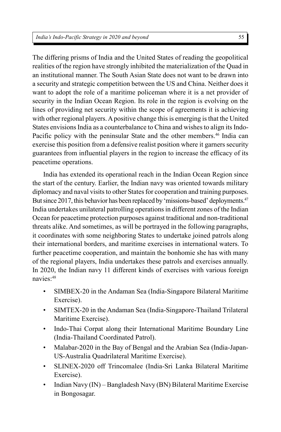The differing prisms of India and the United States of reading the geopolitical realities of the region have strongly inhibited the materialization of the Quad in an institutional manner. The South Asian State does not want to be drawn into a security and strategic competition between the US and China. Neither does it want to adopt the role of a maritime policeman where it is a net provider of security in the Indian Ocean Region. Its role in the region is evolving on the lines of providing net security within the scope of agreements it is achieving with other regional players. A positive change this is emerging is that the United States envisions India as a counterbalance to China and wishes to align its Indo-Pacific policy with the peninsular State and the other members.<sup>46</sup> India can exercise this position from a defensive realist position where it garners security guarantees from influential players in the region to increase the efficacy of its peacetime operations.

India has extended its operational reach in the Indian Ocean Region since the start of the century. Earlier, the Indian navy was oriented towards military diplomacy and naval visits to other States for cooperation and training purposes. But since 2017, this behavior has been replaced by 'missions-based' deployments.<sup>47</sup> India undertakes unilateral patrolling operations in different zones of the Indian Ocean for peacetime protection purposes against traditional and non-traditional threats alike. And sometimes, as will be portrayed in the following paragraphs, it coordinates with some neighboring States to undertake joined patrols along their international borders, and maritime exercises in international waters. To further peacetime cooperation, and maintain the bonhomie she has with many of the regional players, India undertakes these patrols and exercises annually. In 2020, the Indian navy 11 different kinds of exercises with various foreign navies:<sup>48</sup>

- SIMBEX-20 in the Andaman Sea (India-Singapore Bilateral Maritime Exercise).
- SIMTEX-20 in the Andaman Sea (India-Singapore-Thailand Trilateral Maritime Exercise).
- Indo-Thai Corpat along their International Maritime Boundary Line (India-Thailand Coordinated Patrol).
- Malabar-2020 in the Bay of Bengal and the Arabian Sea (India-Japan-US-Australia Quadrilateral Maritime Exercise).
- SLINEX-2020 off Trincomalee (India-Sri Lanka Bilateral Maritime Exercise).
- Indian Navy (IN) Bangladesh Navy (BN) Bilateral Maritime Exercise in Bongosagar.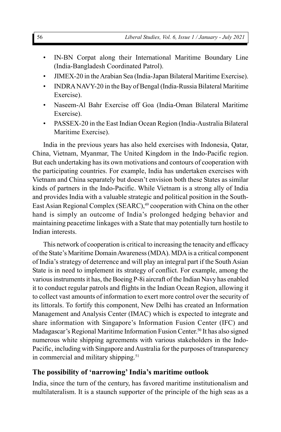- IN-BN Corpat along their International Maritime Boundary Line (India-Bangladesh Coordinated Patrol).
- JIMEX-20 in the Arabian Sea (India-Japan Bilateral Maritime Exercise).
- INDRA NAVY-20 in the Bay of Bengal (India-Russia Bilateral Maritime Exercise).
- Naseem-Al Bahr Exercise off Goa (India-Oman Bilateral Maritime Exercise).
- PASSEX-20 in the East Indian Ocean Region (India-Australia Bilateral Maritime Exercise).

India in the previous years has also held exercises with Indonesia, Qatar, China, Vietnam, Myanmar, The United Kingdom in the Indo-Pacific region. But each undertaking has its own motivations and contours of cooperation with the participating countries. For example, India has undertaken exercises with Vietnam and China separately but doesn't envision both these States as similar kinds of partners in the Indo-Pacific. While Vietnam is a strong ally of India and provides India with a valuable strategic and political position in the South-East Asian Regional Complex (SEARC),<sup>49</sup> cooperation with China on the other hand is simply an outcome of India's prolonged hedging behavior and maintaining peacetime linkages with a State that may potentially turn hostile to Indian interests.

This network of cooperation is critical to increasing the tenacity and efficacy of the State's Maritime Domain Awareness (MDA). MDA is a critical component of India's strategy of deterrence and will play an integral part if the South Asian State is in need to implement its strategy of conflict. For example, among the various instruments it has, the Boeing P-8i aircraft of the Indian Navy has enabled it to conduct regular patrols and flights in the Indian Ocean Region, allowing it to collect vast amounts of information to exert more control over the security of its littorals. To fortify this component, New Delhi has created an Information Management and Analysis Center (IMAC) which is expected to integrate and share information with Singapore's Information Fusion Center (IFC) and Madagascar's Regional Maritime Information Fusion Center.<sup>50</sup> It has also signed numerous white shipping agreements with various stakeholders in the Indo-Pacific, including with Singapore and Australia for the purposes of transparency in commercial and military shipping.<sup>51</sup>

# **The possibility of 'narrowing' India's maritime outlook**

India, since the turn of the century, has favored maritime institutionalism and multilateralism. It is a staunch supporter of the principle of the high seas as a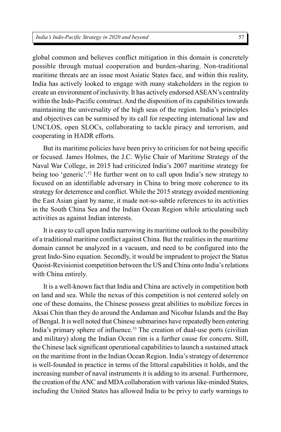#### *India's Indo-Pacific Strategy in 2020 and beyond*

global common and believes conflict mitigation in this domain is concretely possible through mutual cooperation and burden-sharing. Non-traditional maritime threats are an issue most Asiatic States face, and within this reality, India has actively looked to engage with many stakeholders in the region to create an environment of inclusivity. It has actively endorsed ASEAN's centrality within the Indo-Pacific construct. And the disposition of its capabilities towards maintaining the universality of the high seas of the region. India's principles and objectives can be surmised by its call for respecting international law and UNCLOS, open SLOCs, collaborating to tackle piracy and terrorism, and cooperating in HADR efforts.

But its maritime policies have been privy to criticism for not being specific or focused. James Holmes, the J.C. Wylie Chair of Maritime Strategy of the Naval War College, in 2015 had criticized India's 2007 maritime strategy for being too 'generic'.<sup>52</sup> He further went on to call upon India's new strategy to focused on an identifiable adversary in China to bring more coherence to its strategy for deterrence and conflict. While the 2015 strategy avoided mentioning the East Asian giant by name, it made not-so-subtle references to its activities in the South China Sea and the Indian Ocean Region while articulating such activities as against Indian interests.

It is easy to call upon India narrowing its maritime outlook to the possibility of a traditional maritime conflict against China. But the realities in the maritime domain cannot be analyzed in a vacuum, and need to be configured into the great Indo-Sino equation. Secondly, it would be imprudent to project the Status Quoist-Revisionist competition between the US and China onto India's relations with China entirely.

It is a well-known fact that India and China are actively in competition both on land and sea. While the nexus of this competition is not centered solely on one of these domains, the Chinese possess great abilities to mobilize forces in Aksai Chin than they do around the Andaman and Nicobar Islands and the Bay of Bengal. It is well noted that Chinese submarines have repeatedly been entering India's primary sphere of influence.<sup>53</sup> The creation of dual-use ports (civilian and military) along the Indian Ocean rim is a further cause for concern. Still, the Chinese lack significant operational capabilities to launch a sustained attack on the maritime front in the Indian Ocean Region. India's strategy of deterrence is well-founded in practice in terms of the littoral capabilities it holds, and the increasing number of naval instruments it is adding to its arsenal. Furthermore, the creation of the ANC and MDA collaboration with various like-minded States, including the United States has allowed India to be privy to early warnings to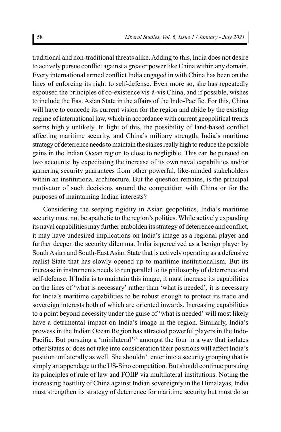traditional and non-traditional threats alike. Adding to this, India does not desire to actively pursue conflict against a greater power like China within any domain. Every international armed conflict India engaged in with China has been on the lines of enforcing its right to self-defense. Even more so, she has repeatedly espoused the principles of co-existence vis-à-vis China, and if possible, wishes to include the East Asian State in the affairs of the Indo-Pacific. For this, China will have to concede its current vision for the region and abide by the existing regime of international law, which in accordance with current geopolitical trends seems highly unlikely. In light of this, the possibility of land-based conflict affecting maritime security, and China's military strength, India's maritime strategy of deterrence needs to maintain the stakes really high to reduce the possible gains in the Indian Ocean region to close to negligible. This can be pursued on two accounts: by expediating the increase of its own naval capabilities and/or garnering security guarantees from other powerful, like-minded stakeholders within an institutional architecture. But the question remains, is the principal motivator of such decisions around the competition with China or for the purposes of maintaining Indian interests?

Considering the seeping rigidity in Asian geopolitics, India's maritime security must not be apathetic to the region's politics. While actively expanding its naval capabilities may further embolden its strategy of deterrence and conflict, it may have undesired implications on India's image as a regional player and further deepen the security dilemma. India is perceived as a benign player by South Asian and South-East Asian State that is actively operating as a defensive realist State that has slowly opened up to maritime institutionalism. But its increase in instruments needs to run parallel to its philosophy of deterrence and self-defense. If India is to maintain this image, it must increase its capabilities on the lines of 'what is necessary' rather than 'what is needed', it is necessary for India's maritime capabilities to be robust enough to protect its trade and sovereign interests both of which are oriented inwards. Increasing capabilities to a point beyond necessity under the guise of 'what is needed' will most likely have a detrimental impact on India's image in the region. Similarly, India's prowess in the Indian Ocean Region has attracted powerful players in the Indo-Pacific. But pursuing a 'minilateral'<sup>54</sup> amongst the four in a way that isolates other States or does not take into consideration their positions will affect India's position unilaterally as well. She shouldn't enter into a security grouping that is simply an appendage to the US-Sino competition. But should continue pursuing its principles of rule of law and FOIIP via multilateral institutions. Noting the increasing hostility of China against Indian sovereignty in the Himalayas, India must strengthen its strategy of deterrence for maritime security but must do so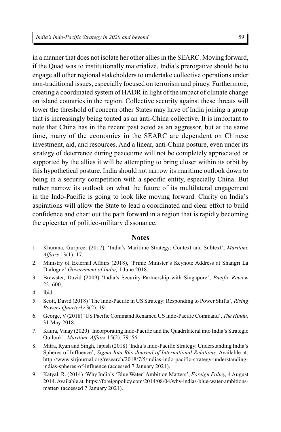in a manner that does not isolate her other allies in the SEARC. Moving forward, if the Quad was to institutionally materialize, India's prerogative should be to engage all other regional stakeholders to undertake collective operations under non-traditional issues, especially focused on terrorism and piracy. Furthermore, creating a coordinated system of HADR in light of the impact of climate change on island countries in the region. Collective security against these threats will lower the threshold of concern other States may have of India joining a group that is increasingly being touted as an anti-China collective. It is important to note that China has in the recent past acted as an aggressor, but at the same time, many of the economies in the SEARC are dependent on Chinese investment, aid, and resources. And a linear, anti-China posture, even under its strategy of deterrence during peacetime will not be completely appreciated or supported by the allies it will be attempting to bring closer within its orbit by this hypothetical posture. India should not narrow its maritime outlook down to being in a security competition with a specific entity, especially China. But rather narrow its outlook on what the future of its multilateral engagement in the Indo-Pacific is going to look like moving forward. Clarity on India's aspirations will allow the State to lead a coordinated and clear effort to build confidence and chart out the path forward in a region that is rapidly becoming the epicenter of politico-military dissonance.

#### **Notes**

- 1. Khurana, Gurpreet (2017), 'India's Maritime Strategy: Context and Subtext', *Maritime Affairs* 13(1): 17.
- 2. Ministry of External Affairs (2018), 'Prime Minister's Keynote Address at Shangri La Dialogue' *Government of India,* 1 June 2018.
- 3. Brewster, David (2009) 'India's Security Partnership with Singapore', *Pacific Review* 22: 600.
- 4. Ibid.
- 5. Scott, David (2018) 'The Indo-Pacific in US Strategy: Responding to Power Shifts', *Rising Powers Quarterly* 3(2): 19.
- 6. George, V (2018) 'US Pacific Command Renamed US Indo-Pacific Command', *The Hindu,* 31 May 2018.
- 7. Kaura, Vinay (2020) 'Incorporating Indo-Pacific and the Quadrilateral into India's Strategic Outlook', *Maritime Affairs* 15(2): 79. 56.
- 8. Mitra, Ryan and Singh, Japish (2018) 'India's Indo-Pacific Strategy: Understanding India's Spheres of Influence', *Sigma Iota Rho Journal of International Relations*. Available at: http://www.sirjournal.org/research/2018/7/5/indias-indo-pacific-strategy-understandingindias-spheres-of-influence (accessed 7 January 2021).
- 9. Katyal, R. (2014) 'Why India's 'Blue Water' Ambition Matters', *Foreign Policy,* 4 August 2014. Available at: https://foreignpolicy.com/2014/08/04/why-indias-blue-water-ambitionsmatter/ (accessed 7 January 2021).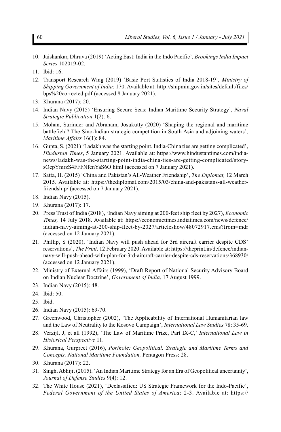- 10. Jaishankar, Dhruva (2019) 'Acting East: India in the Indo Pacific', *Brookings India Impact Series* 102019-02.
- 11. Ibid: 16.
- 12. Transport Research Wing (2019) 'Basic Port Statistics of India 2018-19', *Ministry of Shipping Government of India*: 170. Available at: http://shipmin.gov.in/sites/default/files/ bps%20corrected.pdf (accessed 8 January 2021).
- 13. Khurana (2017): 20.
- 14. Indian Navy (2015) 'Ensuring Secure Seas: Indian Maritime Security Strategy', *Naval Strategic Publication* 1(2): 6.
- 15. Mohan, Surinder and Abraham, Josukutty (2020) 'Shaping the regional and maritime battlefield? The Sino-Indian strategic competition in South Asia and adjoining waters', *Maritime Affairs* 16(1): 84.
- 16. Gupta, S. (2021) 'Ladakh was the starting point. India-China ties are getting complicated', *Hindustan Times*, 5 January 2021. Available at: https://www.hindustantimes.com/indianews/ladakh-was-the-starting-point-india-china-ties-are-getting-complicated/storysOcpYmrzS4FFFNfenYaS6O.html (accessed on 7 January 2021).
- 17. Satta, H. (2015) 'China and Pakistan's All-Weather Friendship', *The Diplomat,* 12 March 2015. Available at: https://thediplomat.com/2015/03/china-and-pakistans-all-weatherfriendship/ (accessed on 7 January 2021).
- 18. Indian Navy (2015).
- 19. Khurana (2017): 17.
- 20. Press Trust of India (2018), 'Indian Navy aiming at 200-feet ship fleet by 2027), *Economic Times,* 14 July 2018. Available at: https://economictimes.indiatimes.com/news/defence/ indian-navy-aiming-at-200-ship-fleet-by-2027/articleshow/48072917.cms?from=mdr (accessed on 12 January 2021).
- 21. Phillip, S (2020), 'Indian Navy will push ahead for 3rd aircraft carrier despite CDS' reservations', *The Print,* 12 February 2020. Available at: https://theprint.in/defence/indiannavy-will-push-ahead-with-plan-for-3rd-aircraft-carrier-despite-cds-reservations/368930/ (accessed on 12 January 2021).
- 22. Ministry of External Affairs (1999), 'Draft Report of National Security Advisory Board on Indian Nuclear Doctrine', *Government of India*, 17 August 1999.
- 23. Indian Navy (2015): 48.
- 24. Ibid: 50.
- 25. Ibid.
- 26. Indian Navy (2015): 69-70.
- 27. Greenwood, Christopher (2002), 'The Applicability of International Humanitarian law and the Law of Neutrality to the Kosovo Campaign', *International Law Studies* 78: 35-69.
- 28. Verzijl, J, et all (1992), 'The Law of Maritime Prize, Part IX-C,' *International Law in Historical Perspective* 11.
- 29. Khurana, Gurpreet (2016), *Porthole: Geopolitical, Strategic and Maritime Terms and Concepts, National Maritime Foundation,* Pentagon Press: 28.
- 30. Khurana (2017): 22.
- 31. Singh, Abhijit (2015). 'An Indian Maritime Strategy for an Era of Geopolitical uncertainty', *Journal of Defense Studies* 9(4): 12.
- 32. The White House (2021), 'Declassified: US Strategic Framework for the Indo-Pacific', *Federal Government of the United States of America*: 2-3. Available at: https://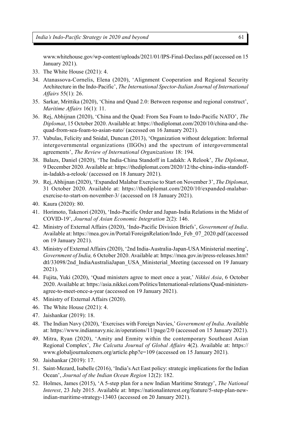www.whitehouse.gov/wp-content/uploads/2021/01/IPS-Final-Declass.pdf (accessed on 15 January 2021).

- 33. The White House (2021): 4.
- 34. Atanassova-Cornelis, Elena (2020), 'Alignment Cooperation and Regional Security Architecture in the Indo-Pacific', *The International Spector-Italian Journal of International Affairs* 55(1): 26.
- 35. Sarkar, Mrittika (2020), 'China and Quad 2.0: Between response and regional construct', *Maritime Affairs* 16(1): 11.
- 36. Rej, Abhijnan (2020), 'China and the Quad: From Sea Foam to Indo-Pacific NATO', *The Diplomat*, 15 October 2020. Available at: https://thediplomat.com/2020/10/china-and-thequad-from-sea-foam-to-asian-nato/ (accessed on 16 January 2021).
- 37. Vabulas, Felicity and Snidal, Duncan (2013), 'Organization without delegation: Informal intergovernmental organizations (IIGOs) and the spectrum of intergovernmental agreements', *The Review of International Organizations* 18: 194.
- 38. Balazs, Daniel (2020), 'The India-China Standoff in Ladakh: A Relook', *The Diplomat*, 9 December 2020. Available at: https://thediplomat.com/2020/12/the-china-india-standoffin-ladakh-a-relook/ (accessed on 18 January 2021).
- 39. Rej, Abhijnan (2020), 'Expanded Malabar Exercise to Start on November 3', *The Diplomat*, 31 October 2020. Available at: https://thediplomat.com/2020/10/expanded-malabarexercise-to-start-on-november-3/ (accessed on 18 January 2021).
- 40. Kaura (2020): 80.
- 41. Horimoto, Takenori (2020), 'Indo-Pacific Order and Japan-India Relations in the Midst of COVID-19', *Journal of Asian Economic Integration* 2(2): 146.
- 42. Ministry of External Affairs (2020), 'Indo-Pacific Division Briefs', *Government of India*. Available at: https://mea.gov.in/Portal/ForeignRelation/Indo\_Feb\_07\_2020.pdf (accessed on 19 January 2021).
- 43. Ministry of External Affairs (2020), '2nd India-Australia-Japan-USA Ministerial meeting', *Government of India,* 6 October 2020. Available at: https://mea.gov.in/press-releases.htm? dtl/33098/2nd\_IndiaAustraliaJapan\_USA\_Ministerial\_Meeting (accessed on 19 January 2021).
- 44. Fujita, Yuki (2020), 'Quad ministers agree to meet once a year,' *Nikkei Asia*, 6 October 2020. Available at: https://asia.nikkei.com/Politics/International-relations/Quad-ministersagree-to-meet-once-a-year (accessed on 19 January 2021).
- 45. Ministry of External Affairs (2020).
- 46. The White House (2021): 4.
- 47. Jaishankar (2019): 18.
- 48. The Indian Navy (2020), 'Exercises with Foreign Navies,' *Government of India*. Available at: https://www.indiannavy.nic.in/operations/11/page/2/0 (accessed on 15 January 2021).
- 49. Mitra, Ryan (2020), 'Amity and Enmity within the contemporary Southeast Asian Regional Complex', *The Calcutta Journal of Global Affairs* 4(2). Available at: https:// www.globaljournalceners.org/article.php?e=109 (accessed on 15 January 2021).
- 50. Jaishankar (2019): 17.
- 51. Saint-Mezard, Isabelle (2016), 'India's Act East policy: strategic implications for the Indian Ocean', *Journal of the Indian Ocean Region* 12(2): 182.
- 52. Holmes, James (2015), 'A 5-step plan for a new Indian Maritime Strategy', *The National Interest*, 23 July 2015. Available at: https://nationalinterest.org/feature/5-step-plan-newindian-maritime-strategy-13403 (accessed on 20 January 2021).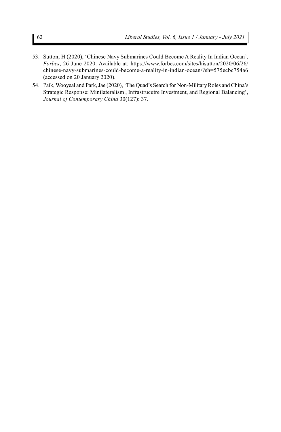- 53. Sutton, H (2020), 'Chinese Navy Submarines Could Become A Reality In Indian Ocean', *Forbes*, 26 June 2020. Available at: https://www.forbes.com/sites/hisutton/2020/06/26/ chinese-navy-submarines-could-become-a-reality-in-indian-ocean/?sh=575ecbc754a6 (accessed on 20 January 2020).
- 54. Paik, Wooyeal and Park, Jae (2020), 'The Quad's Search for Non-Military Roles and China's Strategic Response: Minilateralism , Infrastrucutre Investment, and Regional Balancing', *Journal of Contemporary China* 30(127): 37.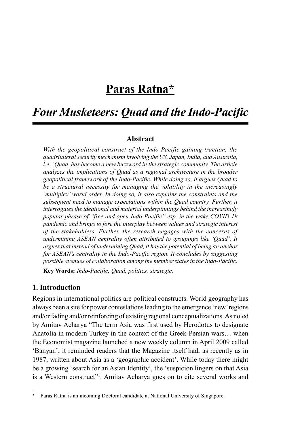# **Paras Ratna\***

# *Four Musketeers: Quad and the Indo-Pacific*

### **Abstract**

*With the geopolitical construct of the Indo-Pacific gaining traction, the quadrilateral security mechanism involving the US, Japan, India, and Australia, i.e. 'Quad' has become a new buzzword in the strategic community. The article analyzes the implications of Quad as a regional architecture in the broader geopolitical framework of the Indo-Pacific. While doing so, it argues Quad to be a structural necessity for managing the volatility in the increasingly 'multiplex' world order. In doing so, it also explains the constraints and the subsequent need to manage expectations within the Quad country. Further, it interrogates the ideational and material underpinnings behind the increasingly popular phrase of "free and open Indo-Pacific" esp. in the wake COVID 19 pandemic and brings to fore the interplay between values and strategic interest of the stakeholders. Further, the research engages with the concerns of undermining ASEAN centrality often attributed to groupings like 'Quad'. It argues that instead of undermining Quad, it has the potential of being an anchor for ASEAN's centrality in the Indo-Pacific region. It concludes by suggesting possible avenues of collaboration among the member states in the Indo-Pacific.*

**Key Words:** *Indo-Pacific, Quad, politics, strategic.*

## **1. Introduction**

Regions in international politics are political constructs. World geography has always been a site for power contestations leading to the emergence 'new' regions and/or fading and/or reinforcing of existing regional conceptualizations. As noted by Amitav Acharya "The term Asia was first used by Herodotus to designate Anatolia in modern Turkey in the context of the Greek-Persian wars… when the Economist magazine launched a new weekly column in April 2009 called 'Banyan', it reminded readers that the Magazine itself had, as recently as in 1987, written about Asia as a 'geographic accident'. While today there might be a growing 'search for an Asian Identity', the 'suspicion lingers on that Asia is a Western construct"<sup>1</sup>. Amitav Acharya goes on to cite several works and

Paras Ratna is an incoming Doctoral candidate at National University of Singapore.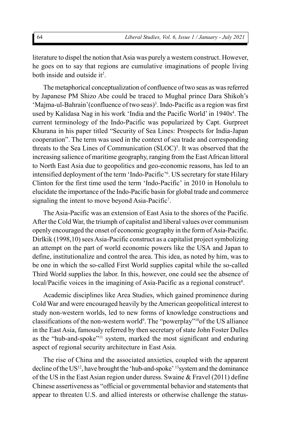literature to dispel the notion that Asia was purely a western construct. However, he goes on to say that regions are cumulative imaginations of people living both inside and outside it<sup>2</sup>.

The metaphorical conceptualization of confluence of two seas as was referred by Japanese PM Shizo Abe could be traced to Mughal prince Dara Shikoh's 'Majma-ul-Bahrain' (confluence of two seas)<sup>3</sup>. Indo-Pacific as a region was first used by Kalidasa Nag in his work 'India and the Pacific World' in 1940s<sup>4</sup>. The current terminology of the Indo-Pacific was popularized by Capt. Gurpreet Khurana in his paper titled "Security of Sea Lines: Prospects for India-Japan cooperation". The term was used in the context of sea trade and corresponding threats to the Sea Lines of Communication (SLOC)<sup>5</sup>. It was observed that the increasing salience of maritime geography, ranging from the East African littoral to North East Asia due to geopolitics and geo-economic reasons, has led to an intensified deployment of the term 'Indo-Pacific'<sup>6</sup> . US secretary for state Hilary Clinton for the first time used the term 'Indo-Pacific' in 2010 in Honolulu to elucidate the importance of the Indo-Pacific basin for global trade and commerce signaling the intent to move beyond Asia-Pacific<sup>7</sup>.

The Asia-Pacific was an extension of East Asia to the shores of the Pacific. After the Cold War, the triumph of capitalist and liberal values over communism openly encouraged the onset of economic geography in the form of Asia-Pacific. Dirlkik (1998,10) sees Asia-Pacific construct as a capitalist project symbolizing an attempt on the part of world economic powers like the USA and Japan to define, institutionalize and control the area. This idea, as noted by him, was to be one in which the so-called First World supplies capital while the so-called Third World supplies the labor. In this, however, one could see the absence of local/Pacific voices in the imagining of Asia-Pacific as a regional construct<sup>8</sup>.

Academic disciplines like Area Studies, which gained prominence during Cold War and were encouraged heavily by the American geopolitical interest to study non-western worlds, led to new forms of knowledge constructions and classifications of the non-western world<sup>9</sup>. The "powerplay"<sup>10</sup>of the US alliance in the East Asia, famously referred by then secretary of state John Foster Dulles as the "hub-and-spoke"<sup>11</sup> system, marked the most significant and enduring aspect of regional security architecture in East Asia.

The rise of China and the associated anxieties, coupled with the apparent decline of the US<sup>12</sup>, have brought the 'hub-and-spoke' <sup>13</sup> system and the dominance of the US in the East Asian region under duress. Swaine & Fravel (2011) define Chinese assertiveness as "official or governmental behavior and statements that appear to threaten U.S. and allied interests or otherwise challenge the status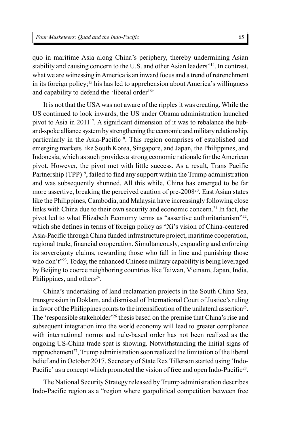quo in maritime Asia along China's periphery, thereby undermining Asian stability and causing concern to the U.S. and other Asian leaders"<sup>14</sup>. In contrast, what we are witnessing in America is an inward focus and a trend of retrenchment in its foreign policy;<sup>15</sup> his has led to apprehension about America's willingness and capability to defend the 'liberal order<sup>16</sup>'

It is not that the USA was not aware of the ripples it was creating. While the US continued to look inwards, the US under Obama administration launched pivot to Asia in 201117. A significant dimension of it was to rebalance the huband-spoke alliance system by strengthening the economic and military relationship, particularly in the Asia-Pacific<sup>18</sup>. This region comprises of established and emerging markets like South Korea, Singapore, and Japan, the Philippines, and Indonesia, which as such provides a strong economic rationale for the American pivot. However, the pivot met with little success. As a result, Trans Pacific Partnership (TPP)<sup>19</sup>, failed to find any support within the Trump administration and was subsequently shunned. All this while, China has emerged to be far more assertive, breaking the perceived caution of pre-2008<sup>20</sup>. East Asian states like the Philippines, Cambodia, and Malaysia have increasingly following close links with China due to their own security and economic concern.<sup>21</sup> In fact, the pivot led to what Elizabeth Economy terms as "assertive authoritarianism"<sup>22</sup>, which she defines in terms of foreign policy as "Xi's vision of China-centered Asia-Pacific through China funded infrastructure project, maritime cooperation, regional trade, financial cooperation. Simultaneously, expanding and enforcing its sovereignty claims, rewarding those who fall in line and punishing those who don't"<sup>23</sup>. Today, the enhanced Chinese military capability is being leveraged by Beijing to coerce neighboring countries like Taiwan, Vietnam, Japan, India, Philippines, and others<sup>24</sup>.

China's undertaking of land reclamation projects in the South China Sea, transgression in Doklam, and dismissal of International Court of Justice's ruling in favor of the Philippines points to the intensification of the unilateral assertion<sup>25</sup>. The 'responsible stakeholder'<sup>26</sup> thesis based on the premise that China's rise and subsequent integration into the world economy will lead to greater compliance with international norms and rule-based order has not been realized as the ongoing US-China trade spat is showing. Notwithstanding the initial signs of rapprochement<sup>27</sup>, Trump administration soon realized the limitation of the liberal belief and in October 2017, Secretary of State Rex Tillerson started using 'Indo-Pacific' as a concept which promoted the vision of free and open Indo-Pacific<sup>28</sup>.

The National Security Strategy released by Trump administration describes Indo-Pacific region as a "region where geopolitical competition between free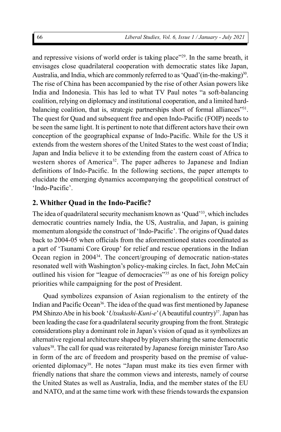and repressive visions of world order is taking place"<sup>29</sup>. In the same breath, it envisages close quadrilateral cooperation with democratic states like Japan, Australia, and India, which are commonly referred to as 'Quad'(in-the-making)<sup>30</sup>. The rise of China has been accompanied by the rise of other Asian powers like India and Indonesia. This has led to what TV Paul notes "a soft-balancing coalition, relying on diplomacy and institutional cooperation, and a limited hardbalancing coalition, that is, strategic partnerships short of formal alliances"<sup>31</sup>. The quest for Quad and subsequent free and open Indo-Pacific (FOIP) needs to be seen the same light. It is pertinent to note that different actors have their own conception of the geographical expanse of Indo-Pacific. While for the US it extends from the western shores of the United States to the west coast of India; Japan and India believe it to be extending from the eastern coast of Africa to western shores of America<sup>32</sup>. The paper adheres to Japanese and Indian definitions of Indo-Pacific. In the following sections, the paper attempts to elucidate the emerging dynamics accompanying the geopolitical construct of 'Indo-Pacific'.

## **2. Whither Quad in the Indo-Pacific?**

The idea of quadrilateral security mechanism known as 'Quad'<sup>33</sup>, which includes democratic countries namely India, the US, Australia, and Japan, is gaining momentum alongside the construct of 'Indo-Pacific'. The origins of Quad dates back to 2004-05 when officials from the aforementioned states coordinated as a part of 'Tsunami Core Group' for relief and rescue operations in the Indian Ocean region in 2004<sup>34</sup>. The concert/grouping of democratic nation-states resonated well with Washington's policy-making circles. In fact, John McCain outlined his vision for "league of democracies"<sup>35</sup> as one of his foreign policy priorities while campaigning for the post of President.

Quad symbolizes expansion of Asian regionalism to the entirety of the Indian and Pacific Ocean<sup>36</sup>. The idea of the quad was first mentioned by Japanese PM Shinzo Abe in his book '*Utsukushi-Kuni-e*' (A beautiful country)<sup>37</sup>. Japan has been leading the case for a quadrilateral security grouping from the front. Strategic considerations play a dominant role in Japan's vision of quad as it symbolizes an alternative regional architecture shaped by players sharing the same democratic values<sup>38</sup>. The call for quad was reiterated by Japanese foreign minister Taro Aso in form of the arc of freedom and prosperity based on the premise of valueoriented diplomacy<sup>39</sup>. He notes "Japan must make its ties even firmer with friendly nations that share the common views and interests, namely of course the United States as well as Australia, India, and the member states of the EU and NATO, and at the same time work with these friends towards the expansion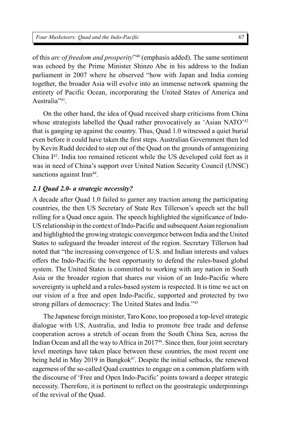*Four Musketeers: Quad and the Indo-Pacific*

of this *arc of freedom and prosperity*" <sup>40</sup> (emphasis added). The same sentiment was echoed by the Prime Minister Shinzo Abe in his address to the Indian parliament in 2007 where he observed "how with Japan and India coming together, the broader Asia will evolve into an immense network spanning the entirety of Pacific Ocean, incorporating the United States of America and Australia<sup>"41</sup>.

On the other hand, the idea of Quad received sharp criticisms from China whose strategists labelled the Quad rather provocatively as 'Asian NATO'<sup>42</sup> that is ganging up against the country. Thus, Quad 1.0 witnessed a quiet burial even before it could have taken the first steps. Australian Government then led by Kevin Rudd decided to step out of the Quad on the grounds of antagonizing China I<sup>43</sup>. India too remained reticent while the US developed cold feet as it was in need of China's support over United Nation Security Council (UNSC) sanctions against Iran<sup>44</sup>.

## *2.1 Quad 2.0- a strategic necessity?*

A decade after Quad 1.0 failed to garner any traction among the participating countries, the then US Secretary of State Rex Tillerson's speech set the ball rolling for a Quad once again. The speech highlighted the significance of Indo-US relationship in the context of Indo-Pacific and subsequent Asian regionalism and highlighted the growing strategic convergence between India and the United States to safeguard the broader interest of the region. Secretary Tillerson had noted that "the increasing convergence of U.S. and Indian interests and values offers the Indo-Pacific the best opportunity to defend the rules-based global system. The United States is committed to working with any nation in South Asia or the broader region that shares our vision of an Indo-Pacific where sovereignty is upheld and a rules-based system is respected. It is time we act on our vision of a free and open Indo-Pacific, supported and protected by two strong pillars of democracy: The United States and India."45

The Japanese foreign minister, Taro Kono, too proposed a top-level strategic dialogue with US, Australia, and India to promote free trade and defense cooperation across a stretch of ocean from the South China Sea, across the Indian Ocean and all the way to Africa in 2017<sup>46</sup>. Since then, four joint secretary level meetings have taken place between these countries, the most recent one being held in May 2019 in Bangkok<sup>47</sup>. Despite the initial setbacks, the renewed eagerness of the so-called Quad countries to engage on a common platform with the discourse of 'Free and Open Indo-Pacific' points toward a deeper strategic necessity. Therefore, it is pertinent to reflect on the geostrategic underpinnings of the revival of the Quad.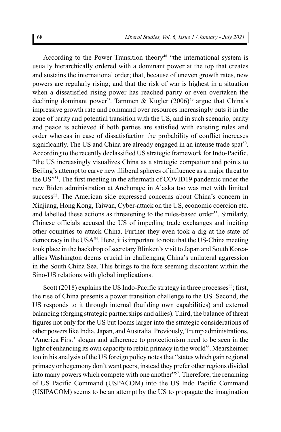According to the Power Transition theory<sup>48</sup> "the international system is usually hierarchically ordered with a dominant power at the top that creates and sustains the international order; that, because of uneven growth rates, new powers are regularly rising; and that the risk of war is highest in a situation when a dissatisfied rising power has reached parity or even overtaken the declining dominant power". Tammen & Kugler  $(2006)^{49}$  argue that China's impressive growth rate and command over resources increasingly puts it in the zone of parity and potential transition with the US, and in such scenario, parity and peace is achieved if both parties are satisfied with existing rules and order whereas in case of dissatisfaction the probability of conflict increases significantly. The US and China are already engaged in an intense trade spat<sup>50</sup>. According to the recently declassified US strategic framework for Indo-Pacific, "the US increasingly visualizes China as a strategic competitor and points to Beijing's attempt to carve new illiberal spheres of influence as a major threat to the US"<sup>51</sup>. The first meeting in the aftermath of COVID19 pandemic under the new Biden administration at Anchorage in Alaska too was met with limited success<sup>52</sup>. The American side expressed concerns about China's concern in Xinjiang, Hong Kong, Taiwan, Cyber-attack on the US, economic coercion etc. and labelled these actions as threatening to the rules-based order<sup>53</sup>. Similarly, Chinese officials accused the US of impeding trade exchanges and inciting other countries to attack China. Further they even took a dig at the state of democracy in the USA<sup>54</sup>. Here, it is important to note that the US-China meeting took place in the backdrop of secretary Blinken's visit to Japan and South Koreaallies Washington deems crucial in challenging China's unilateral aggression in the South China Sea. This brings to the fore seeming discontent within the Sino-US relations with global implications.

Scott (2018) explains the US Indo-Pacific strategy in three processes<sup>55</sup>; first, the rise of China presents a power transition challenge to the US. Second, the US responds to it through internal (building own capabilities) and external balancing (forging strategic partnerships and allies). Third, the balance of threat figures not only for the US but looms larger into the strategic considerations of other powers like India, Japan, and Australia. Previously, Trump administrations, 'America First' slogan and adherence to protectionism need to be seen in the light of enhancing its own capacity to retain primacy in the world<sup>56</sup>. Mearsheimer too in his analysis of the US foreign policy notes that "states which gain regional primacy or hegemony don't want peers, instead they prefer other regions divided into many powers which compete with one another"<sup>57</sup>. Therefore, the renaming of US Pacific Command (USPACOM) into the US Indo Pacific Command (USIPACOM) seems to be an attempt by the US to propagate the imagination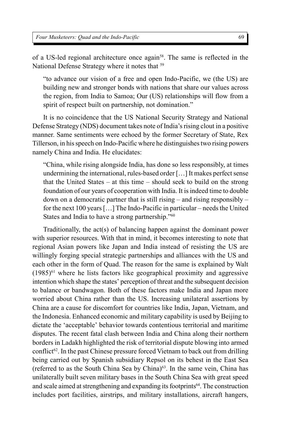of a US-led regional architecture once again<sup>58</sup>. The same is reflected in the National Defense Strategy where it notes that <sup>59</sup>

"to advance our vision of a free and open Indo-Pacific, we (the US) are building new and stronger bonds with nations that share our values across the region, from India to Samoa; Our (US) relationships will flow from a spirit of respect built on partnership, not domination."

It is no coincidence that the US National Security Strategy and National Defense Strategy (NDS) document takes note of India's rising clout in a positive manner. Same sentiments were echoed by the former Secretary of State, Rex Tillerson, in his speech on Indo-Pacific where he distinguishes two rising powers namely China and India. He elucidates:

"China, while rising alongside India, has done so less responsibly, at times undermining the international, rules-based order […] It makes perfect sense that the United States – at this time – should seek to build on the strong foundation of our years of cooperation with India. It is indeed time to double down on a democratic partner that is still rising – and rising responsibly – for the next 100 years […] The Indo-Pacific in particular – needs the United States and India to have a strong partnership."<sup>60</sup>

Traditionally, the act(s) of balancing happen against the dominant power with superior resources. With that in mind, it becomes interesting to note that regional Asian powers like Japan and India instead of resisting the US are willingly forging special strategic partnerships and alliances with the US and each other in the form of Quad. The reason for the same is explained by Walt  $(1985)^{61}$  where he lists factors like geographical proximity and aggressive intention which shape the states' perception of threat and the subsequent decision to balance or bandwagon. Both of these factors make India and Japan more worried about China rather than the US. Increasing unilateral assertions by China are a cause for discomfort for countries like India, Japan, Vietnam, and the Indonesia. Enhanced economic and military capability is used by Beijing to dictate the 'acceptable' behavior towards contentious territorial and maritime disputes. The recent fatal clash between India and China along their northern borders in Ladakh highlighted the risk of territorial dispute blowing into armed conflict<sup>62</sup>. In the past Chinese pressure forced Vietnam to back out from drilling being carried out by Spanish subsidiary Repsol on its behest in the East Sea (referred to as the South China Sea by China)<sup>63</sup>. In the same vein, China has unilaterally built seven military bases in the South China Sea with great speed and scale aimed at strengthening and expanding its footprints<sup>64</sup>. The construction includes port facilities, airstrips, and military installations, aircraft hangers,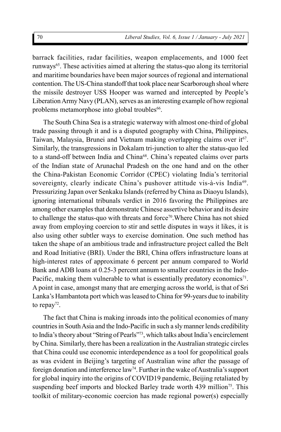barrack facilities, radar facilities, weapon emplacements, and 1000 feet runways<sup>65</sup>. These activities aimed at altering the status-quo along its territorial and maritime boundaries have been major sources of regional and international contention. The US-China standoff that took place near Scarborough shoal where the missile destroyer USS Hooper was warned and intercepted by People's Liberation Army Navy (PLAN), serves as an interesting example of how regional problems metamorphose into global troubles<sup>66</sup>.

The South China Sea is a strategic waterway with almost one-third of global trade passing through it and is a disputed geography with China, Philippines, Taiwan, Malaysia, Brunei and Vietnam making overlapping claims over it<sup>67</sup>. Similarly, the transgressions in Dokalam tri-junction to alter the status-quo led to a stand-off between India and China<sup>68</sup>. China's repeated claims over parts of the Indian state of Arunachal Pradesh on the one hand and on the other the China-Pakistan Economic Corridor (CPEC) violating India's territorial sovereignty, clearly indicate China's pushover attitude vis-à-vis India<sup>69</sup>. Pressurizing Japan over Senkaku Islands (referred by China as Diaoyu Islands), ignoring international tribunals verdict in 2016 favoring the Philippines are among other examples that demonstrate Chinese assertive behavior and its desire to challenge the status-quo with threats and force<sup>70</sup>. Where China has not shied away from employing coercion to stir and settle disputes in ways it likes, it is also using other subtler ways to exercise domination. One such method has taken the shape of an ambitious trade and infrastructure project called the Belt and Road Initiative (BRI). Under the BRI, China offers infrastructure loans at high-interest rates of approximate 6 percent per annum compared to World Bank and ADB loans at 0.25-3 percent annum to smaller countries in the Indo-Pacific, making them vulnerable to what is essentially predatory economics<sup>71</sup>. A point in case, amongst many that are emerging across the world, is that of Sri Lanka's Hambantota port which was leased to China for 99-years due to inability to repay<sup>72</sup>.

The fact that China is making inroads into the political economies of many countries in South Asia and the Indo-Pacific in such a sly manner lends credibility to India's theory about "String of Pearls"<sup>73</sup>, which talks about India's encirclement by China. Similarly, there has been a realization in the Australian strategic circles that China could use economic interdependence as a tool for geopolitical goals as was evident in Beijing's targeting of Australian wine after the passage of foreign donation and interference law<sup>74</sup>. Further in the wake of Australia's support for global inquiry into the origins of COVID19 pandemic, Beijing retaliated by suspending beef imports and blocked Barley trade worth 439 million<sup>75</sup>. This toolkit of military-economic coercion has made regional power(s) especially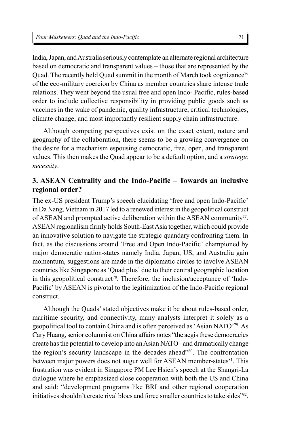India, Japan, and Australia seriously contemplate an alternate regional architecture based on democratic and transparent values – those that are represented by the Quad. The recently held Quad summit in the month of March took cognizance<sup>76</sup> of the eco-military coercion by China as member countries share intense trade relations. They went beyond the usual free and open Indo- Pacific, rules-based order to include collective responsibility in providing public goods such as vaccines in the wake of pandemic, quality infrastructure, critical technologies, climate change, and most importantly resilient supply chain infrastructure.

Although competing perspectives exist on the exact extent, nature and geography of the collaboration, there seems to be a growing convergence on the desire for a mechanism espousing democratic, free, open, and transparent values. This then makes the Quad appear to be a default option, and a *strategic necessity*.

# **3. ASEAN Centrality and the Indo-Pacific – Towards an inclusive regional order?**

The ex-US president Trump's speech elucidating 'free and open Indo-Pacific' in Da Nang, Vietnam in 2017 led to a renewed interest in the geopolitical construct of ASEAN and prompted active deliberation within the ASEAN community<sup>77</sup>. ASEAN regionalism firmly holds South-East Asia together, which could provide an innovative solution to navigate the strategic quandary confronting them. In fact, as the discussions around 'Free and Open Indo-Pacific' championed by major democratic nation-states namely India, Japan, US, and Australia gain momentum, suggestions are made in the diplomatic circles to involve ASEAN countries like Singapore as 'Quad plus' due to their central geographic location in this geopolitical construct<sup>78</sup>. Therefore, the inclusion/acceptance of 'Indo-Pacific' by ASEAN is pivotal to the legitimization of the Indo-Pacific regional construct.

Although the Quads' stated objectives make it be about rules-based order, maritime security, and connectivity, many analysts interpret it solely as a geopolitical tool to contain China and is often perceived as 'Asian NATO'<sup>79</sup>. As Cary Huang, senior columnist on China affairs notes "the aegis these democracies create has the potential to develop into an Asian NATO– and dramatically change the region's security landscape in the decades ahead"<sup>80</sup>. The confrontation between major powers does not augur well for ASEAN member-states<sup>81</sup>. This frustration was evident in Singapore PM Lee Hsien's speech at the Shangri-La dialogue where he emphasized close cooperation with both the US and China and said: "development programs like BRI and other regional cooperation initiatives shouldn't create rival blocs and force smaller countries to take sides"<sup>82</sup>.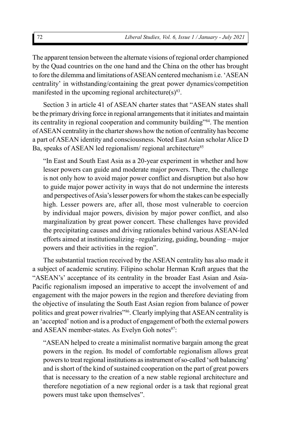The apparent tension between the alternate visions of regional order championed by the Quad countries on the one hand and the China on the other has brought to fore the dilemma and limitations of ASEAN centered mechanism i.e. 'ASEAN centrality' in withstanding/containing the great power dynamics/competition manifested in the upcoming regional architecture $(s)^{83}$ .

Section 3 in article 41 of ASEAN charter states that "ASEAN states shall be the primary driving force in regional arrangements that it initiates and maintain its centrality in regional cooperation and community building"<sup>84</sup>. The mention of ASEAN centrality in the charter shows how the notion of centrality has become a part of ASEAN identity and consciousness. Noted East Asian scholar Alice D Ba, speaks of ASEAN led regionalism/ regional architecture<sup>85</sup>

"In East and South East Asia as a 20-year experiment in whether and how lesser powers can guide and moderate major powers. There, the challenge is not only how to avoid major power conflict and disruption but also how to guide major power activity in ways that do not undermine the interests and perspectives of Asia's lesser powers for whom the stakes can be especially high. Lesser powers are, after all, those most vulnerable to coercion by individual major powers, division by major power conflict, and also marginalization by great power concert. These challenges have provided the precipitating causes and driving rationales behind various ASEAN-led efforts aimed at institutionalizing –regularizing, guiding, bounding – major powers and their activities in the region".

The substantial traction received by the ASEAN centrality has also made it a subject of academic scrutiny. Filipino scholar Herman Kraft argues that the "ASEAN's' acceptance of its centrality in the broader East Asian and Asia-Pacific regionalism imposed an imperative to accept the involvement of and engagement with the major powers in the region and therefore deviating from the objective of insulating the South East Asian region from balance of power politics and great power rivalries"<sup>86</sup>. Clearly implying that ASEAN centrality is an 'accepted' notion and is a product of engagement of both the external powers and ASEAN member-states. As Evelyn Goh notes<sup>87</sup>:

"ASEAN helped to create a minimalist normative bargain among the great powers in the region. Its model of comfortable regionalism allows great powers to treat regional institutions as instrument of so-called 'soft balancing' and is short of the kind of sustained cooperation on the part of great powers that is necessary to the creation of a new stable regional architecture and therefore negotiation of a new regional order is a task that regional great powers must take upon themselves".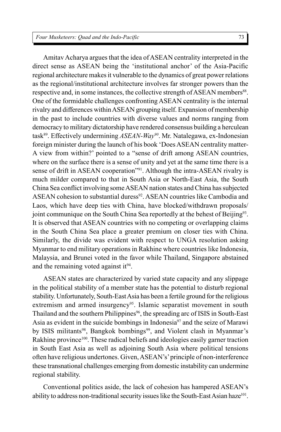Amitav Acharya argues that the idea of ASEAN centrality interpreted in the direct sense as ASEAN being the 'institutional anchor' of the Asia-Pacific regional architecture makes it vulnerable to the dynamics of great power relations as the regional/institutional architecture involves far stronger powers than the respective and, in some instances, the collective strength of ASEAN members<sup>88</sup>. One of the formidable challenges confronting ASEAN centrality is the internal rivalry and differences within ASEAN grouping itself. Expansion of membership in the past to include countries with diverse values and norms ranging from democracy to military dictatorship have rendered consensus building a herculean task<sup>89</sup>. Effectively undermining *ASEAN-Way<sup>90</sup>*. Mr. Natalegawa, ex-Indonesian foreign minister during the launch of his book 'Does ASEAN centrality matter-A view from within?' pointed to a "sense of drift among ASEAN countries, where on the surface there is a sense of unity and yet at the same time there is a sense of drift in ASEAN cooperation<sup>"91</sup>. Although the intra-ASEAN rivalry is much milder compared to that in South Asia or North-East Asia, the South China Sea conflict involving some ASEAN nation states and China has subjected ASEAN cohesion to substantial duress<sup>92</sup>. ASEAN countries like Cambodia and Laos, which have deep ties with China, have blocked/withdrawn proposals/ joint communique on the South China Sea reportedly at the behest of Beijing<sup>93</sup>. It is observed that ASEAN countries with no competing or overlapping claims in the South China Sea place a greater premium on closer ties with China. Similarly, the divide was evident with respect to UNGA resolution asking Myanmar to end military operations in Rakhine where countries like Indonesia, Malaysia, and Brunei voted in the favor while Thailand, Singapore abstained and the remaining voted against it<sup>94</sup>.

ASEAN states are characterized by varied state capacity and any slippage in the political stability of a member state has the potential to disturb regional stability. Unfortunately, South-East Asia has been a fertile ground for the religious extremism and armed insurgency<sup>95</sup>. Islamic separatist movement in south Thailand and the southern Philippines<sup>96</sup>, the spreading arc of ISIS in South-East Asia as evident in the suicide bombings in Indonesia<sup>97</sup> and the seize of Marawi by ISIS militants<sup>98</sup>, Bangkok bombings<sup>99</sup>, and Violent clash in Myanmar's Rakhine province<sup>100</sup>. These radical beliefs and ideologies easily garner traction in South East Asia as well as adjoining South Asia where political tensions often have religious undertones. Given, ASEAN's' principle of non-interference these transnational challenges emerging from domestic instability can undermine regional stability.

Conventional politics aside, the lack of cohesion has hampered ASEAN's ability to address non-traditional security issues like the South-East Asian haze<sup>101</sup>.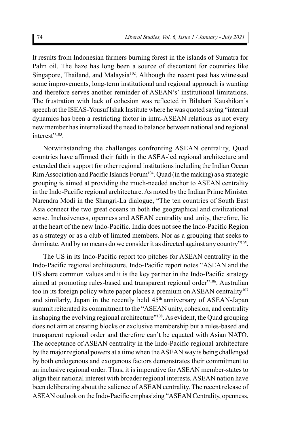It results from Indonesian farmers burning forest in the islands of Sumatra for Palm oil. The haze has long been a source of discontent for countries like Singapore, Thailand, and Malaysia<sup>102</sup>. Although the recent past has witnessed some improvements, long-term institutional and regional approach is wanting and therefore serves another reminder of ASEAN's' institutional limitations. The frustration with lack of cohesion was reflected in Bilahari Kaushikan's speech at the ISEAS-Yousuf Ishak Institute where he was quoted saying "internal dynamics has been a restricting factor in intra-ASEAN relations as not every new member has internalized the need to balance between national and regional interest"<sup>103</sup>.

Notwithstanding the challenges confronting ASEAN centrality, Quad countries have affirmed their faith in the ASEA-led regional architecture and extended their support for other regional institutions including the Indian Ocean Rim Association and Pacific Islands Forum<sup>104</sup>. Quad (in the making) as a strategic grouping is aimed at providing the much-needed anchor to ASEAN centrality in the Indo-Pacific regional architecture. As noted by the Indian Prime Minister Narendra Modi in the Shangri-La dialogue, "The ten countries of South East Asia connect the two great oceans in both the geographical and civilizational sense. Inclusiveness, openness and ASEAN centrality and unity, therefore, lie at the heart of the new Indo-Pacific. India does not see the Indo-Pacific Region as a strategy or as a club of limited members. Nor as a grouping that seeks to dominate. And by no means do we consider it as directed against any country"<sup>105</sup> .

The US in its Indo-Pacific report too pitches for ASEAN centrality in the Indo-Pacific regional architecture. Indo-Pacific report notes "ASEAN and the US share common values and it is the key partner in the Indo-Pacific strategy aimed at promoting rules-based and transparent regional order"<sup>106</sup>. Australian too in its foreign policy white paper places a premium on ASEAN centrality<sup>107</sup> and similarly, Japan in the recently held 45<sup>th</sup> anniversary of ASEAN-Japan summit reiterated its commitment to the "ASEAN unity, cohesion, and centrality in shaping the evolving regional architecture"<sup>108</sup>. As evident, the Quad grouping does not aim at creating blocks or exclusive membership but a rules-based and transparent regional order and therefore can't be equated with Asian NATO. The acceptance of ASEAN centrality in the Indo-Pacific regional architecture by the major regional powers at a time when the ASEAN way is being challenged by both endogenous and exogenous factors demonstrates their commitment to an inclusive regional order. Thus, it is imperative for ASEAN member-states to align their national interest with broader regional interests. ASEAN nation have been deliberating about the salience of ASEAN centrality. The recent release of ASEAN outlook on the Indo-Pacific emphasizing "ASEAN Centrality, openness,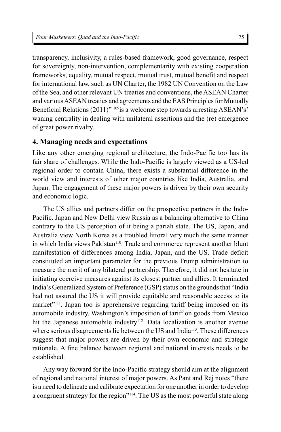transparency, inclusivity, a rules-based framework, good governance, respect for sovereignty, non-intervention, complementarity with existing cooperation frameworks, equality, mutual respect, mutual trust, mutual benefit and respect for international law, such as UN Charter, the 1982 UN Convention on the Law of the Sea, and other relevant UN treaties and conventions, the ASEAN Charter and various ASEAN treaties and agreements and the EAS Principles for Mutually Beneficial Relations (2011)" 109 is a welcome step towards arresting ASEAN's' waning centrality in dealing with unilateral assertions and the (re) emergence of great power rivalry.

#### **4. Managing needs and expectations**

Like any other emerging regional architecture, the Indo-Pacific too has its fair share of challenges. While the Indo-Pacific is largely viewed as a US-led regional order to contain China, there exists a substantial difference in the world view and interests of other major countries like India, Australia, and Japan. The engagement of these major powers is driven by their own security and economic logic.

The US allies and partners differ on the prospective partners in the Indo-Pacific. Japan and New Delhi view Russia as a balancing alternative to China contrary to the US perception of it being a pariah state. The US, Japan, and Australia view North Korea as a troubled littoral very much the same manner in which India views Pakistan<sup>110</sup>. Trade and commerce represent another blunt manifestation of differences among India, Japan, and the US. Trade deficit constituted an important parameter for the previous Trump administration to measure the merit of any bilateral partnership. Therefore, it did not hesitate in initiating coercive measures against its closest partner and allies. It terminated India's Generalized System of Preference (GSP) status on the grounds that "India had not assured the US it will provide equitable and reasonable access to its market"<sup>111</sup>. Japan too is apprehensive regarding tariff being imposed on its automobile industry. Washington's imposition of tariff on goods from Mexico hit the Japanese automobile industry<sup>112</sup>. Data localization is another avenue where serious disagreements lie between the US and India<sup>113</sup>. These differences suggest that major powers are driven by their own economic and strategic rationale. A fine balance between regional and national interests needs to be established.

Any way forward for the Indo-Pacific strategy should aim at the alignment of regional and national interest of major powers. As Pant and Rej notes "there is a need to delineate and calibrate expectation for one another in order to develop a congruent strategy for the region"<sup>114</sup>. The US as the most powerful state along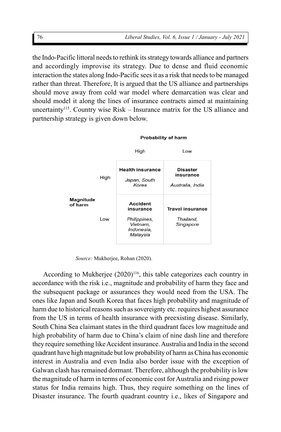the Indo-Pacific littoral needs to rethink its strategy towards alliance and partners and accordingly improvise its strategy. Due to dense and fluid economic interaction the states along Indo-Pacific sees it as a risk that needs to be managed rather than threat. Therefore, It is argued that the US alliance and partnerships should move away from cold war model where demarcation was clear and should model it along the lines of insurance contracts aimed at maintaining uncertainty<sup>115</sup>. Country wise Risk – Insurance matrix for the US alliance and partnership strategy is given down below.



*Source:* Mukherjee, Rohan (2020).

According to Mukherjee  $(2020)^{116}$ , this table categorizes each country in accordance with the risk i.e., magnitude and probability of harm they face and the subsequent package or assurances they would need from the USA. The ones like Japan and South Korea that faces high probability and magnitude of harm due to historical reasons such as sovereignty etc. requires highest assurance from the US in terms of health insurance with preexisting disease. Similarly, South China Sea claimant states in the third quadrant faces low magnitude and high probability of harm due to China's claim of nine dash line and therefore they require something like Accident insurance. Australia and India in the second quadrant have high magnitude but low probability of harm as China has economic interest in Australia and even India also border issue with the exception of Galwan clash has remained dormant. Therefore, although the probability is low the magnitude of harm in terms of economic cost for Australia and rising power status for India remains high. Thus, they require something on the lines of Disaster insurance. The fourth quadrant country i.e., likes of Singapore and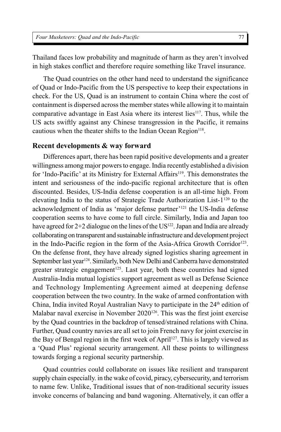Thailand faces low probability and magnitude of harm as they aren't involved in high stakes conflict and therefore require something like Travel insurance.

The Quad countries on the other hand need to understand the significance of Quad or Indo-Pacific from the US perspective to keep their expectations in check. For the US, Quad is an instrument to contain China where the cost of containment is dispersed across the member states while allowing it to maintain comparative advantage in East Asia where its interest lies<sup>117</sup>. Thus, while the US acts swiftly against any Chinese transgression in the Pacific, it remains cautious when the theater shifts to the Indian Ocean Region<sup>118</sup>.

#### **Recent developments & way forward**

Differences apart, there has been rapid positive developments and a greater willingness among major powers to engage. India recently established a division for 'Indo-Pacific' at its Ministry for External Affairs<sup>119</sup>. This demonstrates the intent and seriousness of the indo-pacific regional architecture that is often discounted. Besides, US-India defense cooperation is an all-time high. From elevating India to the status of Strategic Trade Authorization List-1<sup>120</sup> to the acknowledgment of India as 'major defense partner'<sup>121</sup> the US-India defense cooperation seems to have come to full circle. Similarly, India and Japan too have agreed for  $2+2$  dialogue on the lines of the US<sup>122</sup>. Japan and India are already collaborating on transparent and sustainable infrastructure and development project in the Indo-Pacific region in the form of the Asia-Africa Growth Corridor<sup>123</sup>. On the defense front, they have already signed logistics sharing agreement in September last year<sup>124</sup>. Similarly, both New Delhi and Canberra have demonstrated greater strategic engagement<sup>125</sup>. Last year, both these countries had signed Australia-India mutual logistics support agreement as well as Defense Science and Technology Implementing Agreement aimed at deepening defense cooperation between the two country. In the wake of armed confrontation with China, India invited Royal Australian Navy to participate in the  $24<sup>th</sup>$  edition of Malabar naval exercise in November 2020<sup>126</sup>. This was the first joint exercise by the Quad countries in the backdrop of tensed/strained relations with China. Further, Quad country navies are all set to join French navy for joint exercise in the Bay of Bengal region in the first week of April<sup>127</sup>. This is largely viewed as a 'Quad Plus' regional security arrangement. All these points to willingness towards forging a regional security partnership.

Quad countries could collaborate on issues like resilient and transparent supply chain especially. in the wake of covid, piracy, cybersecurity, and terrorism to name few. Unlike, Traditional issues that of non-traditional security issues invoke concerns of balancing and band wagoning. Alternatively, it can offer a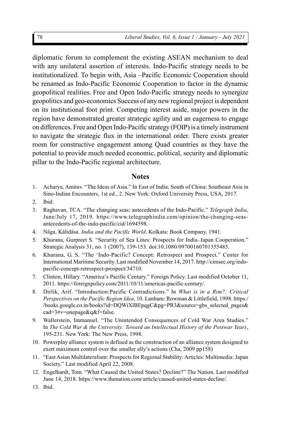diplomatic forum to complement the existing ASEAN mechanism to deal with any unilateral assertion of interests. Indo-Pacific strategy needs to be institutionalized. To begin with, Asia –Pacific Economic Cooperation should be renamed as Indo-Pacific Economic Cooperation to factor in the dynamic geopolitical realities. Free and Open Indo-Pacific strategy needs to synergize geopolitics and geo-economics Success of any new regional project is dependent on its institutional foot print. Competing interest aside, major powers in the region have demonstrated greater strategic agility and an eagerness to engage on differences. Free and Open Indo-Pacific strategy (FOIP) is a timely instrument to navigate the strategic flux in the international order. There exists greater room for constructive engagement among Quad countries as they have the potential to provide much needed economic, political, security and diplomatic pillar to the Indo-Pacific regional architecture.

#### **Notes**

- 1. Acharya, Amitav. "The Ideas of Asia." In East of India, South of China: Southeast Asia in Sino-Indian Encounters, 1st ed., 2. New York: Oxford University Press, USA, 2017.
- 2. Ibid.
- 3. Raghavan, TCA. "The changing seas: antecedents of the Indo-Pacific." *Telegraph India*, June/July 17, 2019. https://www.telegraphindia.com/opinion/the-changing-seasantecedents-of-the-indo-pacific/cid/1694598.
- 4. Nâga, Kâlidâsa. *India and the Pacific World*. Kolkata: Book Company, 1941.
- 5. Khurana, Gurpreet S. "Security of Sea Lines: Prospects for India–Japan Cooperation." Strategic Analysis 31, no. 1 (2007), 139-153. doi:10.1080/09700160701355485.
- 6. Khurana, G. S. "The 'Indo-Pacific? Concept: Retrospect and Prospect." Center for International Maritime Security. Last modified November 14, 2017. http://cimsec.org/indopacific-concept-retrospect-prospect/34710.
- 7. Clinton, Hillary. "America's Pacific Century." Foreign Policy. Last modified October 11, 2011. https://foreignpolicy.com/2011/10/11/americas-pacific-century/.
- 8. Dirlik, Arif. "Introduction:Pacific Contradictions." In *What is in a Rim?: Critical Perspectives on the Pacific Region Idea*, 10. Lanham: Rowman & Littlefield, 1998. https:/ /books.google.co.in/books?id=DQWiXlBEpqgC&pg=PR3&source=gbs\_selected\_pages& cad=3#v=onepage&q&f=false.
- 9. Wallerstein, Immanuel. "The Unintended Consequences of Cold War Area Studies." In *The Cold War & the University: Toward an Intellectual History of the Postwar Years*, 195-231. New York: The New Press, 1998.
- 10. Powerplay alliance system is defined as the construction of an alliance system designed to exert maximum control over the smaller ally's actions (Cha, 2009 pp158)
- 11. "East Asian Multilateralism: Prospects for Regional Stability: Articles: Multimedia: Japan Society." Last modified April 22, 2008.
- 12. Engelhardt, Tom. "What Caused the United States? Decline?" The Nation. Last modified June 14, 2018. https://www.thenation.com/article/caused-united-states-decline/.
- 13. Ibid.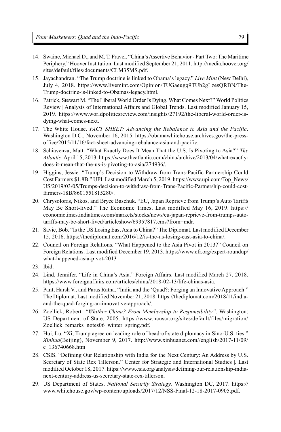- 14. Swaine, Michael D., and M. T. Fravel. "China's Assertive Behavior Part Two: The Maritime Periphery." Hoover Institution. Last modified September 21, 2011. http://media.hoover.org/ sites/default/files/documents/CLM35MS.pdf.
- 15. Jayachandran. "The Trump doctrine is linked to Obama's legacy." *Live Mint* (New Delhi), July 4, 2018. https://www.livemint.com/Opinion/TUGaeugq9TUb2gLzesQRBN/The-Trump-doctrine-is-linked-to-Obamas-legacy.html.
- 16. Patrick, Stewart M. "The Liberal World Order Is Dying. What Comes Next?" World Politics Review | Analysis of International Affairs and Global Trends. Last modified January 15, 2019. https://www.worldpoliticsreview.com/insights/27192/the-liberal-world-order-isdying-what-comes-next.
- 17. The White House. *FACT SHEET: Advancing the Rebalance to Asia and the Pacific*. Washington D.C., November 16, 2015. https://obamawhitehouse.archives.gov/the-pressoffice/2015/11/16/fact-sheet-advancing-rebalance-asia-and-pacific.
- 18. Schiavenza, Matt. "What Exactly Does It Mean That the U.S. Is Pivoting to Asia?" *The Atlantic*. April 15, 2013. https://www.theatlantic.com/china/archive/2013/04/what-exactlydoes-it-mean-that-the-us-is-pivoting-to-asia/274936/.
- 19. Higgins, Jessie. "Trump's Decision to Withdraw from Trans-Pacific Partnership Could Cost Farmers \$1.8B." UPI. Last modified March 5, 2019. https://www.upi.com/Top\_News/ US/2019/03/05/Trumps-decision-to-withdraw-from-Trans-Pacific-Partnership-could-costfarmers-18B/8601551815280/.
- 20. Chrysoloras, Nikos, and Bryce Baschuk. "EU, Japan Reprieve from Trump's Auto Tariffs May Be Short-lived." The Economic Times. Last modified May 16, 2019. https:// economictimes.indiatimes.com/markets/stocks/news/eu-japan-reprieve-from-trumps-autotariffs-may-be-short-lived/articleshow/69357817.cms?from=mdr.
- 21. Savic, Bob. "Is the US Losing East Asia to China?" The Diplomat. Last modified December 15, 2016. https://thediplomat.com/2016/12/is-the-us-losing-east-asia-to-china/.
- 22. Council on Foreign Relations. "What Happened to the Asia Pivot in 2013?" Council on Foreign Relations. Last modified December 19, 2013. https://www.cfr.org/expert-roundup/ what-happened-asia-pivot-2013
- 23. Ibid.
- 24. Lind, Jennifer. "Life in China's Asia." Foreign Affairs. Last modified March 27, 2018. https://www.foreignaffairs.com/articles/china/2018-02-13/life-chinas-asia.
- 25. Pant, Harsh V., and Paras Ratna. "India and the 'Quad?: Forging an Innovative Approach." The Diplomat. Last modified November 21, 2018. https://thediplomat.com/2018/11/indiaand-the-quad-forging-an-innovative-approach/.
- 26. Zoellick, Robert. *"Whither China? From Membership to Responsibility"*. Washington: US Department of State, 2005. https://www.ncuscr.org/sites/default/files/migration/ Zoellick remarks notes06 winter spring.pdf.
- 27. Hui, Lu. "Xi, Trump agree on leading role of head-of-state diplomacy in Sino-U.S. ties." *Xinhua*(Beijing), November 9, 2017. http://www.xinhuanet.com//english/2017-11/09/ c\_136740668.htm
- 28. CSIS. "Defining Our Relationship with India for the Next Century: An Address by U.S. Secretary of State Rex Tillerson." Center for Strategic and International Studies |. Last modified October 18, 2017. https://www.csis.org/analysis/defining-our-relationship-indianext-century-address-us-secretary-state-rex-tillerson.
- 29. US Department of States. *National Security Strategy*. Washington DC, 2017. https:// www.whitehouse.gov/wp-content/uploads/2017/12/NSS-Final-12-18-2017-0905.pdf.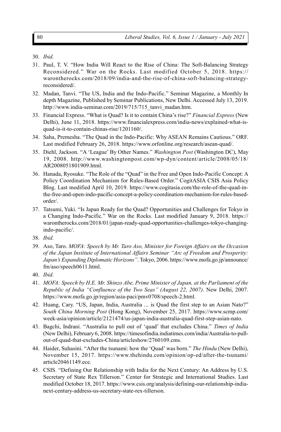- 31. Paul, T. V. "How India Will React to the Rise of China: The Soft-Balancing Strategy Reconsidered." War on the Rocks. Last modified October 5, 2018. https:// warontherocks.com/2018/09/india-and-the-rise-of-china-soft-balancing-strategyreconsidered/.
- 32. Madan, Tanvi. "The US, India and the Indo-Pacific." Seminar Magazine, a Monthly In depth Magazine, Published by Seminar Publications, New Delhi. Accessed July 13, 2019. http://www.india-seminar.com/2019/715/715\_tanvi\_madan.htm.
- 33. Financial Express. "What is Quad? Is it to contain China's rise?" *Financial Express* (New Delhi), June 11, 2018. https://www.financialexpress.com/india-news/explained-what-isquad-is-it-to-contain-chinas-rise/1201160/.
- 34. Saha, Premesha. "The Quad in the Indo-Pacific: Why ASEAN Remains Cautious." ORF. Last modified February 26, 2018. https://www.orfonline.org/research/asean-quad/.
- 35. Diehl, Jackson. "A 'League' By Other Names." *Washington Post* (Washington DC), May 19, 2008. http://www.washingtonpost.com/wp-dyn/content/article/2008/05/18/ AR2008051801909.html.
- 36. Hanada, Ryosuke. "The Role of the "Quad" in the Free and Open Indo-Pacific Concept: A Policy Coordination Mechanism for Rules-Based Order." CogitASIA CSIS Asia Policy Blog. Last modified April 10, 2019. https://www.cogitasia.com/the-role-of-the-quad-inthe-free-and-open-indo-pacific-concept-a-policy-coordination-mechanism-for-rules-basedorder/.
- 37. Tatsumi, Yuki. "Is Japan Ready for the Quad? Opportunities and Challenges for Tokyo in a Changing Indo-Pacific." War on the Rocks. Last modified January 9, 2018. https:// warontherocks.com/2018/01/japan-ready-quad-opportunities-challenges-tokyo-changingindo-pacific/.
- 38. *Ibid.*
- 39. Aso, Taro. *MOFA: Speech by Mr. Taro Aso, Minister for Foreign Affairs on the Occasion of the Japan Institute of International Affairs Seminar "Arc of Freedom and Prosperity: Japan's Expanding Diplomatic Horizons"*. Tokyo, 2006. https://www.mofa.go.jp/announce/ fm/aso/speech0611.html.
- 40. *Ibid.*
- 41. *MOFA: Speech by H.E. Mr. Shinzo Abe, Prime Minister of Japan, at the Parliament of the Republic of India "Confluence of the Two Seas" (August 22, 2007)*. New Delhi, 2007. https://www.mofa.go.jp/region/asia-paci/pmv0708/speech-2.html.
- 42. Huang, Cary. "US, Japan, India, Australia ... is Quad the first step to an Asian Nato?" *South China Morning Post* (Hong Kong), November 25, 2017. https://www.scmp.com/ week-asia/opinion/article/2121474/us-japan-india-australia-quad-first-step-asian-nato.
- 43. Bagchi, Indrani. "Australia to pull out of 'quad' that excludes China." *Times of India* (New Delhi), February 6, 2008. https://timesofindia.indiatimes.com/india/Australia-to-pullout-of-quad-that-excludes-China/articleshow/2760109.cms.
- 44. Haider, Suhasini. "After the tsunami: how the 'Quad' was born." *The Hindu* (New Delhi), November 15, 2017. https://www.thehindu.com/opinion/op-ed/after-the-tsunami/ article20461149.ece.
- 45. CSIS. "Defining Our Relationship with India for the Next Century: An Address by U.S. Secretary of State Rex Tillerson." Center for Strategic and International Studies. Last modified October 18, 2017. https://www.csis.org/analysis/defining-our-relationship-indianext-century-address-us-secretary-state-rex-tillerson.

<sup>30.</sup> *Ibid.*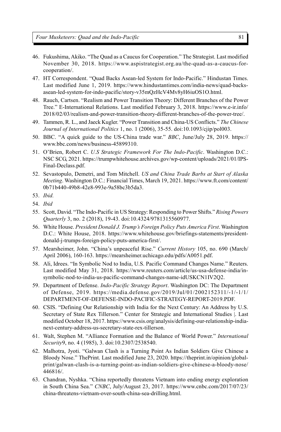- 46. Fukushima, Akiko. "The Quad as a Caucus for Cooperation." The Strategist. Last modified November 30, 2018. https://www.aspistrategist.org.au/the-quad-as-a-caucus-forcooperation/.
- 47. HT Correspondent. "Quad Backs Asean-led System for Indo-Pacific." Hindustan Times. Last modified June 1, 2019. https://www.hindustantimes.com/india-news/quad-backsasean-led-system-for-indo-pacific/story-v35mQzHcV4Mv8yH6iuOS1O.html.
- 48. Rauch, Cartsen. "Realism and Power Transition Theory: Different Branches of the Power Tree." E-International Relations. Last modified February 3, 2018. https://www.e-ir.info/ 2018/02/03/realism-and-power-transition-theory-different-branches-of-the-power-tree/.
- 49. Tammen, R. L., and Jaeck Kugler. "Power Transition and China-US Conflicts." *The Chinese Journal of International Politics* 1, no. 1 (2006), 35-55. doi:10.1093/cjip/pol003.
- 50. BBC. "A quick guide to the US-China trade war." *BBC*, June/July 28, 2019. https:// www.bbc.com/news/business-45899310.
- 51. O'Brien, Robert C. *U.S Strategic Framework For The Indo-Pacific*. Washington D.C.: NSC SCG, 2021. https://trumpwhitehouse.archives.gov/wp-content/uploads/2021/01/IPS-Final-Declass.pdf.
- 52. Sevastopulo, Demetri, and Tom Mitchell. *US and China Trade Barbs at Start of Alaska Meeting*. Washington D.C.: Financial Times, March 19, 2021. https://www.ft.com/content/ 0b71b440-49b8-42e8-993e-9a58bc3b5da3.
- 53. *Ibid.*
- 54. *Ibid*
- 55. Scott, David. "The Indo-Pacific in US Strategy: Responding to Power Shifts." *Rising Powers Quarterly* 3, no. 2 (2018), 19-43. doi:10.4324/9781315560977.
- 56. White House. *President Donald J. Trump's Foreign Policy Puts America First*. Washington D.C.: White House, 2018. https://www.whitehouse.gov/briefings-statements/presidentdonald-j-trumps-foreign-policy-puts-america-first/.
- 57. Mearsheimer, John. "China's unpeaceful Rise." *Current History* 105, no. 690 (March/ April 2006), 160-163. https://mearsheimer.uchicago.edu/pdfs/A0051.pdf.
- 58. Ali, Idrees. "In Symbolic Nod to India, U.S. Pacific Command Changes Name." Reuters. Last modified May 31, 2018. https://www.reuters.com/article/us-usa-defense-india/insymbolic-nod-to-india-us-pacific-command-changes-name-idUSKCN1IV2Q2.
- 59. Department of Defense. *Indo-Pacific Strategy Report*. Washington DC: The Department of Defense, 2019. https://media.defense.gov/2019/Jul/01/2002152311/-1/-1/1/ DEPARTMENT-OF-DEFENSE-INDO-PACIFIC-STRATEGY-REPORT-2019.PDF.
- 60. CSIS. "Defining Our Relationship with India for the Next Century: An Address by U.S. Secretary of State Rex Tillerson." Center for Strategic and International Studies |. Last modified October 18, 2017. https://www.csis.org/analysis/defining-our-relationship-indianext-century-address-us-secretary-state-rex-tillerson.
- 61. Walt, Stephen M. "Alliance Formation and the Balance of World Power." *International Security*9, no. 4 (1985), 3. doi:10.2307/2538540.
- 62. Malhotra, Jyoti. "Galwan Clash is a Turning Point As Indian Soldiers Give Chinese a Bloody Nose." ThePrint. Last modified June 23, 2020. https://theprint.in/opinion/globalprint/galwan-clash-is-a-turning-point-as-indian-soldiers-give-chinese-a-bloody-nose/ 446816/.
- 63. Chandran, Nyshka. "China reportedly threatens Vietnam into ending energy exploration in South China Sea." *CNBC*, July/August 23, 2017. https://www.cnbc.com/2017/07/23/ china-threatens-vietnam-over-south-china-sea-drilling.html.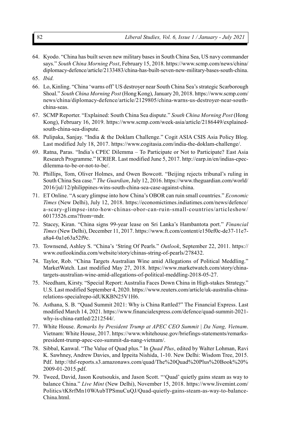- 64. Kyodo. "China has built seven new military bases in South China Sea, US navy commander says." *South China Morning Post*, February 15, 2018. https://www.scmp.com/news/china/ diplomacy-defence/article/2133483/china-has-built-seven-new-military-bases-south-china.
- 65. *Ibid.*
- 66. Lo, Kinling. "China 'warns off' US destroyer near South China Sea's strategic Scarborough Shoal." *South China Morning Post* (Hong Kong), January 20, 2018. https://www.scmp.com/ news/china/diplomacy-defence/article/2129805/china-warns-us-destroyer-near-southchina-seas.
- 67. SCMP Reporter. "Explained: South China Sea dispute." *South China Morning Post* (Hong Kong), February 16, 2019. https://www.scmp.com/week-asia/article/2186449/explainedsouth-china-sea-dispute.
- 68. Pulipaka, Sanjay. "India & the Doklam Challenge." Cogit ASIA CSIS Asia Policy Blog. Last modified July 18, 2017. https://www.cogitasia.com/india-the-doklam-challenge/.
- 69. Ratna, Paras. "India's CPEC Dilemma To Participate or Not to Participate? East Asia Research Programme." ICRIER. Last modified June 5, 2017. http://earp.in/en/indias-cpecdilemma-to-be-or-not-to-be/.
- 70. Phillips, Tom, Oliver Holmes, and Owen Bowcott. "Beijing rejects tribunal's ruling in South China Sea case." *The Guardian*, July 12, 2016. https://www.theguardian.com/world/ 2016/jul/12/philippines-wins-south-china-sea-case-against-china.
- 71. ET Online. "A scary glimpse into how China's OBOR can ruin small countries." *Economic Times* (New Delhi), July 12, 2018. https://economictimes.indiatimes.com/news/defence/ a-scary-glimpse-into-how-chinas-obor-can-ruin-small-countries/articleshow/ 60173526.cms?from=mdr.
- 72. Stacey, Kiran. "China signs 99-year lease on Sri Lanka's Hambantota port." *Financial Times* (New Delhi), December 11, 2017. https://www.ft.com/content/e150ef0c-de37-11e7 a8a4-0a1e63a52f9c.
- 73. Townsend, Ashley S. "China's 'String Of Pearls." *Outlook*, September 22, 2011. https:// www.outlookindia.com/website/story/chinas-string-of-pearls/278432.
- 74. Taylor, Rob. "China Targets Australian Wine amid Allegations of Political Meddling." MarketWatch. Last modified May 27, 2018. https://www.marketwatch.com/story/chinatargets-australian-wine-amid-allegations-of-political-meddling-2018-05-27.
- 75. Needham, Kirsty. "Special Report: Australia Faces Down China in High-stakes Strategy." U.S. Last modified September 4, 2020. https://www.reuters.com/article/uk-australia-chinarelations-specialrepo-idUKKBN25V1H6.
- 76. Asthana, S. B. "Quad Summit 2021: Why is China Rattled?" The Financial Express. Last modified March 14, 2021. https://www.financialexpress.com/defence/quad-summit-2021 why-is-china-rattled/2212544/.
- 77. White House. *Remarks by President Trump at APEC CEO Summit | Da Nang, Vietnam*. Vietnam: White House, 2017. https://www.whitehouse.gov/briefings-statements/remarkspresident-trump-apec-ceo-summit-da-nang-vietnam/.
- 78. Sibbal, Kanwal. "The Value of Quad plus." In *Quad Plus*, edited by Walter Lohman, Ravi K. Sawhney, Andrew Davies, and Ippeita Nishida, 1-10. New Delhi: Wisdom Tree, 2015. Pdf. http://thf-reports.s3.amazonaws.com/quad/The%20Quad%20Plus%20Book%20% 2009-01-2015.pdf.
- 79. Tweed, David, Jason Koutsoukis, and Jason Scott. "'Quad' quietly gains steam as way to balance China." *Live Mint* (New Delhi), November 15, 2018. https://www.livemint.com/ Politics/tK8rfMn10WAubTPSmuCuQJ/Quad-quietly-gains-steam-as-way-to-balance-China.html.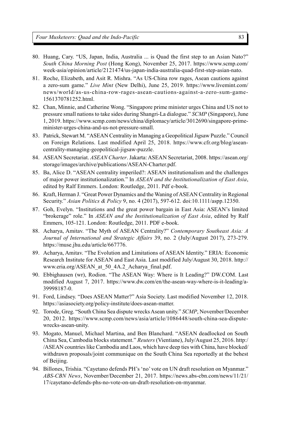- 80. Huang, Cary. "US, Japan, India, Australia ... is Quad the first step to an Asian Nato?" *South China Morning Post* (Hong Kong), November 25, 2017. https://www.scmp.com/ week-asia/opinion/article/2121474/us-japan-india-australia-quad-first-step-asian-nato.
- 81. Roche, Elizabeth, and Asit R. Mishra. "As US-China row rages, Asean cautions against a zero-sum game." *Live Mint* (New Delhi), June 25, 2019. https://www.livemint.com/ news/world/as-us-china-row-rages-asean-cautions-against-a-zero-sum-game-1561370781252.html.
- 82. Chan, Minnie, and Catherine Wong. "Singapore prime minister urges China and US not to pressure small nations to take sides during Shangri-La dialogue." *SCMP* (Singapore), June 1, 2019. https://www.scmp.com/news/china/diplomacy/article/3012690/singapore-primeminister-urges-china-and-us-not-pressure-small.
- 83. Patrick, Stewart M. "ASEAN Centrality in Managing a Geopolitical Jigsaw Puzzle." Council on Foreign Relations. Last modified April 25, 2018. https://www.cfr.org/blog/aseancentrality-managing-geopolitical-jigsaw-puzzle.
- 84. ASEAN Secretariat. *ASEAN Charter*. Jakarta: ASEAN Secretariat, 2008. https://asean.org/ storage/images/archive/publications/ASEAN-Charter.pdf.
- 85. Ba, Alice D. "ASEAN centrality imperiled?: ASEAN institutionalism and the challenges of major power institutionalization." In *ASEAN and the Institutionalization of East Asia*, edited by Ralf Emmers. London: Routledge, 2011. Pdf e-book.
- 86. Kraft, Herman J. "Great Power Dynamics and the Waning of ASEAN Centrality in Regional Security." *Asian Politics & Policy* 9, no. 4 (2017), 597-612. doi:10.1111/aspp.12350.
- 87. Goh, Evelyn. "Institutions and the great power bargain in East Asia: ASEAN's limited "brokerage" role." In *ASEAN and the Institutionalization of East Asia*, edited by Ralf Emmers, 105-121. London: Routledge, 2011. PDF e-book.
- 88. Acharya, Amitav. "The Myth of ASEAN Centrality?" *Contemporary Southeast Asia: A Journal of International and Strategic Affairs* 39, no. 2 (July/August 2017), 273-279. https://muse.jhu.edu/article/667776.
- 89. Acharya, Amitav. "The Evolution and Limitations of ASEAN Identity." ERIA: Economic Research Institute for ASEAN and East Asia. Last modified July/August 30, 2018. http:// www.eria.org/ASEAN\_at\_50\_4A.2\_Acharya\_final.pdf.
- 90. Ebbighausen (wr), Rodion. "The ASEAN Way: Where is It Leading?" DW.COM. Last modified August 7, 2017. https://www.dw.com/en/the-asean-way-where-is-it-leading/a-39998187-0.
- 91. Ford, Lindsey. "Does ASEAN Matter?" Asia Society. Last modified November 12, 2018. https://asiasociety.org/policy-institute/does-asean-matter.
- 92. Torode, Greg. "South China Sea dispute wrecks Asean unity." *SCMP*, November/December 20, 2012. https://www.scmp.com/news/asia/article/1086448/south-china-sea-disputewrecks-asean-unity.
- 93. Mogato, Manuel, Michael Martina, and Ben Blanchard. "ASEAN deadlocked on South China Sea, Cambodia blocks statement." *Reuters* (Vientiane), July/August 25, 2016. http:/ /ASEAN countries like Cambodia and Laos, which have deep ties with China, have blocked/ withdrawn proposals/joint communique on the South China Sea reportedly at the behest of Beijing.
- 94. Billones, Trishia. "Cayetano defends PH's 'no' vote on UN draft resolution on Myanmar." *ABS-CBN News*, November/December 21, 2017. https://news.abs-cbn.com/news/11/21/ 17/cayetano-defends-phs-no-vote-on-un-draft-resolution-on-myanmar.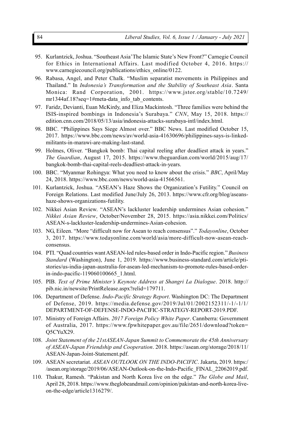- 95. Kurlantzick, Joshua. "Southeast Asia'The Islamic State's New Front?" Carnegie Council for Ethics in International Affairs. Last modified October 4, 2016. https:// www.carnegiecouncil.org/publications/ethics\_online/0122.
- 96. Rabasa, Angel, and Peter Chalk. "Muslim separatist movements in Philippines and Thailand." In *Indonesia's Transformation and the Stability of Southeast Asia*. Santa Monica: Rand Corporation, 2001. https://www.jstor.org/stable/10.7249/ mr1344af.18?seq=1#meta-data\_info\_tab\_contents.
- 97. Faridz, Devianti, Euan McKirdy, and Eliza Mackintosh. "Three families were behind the ISIS-inspired bombings in Indonesia's Surabaya." *CNN*, May 15, 2018. https:// edition.cnn.com/2018/05/13/asia/indonesia-attacks-surabaya-intl/index.html.
- 98. BBC. "Philippines Says Siege Almost over." BBC News. Last modified October 15, 2017. https://www.bbc.com/news/av/world-asia-41630696/philippines-says-is-linkedmilitants-in-marawi-are-making-last-stand.
- 99. Holmes, Oliver. "Bangkok bomb: Thai capital reeling after deadliest attack in years." *The Guardian*, August 17, 2015. https://www.theguardian.com/world/2015/aug/17/ bangkok-bomb-thai-capital-reels-deadliest-attack-in-years.
- 100. BBC. "Myanmar Rohingya: What you need to know about the crisis." *BBC*, April/May 24, 2018. https://www.bbc.com/news/world-asia-41566561.
- 101. Kurlantzick, Joshua. "ASEAN's Haze Shows the Organization's Futility." Council on Foreign Relations. Last modified June/July 26, 2013. https://www.cfr.org/blog/aseanshaze-shows-organizations-futility.
- 102. Nikkei Asian Review. "ASEAN's lackluster leadership undermines Asian cohesion." *Nikkei Asian Review*, October/November 28, 2015. https://asia.nikkei.com/Politics/ ASEAN-s-lackluster-leadership-undermines-Asian-cohesion.
- 103. NG, Eileen. "More "difficult now for Asean to reach consensus"." *Todayonline*, October 3, 2017. https://www.todayonline.com/world/asia/more-difficult-now-asean-reachconsensus.
- 104. PTI. "Quad countries want ASEAN-led rules-based order in Indo-Pacific region." *Business Standard* (Washington), June 1, 2019. https://www.business-standard.com/article/ptistories/us-india-japan-australia-for-asean-led-mechanism-to-promote-rules-based-orderin-indo-pacific-119060100665\_1.html.
- 105. PIB. *Text of Prime Minister's Keynote Address at Shangri La Dialogue*. 2018. http:// pib.nic.in/newsite/PrintRelease.aspx?relid=179711.
- 106. Department of Defense. *Indo-Pacific Strategy Report*. Washington DC: The Department of Defense, 2019. https://media.defense.gov/2019/Jul/01/2002152311/-1/-1/1/ DEPARTMENT-OF-DEFENSE-INDO-PACIFIC-STRATEGY-REPORT-2019.PDF.
- 107. Ministry of Foreign Affairs. *2017 Foreign Policy White Paper*. Cannberra: Government of Australia, 2017. https://www.fpwhitepaper.gov.au/file/2651/download?token= Q5CYuX29.
- 108. *Joint Statement of the 21stASEAN-Japan Summit to Commemorate the 45th Anniversary of ASEAN-Japan Friendship and Cooperation*. 2018. https://asean.org/storage/2018/11/ ASEAN-Japan-Joint-Statement.pdf.
- 109. ASEAN secretariat. *ASEAN OUTLOOK ON THE INDO-PACIFIC*. Jakarta, 2019. https:/ /asean.org/storage/2019/06/ASEAN-Outlook-on-the-Indo-Pacific\_FINAL\_22062019.pdf.
- 110. Thakur, Ramesh. "Pakistan and North Korea live on the edge." *The Globe and Mail*, April 28, 2018. https://www.theglobeandmail.com/opinion/pakistan-and-north-korea-liveon-the-edge/article1316279/.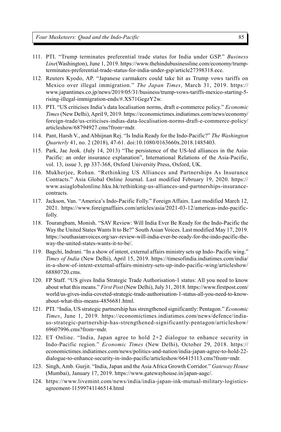- 111. PTI. "Trump terminates preferential trade status for India under GSP." *Business Line*(Washington), June 1, 2019. https://www.thehindubusinessline.com/economy/trumpterminates-preferential-trade-status-for-india-under-gsp/article27398318.ece.
- 112. Reuters Kyodo, AP. "Japanese carmakers could take hit as Trump vows tariffs on Mexico over illegal immigration." *The Japan Times*, March 31, 2019. https:// www.japantimes.co.jp/news/2019/05/31/business/trump-vows-tariffs-mexico-starting-5 rising-illegal-immigration-ends/#.XS71GegzY2w.
- 113. PTI. "US criticises India's data localisation norms, draft e-commerce policy." *Economic Times* (New Delhi), April 9, 2019. https://economictimes.indiatimes.com/news/economy/ foreign-trade/us-criticises-indias-data-localisation-norms-draft-e-commerce-policy/ articleshow/68794927.cms?from=mdr.
- 114. Pant, Harsh V., and Abhijnan Rej. "Is India Ready for the Indo-Pacific?" *The Washington Quarterly* 41, no. 2 (2018), 47-61. doi:10.1080/0163660x.2018.1485403.
- 115. Park, Jae Jeok. (July 14, 2013) "The persistence of the US-led alliances in the Asia-Pacific: an order insurance explanation", International Relations of the Asia-Pacific, vol. 13, issue 3, pp 337-368, Oxford University Press, Oxford, UK.
- 116. Mukherjee, Rohan. "Rethinking US Alliances and Partnerships As Insurance Contracts." Asia Global Online Journal. Last modified February 19, 2020. https:// www.asiaglobalonline.hku.hk/rethinking-us-alliances-and-partnerships-insurancecontracts.
- 117. Jackson, Van. "America's Indo-Pacific Folly." Foreign Affairs. Last modified March 12, 2021. https://www.foreignaffairs.com/articles/asia/2021-03-12/americas-indo-pacificfolly.
- 118. Tourangbam, Monish. "SAV Review: Will India Ever Be Ready for the Indo-Pacific the Way the United States Wants It to Be?" South Asian Voices. Last modified May 17, 2019. https://southasianvoices.org/sav-review-will-india-ever-be-ready-for-the-indo-pacific-theway-the-united-states-wants-it-to-be/.
- 119. Bagchi, Indrani. "In a show of intent, external affairs ministry sets up Indo- Pacific wing." *Times of India* (New Delhi), April 15, 2019. https://timesofindia.indiatimes.com/india/ in-a-show-of-intent-external-affairs-ministry-sets-up-indo-pacific-wing/articleshow/ 68880720.cms.
- 120. FP Staff. "US gives India Strategic Trade Authorisation-1 status: All you need to know about what this means." *First Post* (New Delhi), July 31, 2018. https://www.firstpost.com/ world/us-gives-india-coveted-strategic-trade-authorisation-1-status-all-you-need-to-knowabout-what-this-means-4856681.html.
- 121. PTI. "India, US strategic partnership has strengthened significantly: Pentagon." *Economic Times*, June 1, 2019. https://economictimes.indiatimes.com/news/defence/indiaus-strategic-partnership-has-strengthened-significantly-pentagon/articleshow/ 69607996.cms?from=mdr.
- 122. ET Online. "India, Japan agree to hold 2+2 dialogue to enhance security in Indo-Pacific region." *Economic Times* (New Delhi), October 29, 2018. https:// economictimes.indiatimes.com/news/politics-and-nation/india-japan-agree-to-hold-22 dialogue-to-enhance-security-in-indo-pacific/articleshow/66415113.cms?from=mdr.
- 123. Singh, Amb. Gurjit. "India, Japan and the Asia Africa Growth Corridor." *Gateway House* (Mumbai), January 17, 2019. https://www.gatewayhouse.in/japan-aagc/.
- 124. https://www.livemint.com/news/india/india-japan-ink-mutual-military-logisticsagreement-11599741146514.html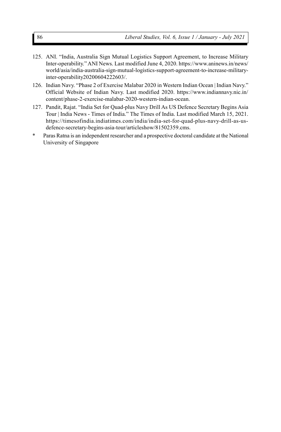- 125. ANI. "India, Australia Sign Mutual Logistics Support Agreement, to Increase Military Inter-operability." ANI News. Last modified June 4, 2020. https://www.aninews.in/news/ world/asia/india-australia-sign-mutual-logistics-support-agreement-to-increase-militaryinter-operability20200604222603/.
- 126. Indian Navy. "Phase 2 of Exercise Malabar 2020 in Western Indian Ocean | Indian Navy." Official Website of Indian Navy. Last modified 2020. https://www.indiannavy.nic.in/ content/phase-2-exercise-malabar-2020-western-indian-ocean.
- 127. Pandit, Rajat. "India Set for Quad-plus Navy Drill As US Defence Secretary Begins Asia Tour | India News - Times of India." The Times of India. Last modified March 15, 2021. https://timesofindia.indiatimes.com/india/india-set-for-quad-plus-navy-drill-as-usdefence-secretary-begins-asia-tour/articleshow/81502359.cms.
- \* Paras Ratna is an independent researcher and a prospective doctoral candidate at the National University of Singapore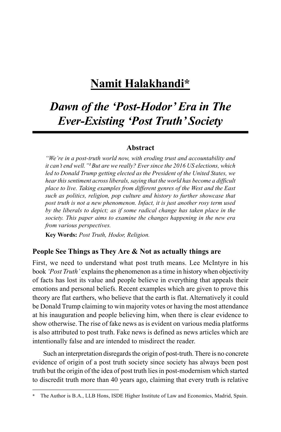## **Namit Halakhandi\***

## *Dawn of the 'Post-Hodor' Era in The Ever-Existing 'Post Truth' Society*

#### **Abstract**

*"We're in a post-truth world now, with eroding trust and accountability and it can't end well."<sup>1</sup>But are we really? Ever since the 2016 US elections, which led to Donald Trump getting elected as the President of the United States, we hear this sentiment across liberals, saying that the world has become a difficult place to live. Taking examples from different genres of the West and the East such as politics, religion, pop culture and history to further showcase that post truth is not a new phenomenon. Infact, it is just another rosy term used by the liberals to depict; as if some radical change has taken place in the society. This paper aims to examine the changes happening in the new era from various perspectives.*

**Key Words:** *Post Truth, Hodor, Religion.*

#### **People See Things as They Are & Not as actually things are**

First, we need to understand what post truth means. Lee McIntyre in his book *'Post Truth'* explains the phenomenon as a time in history when objectivity of facts has lost its value and people believe in everything that appeals their emotions and personal beliefs. Recent examples which are given to prove this theory are flat earthers, who believe that the earth is flat. Alternatively it could be Donald Trump claiming to win majority votes or having the most attendance at his inauguration and people believing him, when there is clear evidence to show otherwise. The rise of fake news as is evident on various media platforms is also attributed to post truth. Fake news is defined as news articles which are intentionally false and are intended to misdirect the reader.

Such an interpretation disregards the origin of post-truth. There is no concrete evidence of origin of a post truth society since society has always been post truth but the origin of the idea of post truth lies in post-modernism which started to discredit truth more than 40 years ago, claiming that every truth is relative

**<sup>\*</sup>** The Author is B.A., LLB Hons, ISDE Higher Institute of Law and Economics, Madrid, Spain.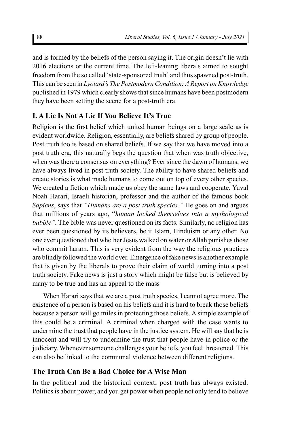and is formed by the beliefs of the person saying it. The origin doesn't lie with 2016 elections or the current time. The left-leaning liberals aimed to sought freedom from the so called 'state-sponsored truth' and thus spawned post-truth. This can be seen in *Lyotard's The Postmodern Condition: A Report on Knowledge* published in 1979 which clearly shows that since humans have been postmodern they have been setting the scene for a post-truth era.

## **I. A Lie Is Not A Lie If You Believe It's True**

Religion is the first belief which united human beings on a large scale as is evident worldwide. Religion, essentially, are beliefs shared by group of people. Post truth too is based on shared beliefs. If we say that we have moved into a post truth era, this naturally begs the question that when was truth objective, when was there a consensus on everything? Ever since the dawn of humans, we have always lived in post truth society. The ability to have shared beliefs and create stories is what made humans to come out on top of every other species. We created a fiction which made us obey the same laws and cooperate. Yuval Noah Harari, Israeli historian, professor and the author of the famous book *Sapiens*, says that *"Humans are a post truth species."* He goes on and argues that millions of years ago, "*human locked themselves into a mythological bubble".* The bible was never questioned on its facts. Similarly, no religion has ever been questioned by its believers, be it Islam, Hinduism or any other. No one ever questioned that whether Jesus walked on water or Allah punishes those who commit haram. This is very evident from the way the religious practices are blindly followed the world over. Emergence of fake news is another example that is given by the liberals to prove their claim of world turning into a post truth society. Fake news is just a story which might be false but is believed by many to be true and has an appeal to the mass

When Harari says that we are a post truth species, I cannot agree more. The existence of a person is based on his beliefs and it is hard to break those beliefs because a person will go miles in protecting those beliefs. A simple example of this could be a criminal. A criminal when charged with the case wants to undermine the trust that people have in the justice system. He will say that he is innocent and will try to undermine the trust that people have in police or the judiciary. Whenever someone challenges your beliefs, you feel threatened. This can also be linked to the communal violence between different religions.

## **The Truth Can Be a Bad Choice for A Wise Man**

In the political and the historical context, post truth has always existed. Politics is about power, and you get power when people not only tend to believe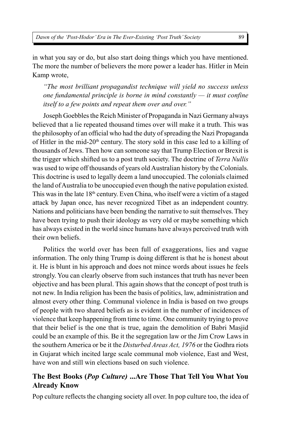in what you say or do, but also start doing things which you have mentioned. The more the number of believers the more power a leader has. Hitler in Mein Kamp wrote,

*"The most brilliant propagandist technique will yield no success unless one fundamental principle is borne in mind constantly — it must confine itself to a few points and repeat them over and over."*

Joseph Goebbles the Reich Minister of Propaganda in Nazi Germany always believed that a lie repeated thousand times over will make it a truth. This was the philosophy of an official who had the duty of spreading the Nazi Propaganda of Hitler in the mid- $20<sup>th</sup>$  century. The story sold in this case led to a killing of thousands of Jews. Then how can someone say that Trump Election or Brexit is the trigger which shifted us to a post truth society. The doctrine of *Terra Nullis* was used to wipe off thousands of years old Australian history by the Colonials. This doctrine is used to legally deem a land unoccupied. The colonials claimed the land of Australia to be unoccupied even though the native population existed. This was in the late  $18<sup>th</sup>$  century. Even China, who itself were a victim of a staged attack by Japan once, has never recognized Tibet as an independent country. Nations and politicians have been bending the narrative to suit themselves. They have been trying to push their ideology as very old or maybe something which has always existed in the world since humans have always perceived truth with their own beliefs.

Politics the world over has been full of exaggerations, lies and vague information. The only thing Trump is doing different is that he is honest about it. He is blunt in his approach and does not mince words about issues he feels strongly. You can clearly observe from such instances that truth has never been objective and has been plural. This again shows that the concept of post truth is not new. In India religion has been the basis of politics, law, administration and almost every other thing. Communal violence in India is based on two groups of people with two shared beliefs as is evident in the number of incidences of violence that keep happening from time to time. One community trying to prove that their belief is the one that is true, again the demolition of Babri Masjid could be an example of this. Be it the segregation law or the Jim Crow Laws in the southern America or be it the *Disturbed Areas Act, 1976* or the Godhra riots in Gujarat which incited large scale communal mob violence, East and West, have won and still win elections based on such violence.

### **The Best Books (***Pop Culture)* **...Are Those That Tell You What You Already Know**

Pop culture reflects the changing society all over. In pop culture too, the idea of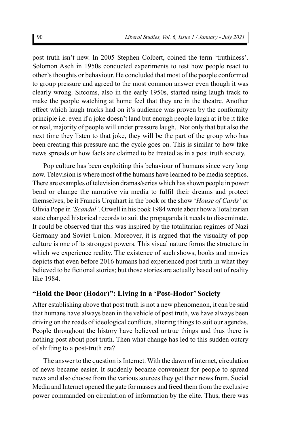post truth isn't new. In 2005 Stephen Colbert, coined the term 'truthiness'. Solomon Asch in 1950s conducted experiments to test how people react to other's thoughts or behaviour. He concluded that most of the people conformed to group pressure and agreed to the most common answer even though it was clearly wrong. Sitcoms, also in the early 1950s, started using laugh track to make the people watching at home feel that they are in the theatre. Another effect which laugh tracks had on it's audience was proven by the conformity principle i.e. even if a joke doesn't land but enough people laugh at it be it fake or real, majority of people will under pressure laugh.. Not only that but also the next time they listen to that joke, they will be the part of the group who has been creating this pressure and the cycle goes on. This is similar to how fake news spreads or how facts are claimed to be treated as in a post truth society.

Pop culture has been exploiting this behaviour of humans since very long now. Television is where most of the humans have learned to be media sceptics. There are examples of television dramas/series which has shown people in power bend or change the narrative via media to fulfil their dreams and protect themselves, be it Francis Urquhart in the book or the show '*House of Cards'* or Olivia Pope in *'Scandal'*. Orwell in his book 1984 wrote about how a Totalitarian state changed historical records to suit the propaganda it needs to disseminate. It could be observed that this was inspired by the totalitarian regimes of Nazi Germany and Soviet Union. Moreover, it is argued that the visuality of pop culture is one of its strongest powers. This visual nature forms the structure in which we experience reality. The existence of such shows, books and movies depicts that even before 2016 humans had experienced post truth in what they believed to be fictional stories; but those stories are actually based out of reality like 1984.

#### **"Hold the Door (Hodor)": Living in a 'Post-Hodor' Society**

After establishing above that post truth is not a new phenomenon, it can be said that humans have always been in the vehicle of post truth, we have always been driving on the roads of ideological conflicts, altering things to suit our agendas. People throughout the history have believed untrue things and thus there is nothing post about post truth. Then what change has led to this sudden outcry of shifting to a post-truth era?

The answer to the question is Internet. With the dawn of internet, circulation of news became easier. It suddenly became convenient for people to spread news and also choose from the various sources they get their news from. Social Media and Internet opened the gate for masses and freed them from the exclusive power commanded on circulation of information by the elite. Thus, there was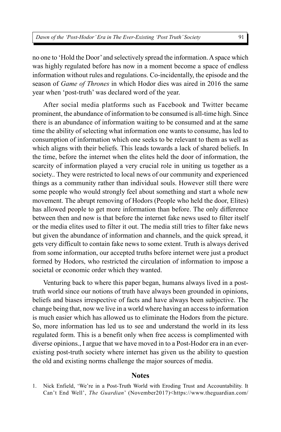no one to 'Hold the Door' and selectively spread the information. A space which was highly regulated before has now in a moment become a space of endless information without rules and regulations. Co-incidentally, the episode and the season of *Game of Thrones* in which Hodor dies was aired in 2016 the same year when 'post-truth' was declared word of the year.

After social media platforms such as Facebook and Twitter became prominent, the abundance of information to be consumed is all-time high. Since there is an abundance of information waiting to be consumed and at the same time the ability of selecting what information one wants to consume, has led to consumption of information which one seeks to be relevant to them as well as which aligns with their beliefs. This leads towards a lack of shared beliefs. In the time, before the internet when the elites held the door of information, the scarcity of information played a very crucial role in uniting us together as a society.. They were restricted to local news of our community and experienced things as a community rather than individual souls. However still there were some people who would strongly feel about something and start a whole new movement. The abrupt removing of Hodors (People who held the door, Elites) has allowed people to get more information than before. The only difference between then and now is that before the internet fake news used to filter itself or the media elites used to filter it out. The media still tries to filter fake news but given the abundance of information and channels, and the quick spread, it gets very difficult to contain fake news to some extent. Truth is always derived from some information, our accepted truths before internet were just a product formed by Hodors, who restricted the circulation of information to impose a societal or economic order which they wanted.

Venturing back to where this paper began, humans always lived in a posttruth world since our notions of truth have always been grounded in opinions, beliefs and biases irrespective of facts and have always been subjective. The change being that, now we live in a world where having an access to information is much easier which has allowed us to eliminate the Hodors from the picture. So, more information has led us to see and understand the world in its less regulated form. This is a benefit only when free access is complimented with diverse opinions., I argue that we have moved in to a Post-Hodor era in an everexisting post-truth society where internet has given us the ability to question the old and existing norms challenge the major sources of media.

#### **Notes**

<sup>1.</sup> Nick Enfield, 'We're in a Post-Truth World with Eroding Trust and Accountability. It Can't End Well', *The Guardian*' (November2017)<https://www.theguardian.com/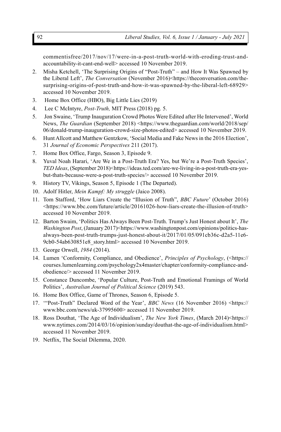commentisfree/2017/nov/17/were-in-a-post-truth-world-with-eroding-trust-andaccountability-it-cant-end-well> accessed 10 November 2019.

- 2. Misha Ketchell, 'The Surprising Origins of "Post-Truth" and How It Was Spawned by the Liberal Left', *The Conversation* (November 2016)<https://theconversation.com/thesurprising-origins-of-post-truth-and-how-it-was-spawned-by-the-liberal-left-68929> accessed 10 November 2019.
- 3. Home Box Office (HBO), Big Little Lies (2019)
- 4. Lee C McIntyre, *Post-Truth,* MIT Press (2018) pg. 5.
- 5. Jon Swaine, 'Trump Inauguration Crowd Photos Were Edited after He Intervened', World News, *The Guardian* (September 2018) <https://www.theguardian.com/world/2018/sep/ 06/donald-trump-inauguration-crowd-size-photos-edited> accessed 10 November 2019.
- 6. Hunt Allcott and Matthew Gentzkow, 'Social Media and Fake News in the 2016 Election', 31 *Journal of Economic Perspectives* 211 (2017).
- 7. Home Box Office, Fargo, Season 3, Episode 9.
- 8. Yuval Noah Harari, 'Are We in a Post-Truth Era? Yes, but We're a Post-Truth Species', *TED Ideas*, (September 2018)<https://ideas.ted.com/are-we-living-in-a-post-truth-era-yesbut-thats-because-were-a-post-truth-species/> accessed 10 November 2019.
- 9. History TV, Vikings, Season 5, Episode 1 (The Departed).
- 10. Adolf Hitler, *Mein Kampf: My struggle* (Jaico 2008).
- 11. Tom Stafford, 'How Liars Create the "Illusion of Truth", *BBC Future*' (October 2016) <https://www.bbc.com/future/article/20161026-how-liars-create-the-illusion-of-truth> accessed 10 November 2019.
- 12. Barton Swaim, 'Politics Has Always Been Post-Truth. Trump's Just Honest about It', *The Washington Post*, (January 2017)<https://www.washingtonpost.com/opinions/politics-hasalways-been-post-truth-trumps-just-honest-about-it/2017/01/05/091cb36c-d2a5-11e6- 9cb0-54ab630851e8\_story.html> accessed 10 November 2019.
- 13. George Orwell, *1984* (2014).
- 14. Lumen 'Conformity, Compliance, and Obedience', *Principles of Psychology*, (<https:// courses.lumenlearning.com/psychology2x4master/chapter/conformity-compliance-andobedience/> accessed 11 November 2019.
- 15. Constance Duncombe, 'Popular Culture, Post-Truth and Emotional Framings of World Politics', *Australian Journal of Political Science* (2019) 543.
- 16. Home Box Office, Game of Thrones, Season 6, Episode 5.
- 17. '"Post-Truth" Declared Word of the Year', *BBC News* (16 November 2016) <https:// www.bbc.com/news/uk-37995600> accessed 11 November 2019.
- 18. Ross Douthat, 'The Age of Individualism', *The New York Times*, (March 2014)<https:// www.nytimes.com/2014/03/16/opinion/sunday/douthat-the-age-of-individualism.html> accessed 11 November 2019.
- 19. Netflix, The Social Dilemma, 2020.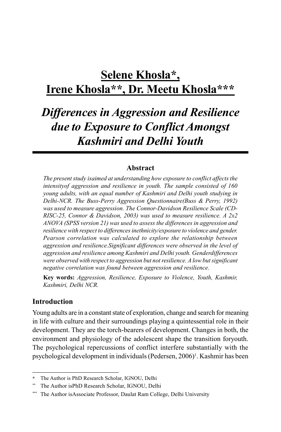## **Selene Khosla\*, Irene Khosla\*\*, Dr. Meetu Khosla\*\*\***

## *Differences in Aggression and Resilience due to Exposure to Conflict Amongst Kashmiri and Delhi Youth*

#### **Abstract**

*The present study isaimed at understanding how exposure to conflict affects the intensityof aggression and resilience in youth. The sample consisted of 160 young adults, with an equal number of Kashmiri and Delhi youth studying in Delhi-NCR. The Buss-Perry Aggression Questionnaire(Buss & Perry, 1992) was used to measure aggression. The Connor-Davidson Resilience Scale (CD-RISC-25, Connor & Davidson, 2003) was used to measure resilience. A 2x2 ANOVA (SPSS version 21) was used to assess the differences in aggression and resilience with respect to differences inethnicity/exposure to violence and gender. Pearson correlation was calculated to explore the relationship between aggression and resilience.Significant differences were observed in the level of aggression and resilience among Kashmiri and Delhi youth. Genderdifferences were observed with respect to aggression but not resilience. A low but significant negative correlation was found between aggression and resilience.*

**Key words:** *Aggression, Resilience, Exposure to Violence, Youth, Kashmir, Kashmiri, Delhi NCR.*

#### **Introduction**

Young adults are in a constant state of exploration, change and search for meaning in life with culture and their surroundings playing a quintessential role in their development. They are the torch-bearers of development. Changes in both, the environment and physiology of the adolescent shape the transition foryouth. The psychological repercussions of conflict interfere substantially with the psychological development in individuals (Pedersen, 2006)<sup>1</sup>. Kashmir has been

**<sup>\*</sup>** The Author is PhD Research Scholar, IGNOU, Delhi

The Author isPhD Research Scholar, IGNOU, Delhi

The Author isAssociate Professor, Daulat Ram College, Delhi University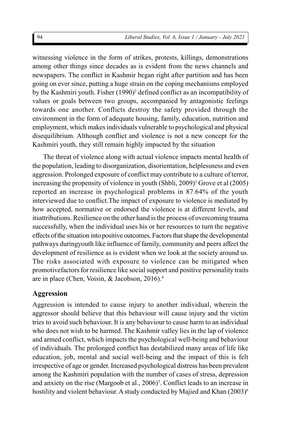witnessing violence in the form of strikes, protests, killings, demonstrations among other things since decades as is evident from the news channels and newspapers. The conflict in Kashmir began right after partition and has been going on ever since, putting a huge strain on the coping mechanisms employed by the Kashmiri youth. Fisher (1990)<sup>2</sup> defined conflict as an incompatibility of values or goals between two groups, accompanied by antagonistic feelings towards one another. Conflicts destroy the safety provided through the environment in the form of adequate housing, family, education, nutrition and employment, which makes individuals vulnerable to psychological and physical disequilibrium. Although conflict and violence is not a new concept for the Kashmiri youth, they still remain highly impacted by the situation

The threat of violence along with actual violence impacts mental health of the population, leading to disorganization, disorientation, helplessness and even aggression. Prolonged exposure of conflict may contribute to a culture of terror, increasing the propensity of violence in youth (Shbli, 2009)<sup>3</sup> Grove et al (2005) reported an increase in psychological problems in 87.64% of the youth interviewed due to conflict.The impact of exposure to violence is mediated by how accepted, normative or endorsed the violence is at different levels, and itsattributions. Resilience on the other hand is the process of overcoming trauma successfully, when the individual uses his or her resources to turn the negative effects of the situation into positive outcomes. Factors that shape the developmental pathways duringyouth like influence of family, community and peers affect the development of resilience as is evident when we look at the society around us. The risks associated with exposure to violence can be mitigated when promotivefactors for resilience like social support and positive personality traits are in place (Chen, Voisin, & Jacobson, 2016).<sup>4</sup>

#### **Aggression**

Aggression is intended to cause injury to another individual, wherein the aggressor should believe that this behaviour will cause injury and the victim tries to avoid such behaviour. It is any behaviour to cause harm to an individual who does not wish to be harmed. The Kashmir valley lies in the lap of violence and armed conflict, which impacts the psychological well-being and behaviour of individuals. The prolonged conflict has destabilized many areas of life like education, job, mental and social well-being and the impact of this is felt irrespective of age or gender. Increased psychological distress has been prevalent among the Kashmiri population with the number of cases of stress, depression and anxiety on the rise (Margoob et al.,  $2006$ <sup>5</sup>. Conflict leads to an increase in hostility and violent behaviour. A study conducted by Majied and Khan (2003)<sup>6</sup>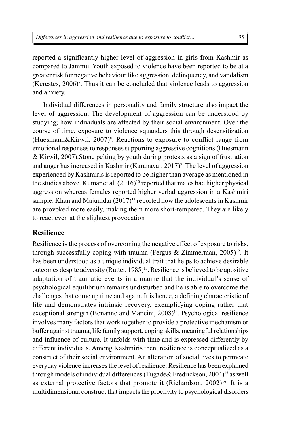reported a significantly higher level of aggression in girls from Kashmir as compared to Jammu. Youth exposed to violence have been reported to be at a greater risk for negative behaviour like aggression, delinquency, and vandalism (Kerestes, 2006) 7 . Thus it can be concluded that violence leads to aggression and anxiety.

Individual differences in personality and family structure also impact the level of aggression. The development of aggression can be understood by studying; how individuals are affected by their social environment. Over the course of time, exposure to violence squanders this through desensitization (Huesmann&Kirwil, 2007) 8 . Reactions to exposure to conflict range from emotional responses to responses supporting aggressive cognitions (Huesmann & Kirwil, 2007).Stone pelting by youth during protests as a sign of frustration and anger has increased in Kashmir (Karanavar, 2017)<sup>9</sup>. The level of aggression experienced by Kashmiris is reported to be higher than average as mentioned in the studies above. Kumar et al.  $(2016)^{10}$  reported that males had higher physical aggression whereas females reported higher verbal aggression in a Kashmiri sample. Khan and Majumdar  $(2017)^{11}$  reported how the adolescents in Kashmir are provoked more easily, making them more short-tempered. They are likely to react even at the slightest provocation

#### **Resilience**

Resilience is the process of overcoming the negative effect of exposure to risks, through successfully coping with trauma (Fergus & Zimmerman, 2005) <sup>12</sup>. It has been understood as a unique individual trait that helps to achieve desirable outcomes despite adversity (Rutter, 1985)<sup>13</sup>. Resilience is believed to be apositive adaptation of traumatic events in a mannerthat the individual's sense of psychological equilibrium remains undisturbed and he is able to overcome the challenges that come up time and again. It is hence, a defining characteristic of life and demonstrates intrinsic recovery, exemplifying coping rather that exceptional strength (Bonanno and Mancini, 2008)<sup>14</sup>. Psychological resilience involves many factors that work together to provide a protective mechanism or buffer against trauma, life family support, coping skills, meaningful relationships and influence of culture. It unfolds with time and is expressed differently by different individuals. Among Kashmiris then, resilience is conceptualized as a construct of their social environment. An alteration of social lives to permeate everyday violence increases the level of resilience. Resilience has been explained through models of individual differences (Tugade& Fredrickson, 2004)<sup>15</sup> as well as external protective factors that promote it (Richardson,  $2002$ )<sup>16</sup>. It is a multidimensional construct that impacts the proclivity to psychological disorders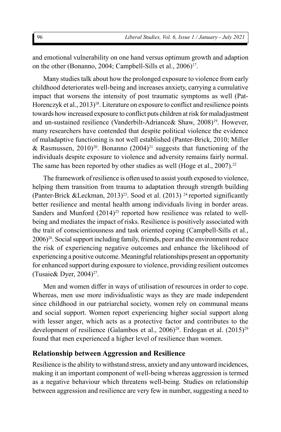and emotional vulnerability on one hand versus optimum growth and adaption on the other (Bonanno, 2004; Campbell-Sills et al., 2006)<sup>17</sup>.

Many studies talk about how the prolonged exposure to violence from early childhood deteriorates well-being and increases anxiety, carrying a cumulative impact that worsens the intensity of post traumatic symptoms as well (Pat-Horenczyk et al., 2013)<sup>18</sup>. Literature on exposure to conflict and resilience points towards how increased exposure to conflict puts children at risk for maladjustment and un-sustained resilience (Vanderbilt-Adriance& Shaw, 2008)<sup>19</sup>. However, many researchers have contended that despite political violence the evidence of maladaptive functioning is not well established (Panter-Brick, 2010; Miller & Rasmussen, 2010)<sup>20</sup>. Bonanno  $(2004)^{21}$  suggests that functioning of the individuals despite exposure to violence and adversity remains fairly normal. The same has been reported by other studies as well (Hoge et al.,  $2007$ ).<sup>22</sup>

The framework of resilience is often used to assist youth exposed to violence, helping them transition from trauma to adaptation through strength building (Panter-Brick &Leckman, 2013)<sup>23</sup>. Sood et al. (2013)<sup>24</sup> reported significantly better resilience and mental health among individuals living in border areas. Sanders and Munford  $(2014)^{25}$  reported how resilience was related to wellbeing and mediates the impact of risks. Resilience is positively associated with the trait of conscientiousness and task oriented coping (Campbell-Sills et al., 2006)<sup>26</sup>. Social support including family, friends, peer and the environment reduce the risk of experiencing negative outcomes and enhance the likelihood of experiencing a positive outcome. Meaningful relationships present an opportunity for enhanced support during exposure to violence, providing resilient outcomes (Tusaie & Dyer,  $2004$ )<sup>27</sup>.

Men and women differ in ways of utilisation of resources in order to cope. Whereas, men use more individualistic ways as they are made independent since childhood in our patriarchal society, women rely on communal means and social support. Women report experiencing higher social support along with lesser anger, which acts as a protective factor and contributes to the development of resilience (Galambos et al., 2006)<sup>28</sup>. Erdogan et al. (2015)<sup>29</sup> found that men experienced a higher level of resilience than women.

#### **Relationship between Aggression and Resilience**

Resilience is the ability to withstand stress, anxiety and any untoward incidences, making it an important component of well-being whereas aggression is termed as a negative behaviour which threatens well-being. Studies on relationship between aggression and resilience are very few in number, suggesting a need to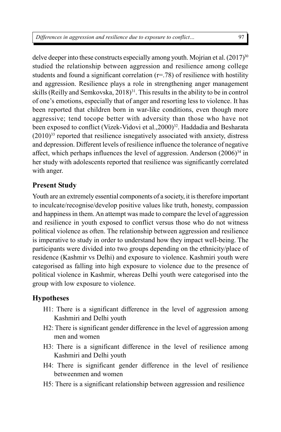delve deeper into these constructs especially among youth. Mojrian et al.  $(2017)^{30}$ studied the relationship between aggression and resilience among college students and found a significant correlation  $(r=78)$  of resilience with hostility and aggression. Resilience plays a role in strengthening anger management skills (Reilly and Semkovska,  $2018$ <sup>31</sup>. This results in the ability to be in control of one's emotions, especially that of anger and resorting less to violence. It has been reported that children born in war-like conditions, even though more aggressive; tend tocope better with adversity than those who have not been exposed to conflict (Vizek-Vidovi et al., 2000)<sup>32</sup>. Haddadia and Besharata  $(2010)^{33}$  reported that resilience isnegatively associated with anxiety, distress and depression. Different levels of resilience influence the tolerance of negative affect, which perhaps influences the level of aggression. Anderson  $(2006)^{34}$  in her study with adolescents reported that resilience was significantly correlated with anger.

## **Present Study**

Youth are an extremely essential components of a society, it is therefore important to inculcate/recognise/develop positive values like truth, honesty, compassion and happiness in them. An attempt was made to compare the level of aggression and resilience in youth exposed to conflict versus those who do not witness political violence as often. The relationship between aggression and resilience is imperative to study in order to understand how they impact well-being. The participants were divided into two groups depending on the ethnicity/place of residence (Kashmir vs Delhi) and exposure to violence. Kashmiri youth were categorised as falling into high exposure to violence due to the presence of political violence in Kashmir, whereas Delhi youth were categorised into the group with low exposure to violence.

### **Hypotheses**

- H1: There is a significant difference in the level of aggression among Kashmiri and Delhi youth
- H2: There is significant gender difference in the level of aggression among men and women
- H3: There is a significant difference in the level of resilience among Kashmiri and Delhi youth
- H4: There is significant gender difference in the level of resilience betweenmen and women
- H5: There is a significant relationship between aggression and resilience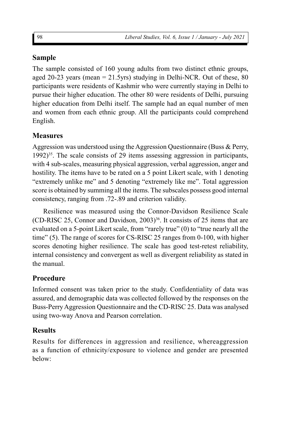## **Sample**

The sample consisted of 160 young adults from two distinct ethnic groups, aged 20-23 years (mean  $= 21.5yrs$ ) studying in Delhi-NCR. Out of these, 80 participants were residents of Kashmir who were currently staying in Delhi to pursue their higher education. The other 80 were residents of Delhi, pursuing higher education from Delhi itself. The sample had an equal number of men and women from each ethnic group. All the participants could comprehend English.

## **Measures**

Aggression was understood using the Aggression Questionnaire (Buss & Perry,  $1992$ <sup>35</sup>. The scale consists of 29 items assessing aggression in participants, with 4 sub-scales, measuring physical aggression, verbal aggression, anger and hostility. The items have to be rated on a 5 point Likert scale, with 1 denoting "extremely unlike me" and 5 denoting "extremely like me". Total aggression score is obtained by summing all the items. The subscales possess good internal consistency, ranging from .72-.89 and criterion validity.

Resilience was measured using the Connor-Davidson Resilience Scale (CD-RISC 25, Connor and Davidson, 2003) $36$ . It consists of 25 items that are evaluated on a 5-point Likert scale, from "rarely true" (0) to "true nearly all the time" (5). The range of scores for CS-RISC 25 ranges from 0-100, with higher scores denoting higher resilience. The scale has good test-retest reliability, internal consistency and convergent as well as divergent reliability as stated in the manual.

## **Procedure**

Informed consent was taken prior to the study. Confidentiality of data was assured, and demographic data was collected followed by the responses on the Buss-Perry Aggression Questionnaire and the CD-RISC 25. Data was analysed using two-way Anova and Pearson correlation.

## **Results**

Results for differences in aggression and resilience, whereaggression as a function of ethnicity/exposure to violence and gender are presented below: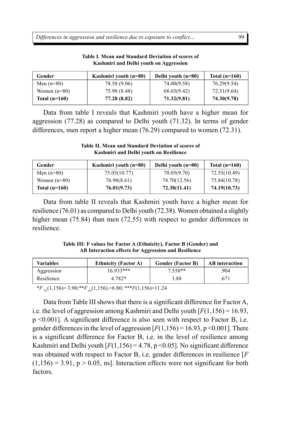*Differences in aggression and resilience due to exposure to conflict…*

| Gender          | Kashmiri youth $(n=80)$ | Delhi youth (n=80) | Total $(n=160)$ |
|-----------------|-------------------------|--------------------|-----------------|
| Men $(n=80)$    | 78.58 (9.06)            | 74.00(9.58)        | 76.29(9.54)     |
| Women $(n=80)$  | 75.98 (8.48)            | 68.65(9.42)        | 72.31(9.64)     |
| Total $(n=160)$ | 77.28 (8.82)            | 71.32(9.81)        | 74.30(9.78)     |

**Table I. Mean and Standard Deviation of scores of Kashmiri and Delhi youth on Aggression**

Data from table I reveals that Kashmiri youth have a higher mean for aggression (77.28) as compared to Delhi youth (71.32). In terms of gender differences, men report a higher mean (76.29) compared to women (72.31).

**Table II. Mean and Standard Deviation of scores of Kashmiri and Delhi youth on Resilience**

| Gender          | Kashmiri youth $(n=80)$ | Delhi youth (n=80) | Total $(n=160)$ |
|-----------------|-------------------------|--------------------|-----------------|
| Men $(n=80)$    | 75.05(10.77)            | 70.05(9.70)        | 72.55(10.49)    |
| Women $(n=80)$  | 76.98(8.61)             | 74.70(12.56)       | 75.84(10.78)    |
| Total $(n=160)$ | 76.01(9.73)             | 72.38(11.41)       | 74.19(10.73)    |

Data from table II reveals that Kashmiri youth have a higher mean for resilience (76.01) as compared to Delhi youth (72.38). Women obtained a slightly higher mean (75.84) than men (72.55) with respect to gender differences in resilience.

**Table III: F values for Factor A (Ethnicity), Factor B (Gender) and AB Interaction effects for Aggression and Resilience**

| <b>Variables</b> | <b>Ethnicity (Factor A)</b> | <b>Gender (Factor B)</b> | <b>AB</b> interaction |
|------------------|-----------------------------|--------------------------|-----------------------|
| Aggression       | 16933***                    | 7.558**                  | .904                  |
| Resilience       | 4.782*                      | 3.88                     | .671                  |

\**F*. <sup>95</sup>(1,156)= 3.90;\*\**F*.99(1,156).=6.80; \*\*\**F*(1,156)=11.24

Data from Table III shows that there is a significant difference for Factor A, i.e. the level of aggression among Kashmiri and Delhi youth  $[F(1,156) = 16.93]$ , p <0.001]. A significant difference is also seen with respect to Factor B, i.e. gender differences in the level of aggression  $[F(1,156) = 16.93, p \le 0.001]$ . There is a significant difference for Factor B, i.e. in the level of resilience among Kashmiri and Delhi youth  $[F(1,156) = 4.78, p < 0.05]$ . No significant difference was obtained with respect to Factor B, i.e. gender differences in resilience [*F*  $(1,156) = 3.91$ ,  $p > 0.05$ , ns]. Interaction effects were not significant for both factors.

99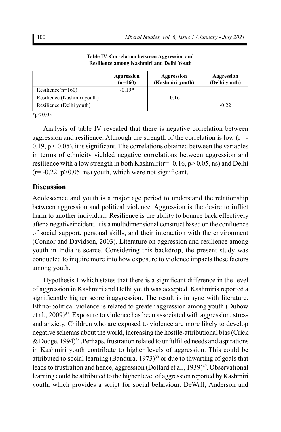|                             | Aggression<br>$(n=160)$ | Aggression<br>(Kashmiri youth) | Aggression<br>(Delhi youth) |
|-----------------------------|-------------------------|--------------------------------|-----------------------------|
| Resilience $(n=160)$        | $-0.19*$                |                                |                             |
| Resilience (Kashmiri youth) |                         | $-0.16$                        |                             |
| Resilience (Delhi youth)    |                         |                                | $-0.22$                     |

**Table IV. Correlation between Aggression and Resilience among Kashmiri and Delhi Youth**

 $*_{p}< 0.05$ 

Analysis of table IV revealed that there is negative correlation between aggression and resilience. Although the strength of the correlation is low  $(r=$  - $0.19$ ,  $p < 0.05$ ), it is significant. The correlations obtained between the variables in terms of ethnicity yielded negative correlations between aggression and resilience with a low strength in both Kashmiri( $r=$  -0.16, p $>$  0.05, ns) and Delhi  $(r=-0.22, p>0.05, ns)$  youth, which were not significant.

#### **Discussion**

Adolescence and youth is a major age period to understand the relationship between aggression and political violence. Aggression is the desire to inflict harm to another individual. Resilience is the ability to bounce back effectively after a negativeincident. It is a multidimensional construct based on the confluence of social support, personal skills, and their interaction with the environment (Connor and Davidson, 2003). Literature on aggression and resilience among youth in India is scarce. Considering this backdrop, the present study was conducted to inquire more into how exposure to violence impacts these factors among youth.

Hypothesis 1 which states that there is a significant difference in the level of aggression in Kashmiri and Delhi youth was accepted. Kashmiris reported a significantly higher score inaggression. The result is in sync with literature. Ethno-political violence is related to greater aggression among youth (Dubow et al., 2009) <sup>37</sup>. Exposure to violence has been associated with aggression, stress and anxiety. Children who are exposed to violence are more likely to develop negative schemas about the world, increasing the hostile-attributional bias (Crick & Dodge,  $1994$ <sup>38</sup>. Perhaps, frustration related to unfulfilled needs and aspirations in Kashmiri youth contribute to higher levels of aggression. This could be attributed to social learning (Bandura,  $1973$ )<sup>39</sup> or due to thwarting of goals that leads to frustration and hence, aggression (Dollard et al., 1939)<sup>40</sup>. Observational learning could be attributed to the higher level of aggression reported by Kashmiri youth, which provides a script for social behaviour. DeWall, Anderson and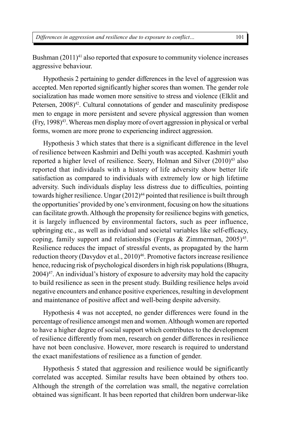Bushman  $(2011)^{41}$  also reported that exposure to community violence increases aggressive behaviour.

Hypothesis 2 pertaining to gender differences in the level of aggression was accepted. Men reported significantly higher scores than women. The gender role socialization has made women more sensitive to stress and violence (Elklit and Petersen, 2008)<sup>42</sup>. Cultural connotations of gender and masculinity predispose men to engage in more persistent and severe physical aggression than women  $(Fry, 1998)^{43}$ . Whereas men display more of overt aggression in physical or verbal forms, women are more prone to experiencing indirect aggression.

Hypothesis 3 which states that there is a significant difference in the level of resilience between Kashmiri and Delhi youth was accepted. Kashmiri youth reported a higher level of resilience. Seery, Holman and Silver  $(2010)^{43}$  also reported that individuals with a history of life adversity show better life satisfaction as compared to individuals with extremely low or high lifetime adversity. Such individuals display less distress due to difficulties, pointing towards higher resilience. Ungar  $(2012)^{44}$  pointed that resilience is built through the opportunities' provided by one's environment, focusing on how the situations can facilitate growth. Although the propensity for resilience begins with genetics, it is largely influenced by environmental factors, such as peer influence, upbringing etc., as well as individual and societal variables like self-efficacy, coping, family support and relationships (Fergus & Zimmerman,  $2005)^{45}$ . Resilience reduces the impact of stressful events, as propagated by the harm reduction theory (Davydov et al., 2010)<sup>46</sup>. Promotive factors increase resilience hence, reducing risk of psychological disorders in high risk populations (Bhugra,  $2004$ <sup>47</sup>. An individual's history of exposure to adversity may hold the capacity to build resilience as seen in the present study. Building resilience helps avoid negative encounters and enhance positive experiences, resulting in development and maintenance of positive affect and well-being despite adversity.

Hypothesis 4 was not accepted, no gender differences were found in the percentage of resilience amongst men and women. Although women are reported to have a higher degree of social support which contributes to the development of resilience differently from men, research on gender differences in resilience have not been conclusive. However, more research is required to understand the exact manifestations of resilience as a function of gender.

Hypothesis 5 stated that aggression and resilience would be significantly correlated was accepted. Similar results have been obtained by others too. Although the strength of the correlation was small, the negative correlation obtained was significant. It has been reported that children born underwar-like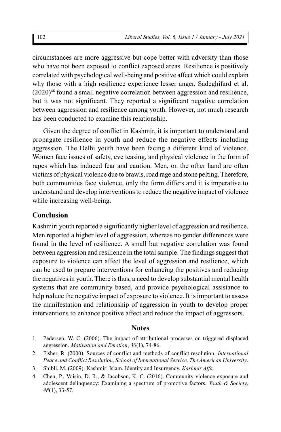circumstances are more aggressive but cope better with adversity than those who have not been exposed to conflict exposed areas. Resilience is positively correlated with psychological well-being and positive affect which could explain why those with a high resilience experience lesser anger. Sadeghifard et al. (2020)<sup>48</sup> found a small negative correlation between aggression and resilience, but it was not significant. They reported a significant negative correlation between aggression and resilience among youth. However, not much research has been conducted to examine this relationship.

Given the degree of conflict in Kashmir, it is important to understand and propagate resilience in youth and reduce the negative effects including aggression. The Delhi youth have been facing a different kind of violence. Women face issues of safety, eve teasing, and physical violence in the form of rapes which has induced fear and caution. Men, on the other hand are often victims of physical violence due to brawls, road rage and stone pelting. Therefore, both communities face violence, only the form differs and it is imperative to understand and develop interventions to reduce the negative impact of violence while increasing well-being.

#### **Conclusion**

Kashmiri youth reported a significantly higher level of aggression and resilience. Men reported a higher level of aggression, whereas no gender differences were found in the level of resilience. A small but negative correlation was found between aggression and resilience in the total sample. The findings suggest that exposure to violence can affect the level of aggression and resilience, which can be used to prepare interventions for enhancing the positives and reducing the negatives in youth. There is thus, a need to develop substantial mental health systems that are community based, and provide psychological assistance to help reduce the negative impact of exposure to violence. It is important to assess the manifestation and relationship of aggression in youth to develop proper interventions to enhance positive affect and reduce the impact of aggressors.

#### **Notes**

- 1. Pedersen, W. C. (2006). The impact of attributional processes on triggered displaced aggression. *Motivation and Emotion*, *30*(1), 74-86.
- 2. Fisher, R. (2000). Sources of conflict and methods of conflict resolution. *International Peace and Conflict Resolution, School of International Service, The American University*.
- 3. Shibli, M. (2009). Kashmir: Islam, Identity and Insurgency. *Kashmir Affa.*
- 4. Chen, P., Voisin, D. R., & Jacobson, K. C. (2016). Community violence exposure and adolescent delinquency: Examining a spectrum of promotive factors. *Youth & Society*, *48*(1), 33-57.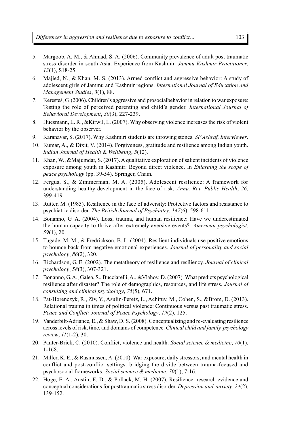- 5. Margoob, A. M., & Ahmad, S. A. (2006). Community prevalence of adult post traumatic stress disorder in south Asia: Experience from Kashmir. *Jammu Kashmir Practitioner*, *13*(1), S18-25.
- 6. Majied, N., & Khan, M. S. (2013). Armed conflict and aggressive behavior: A study of adolescent girls of Jammu and Kashmir regions. *International Journal of Education and Management Studies*, *3*(1), 88.
- 7. Keresteš, G. (2006). Children's aggressive and prosocialbehavior in relation to war exposure: Testing the role of perceived parenting and child's gender. *International Journal of Behavioral Development*, *30*(3), 227-239.
- 8. Huesmann, L. R., &Kirwil, L. (2007). Why observing violence increases the risk of violent behavior by the observer.
- 9. Karanavar, S. (2017). Why Kashmiri students are throwing stones. *SF Ashraf, Interviewer*.
- 10. Kumar, A., & Dixit, V. (2014). Forgiveness, gratitude and resilience among Indian youth. *Indian Journal of Health & Wellbeing*, *5*(12).
- 11. Khan, W., &Majumdar, S. (2017). A qualitative exploration of salient incidents of violence exposure among youth in Kashmir: Beyond direct violence. In *Enlarging the scope of peace psychology* (pp. 39-54). Springer, Cham.
- 12. Fergus, S., & Zimmerman, M. A. (2005). Adolescent resilience: A framework for understanding healthy development in the face of risk. *Annu. Rev. Public Health*, *26*, 399-419.
- 13. Rutter, M. (1985). Resilience in the face of adversity: Protective factors and resistance to psychiatric disorder. *The British Journal of Psychiatry*, *147*(6), 598-611.
- 14. Bonanno, G. A. (2004). Loss, trauma, and human resilience: Have we underestimated the human capacity to thrive after extremely aversive events?. *American psychologist*, *59*(1), 20.
- 15. Tugade, M. M., & Fredrickson, B. L. (2004). Resilient individuals use positive emotions to bounce back from negative emotional experiences. *Journal of personality and social psychology*, *86*(2), 320.
- 16. Richardson, G. E. (2002). The metatheory of resilience and resiliency. *Journal of clinical psychology*, *58*(3), 307-321.
- 17. Bonanno, G. A., Galea, S., Bucciarelli, A., &Vlahov, D. (2007). What predicts psychological resilience after disaster? The role of demographics, resources, and life stress. *Journal of consulting and clinical psychology*, *75*(5), 671.
- 18. Pat-Horenczyk, R., Ziv, Y., Asulin-Peretz, L., Achituv, M., Cohen, S., &Brom, D. (2013). Relational trauma in times of political violence: Continuous versus past traumatic stress. *Peace and Conflict: Journal of Peace Psychology*, *19*(2), 125.
- 19. Vanderbilt-Adriance, E., & Shaw, D. S. (2008). Conceptualizing and re-evaluating resilience across levels of risk, time, and domains of competence. *Clinical child and family psychology review*, *11*(1-2), 30.
- 20. Panter-Brick, C. (2010). Conflict, violence and health. *Social science & medicine*, *70*(1), 1-168.
- 21. Miller, K. E., & Rasmussen, A. (2010). War exposure, daily stressors, and mental health in conflict and post-conflict settings: bridging the divide between trauma-focused and psychosocial frameworks. *Social science & medicine*, *70*(1), 7-16.
- 22. Hoge, E. A., Austin, E. D., & Pollack, M. H. (2007). Resilience: research evidence and conceptual considerations for posttraumatic stress disorder. *Depression and anxiety*, *24*(2), 139-152.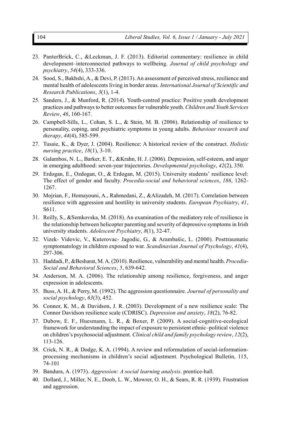- 23. PanterBrick, C., &Leckman, J. F. (2013). Editorial commentary: resilience in child development–interconnected pathways to wellbeing. *Journal of child psychology and psychiatry*, *54*(4), 333-336.
- 24. Sood, S., Bakhshi, A., & Devi, P. (2013). An assessment of perceived stress, resilience and mental health of adolescents living in border areas. *International Journal of Scientific and Research Publications*, *3*(1), 1-4.
- 25. Sanders, J., & Munford, R. (2014). Youth-centred practice: Positive youth development practices and pathways to better outcomes for vulnerable youth. *Children and Youth Services Review*, *46*, 160-167.
- 26. Campbell-Sills, L., Cohan, S. L., & Stein, M. B. (2006). Relationship of resilience to personality, coping, and psychiatric symptoms in young adults. *Behaviour research and therapy*, *44*(4), 585-599.
- 27. Tusaie, K., & Dyer, J. (2004). Resilience: A historical review of the construct. *Holistic nursing practice*, *18*(1), 3-10.
- 28. Galambos, N. L., Barker, E. T., &Krahn, H. J. (2006). Depression, self-esteem, and anger in emerging adulthood: seven-year trajectories. *Developmental psychology*, *42*(2), 350.
- 29. Erdogan, E., Ozdogan, O., & Erdogan, M. (2015). University students' resilience level: The effect of gender and faculty. *Procedia-social and behavioral sciences*, *186*, 1262- 1267.
- 30. Mojrian, F., Homayouni, A., Rahmedani, Z., &Alizadeh, M. (2017). Correlation between resilience with aggression and hostility in university students. *European Psychiatry*, *41*, S611.
- 31. Reilly, S., &Semkovska, M. (2018). An examination of the mediatory role of resilience in the relationship between helicopter parenting and severity of depressive symptoms in Irish university students. *Adolescent Psychiatry*, *8*(1), 32-47.
- 32. Vizek- Vidovic, V., Kuterovac- Jagodic, G., & Arambašic, L. (2000). Posttraumatic symptomatology in children exposed to war. *Scandinavian Journal of Psychology*, *41*(4), 297-306.
- 33. Haddadi, P., &Besharat, M. A. (2010). Resilience, vulnerability and mental health. *Procedia-Social and Behavioral Sciences*, *5*, 639-642.
- 34. Anderson, M. A. (2006). The relationship among resilience, forgiveness, and anger expression in adolescents.
- 35. Buss, A. H., & Perry, M. (1992). The aggression questionnaire. *Journal of personality and social psychology*, *63*(3), 452.
- 36. Connor, K. M., & Davidson, J. R. (2003). Development of a new resilience scale: The Connor Davidson resilience scale (CDRISC). *Depression and anxiety*, *18*(2), 76-82.
- 37. Dubow, E. F., Huesmann, L. R., & Boxer, P. (2009). A social-cognitive-ecological framework for understanding the impact of exposure to persistent ethnic–political violence on children's psychosocial adjustment. *Clinical child and family psychology review*, *12*(2), 113-126.
- 38. Crick, N. R., & Dodge, K. A. (1994). A review and reformulation of social-informationprocessing mechanisms in children's social adjustment. Psychological Bulletin, 115, 74-101
- 39. Bandura, A. (1973). *Aggression: A social learning analysis*. prentice-hall.
- 40. Dollard, J., Miller, N. E., Doob, L. W., Mowrer, O. H., & Sears, R. R. (1939). Frustration and aggression.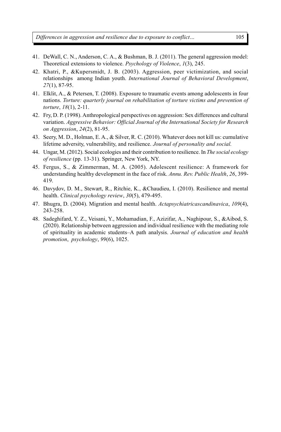- 41. DeWall, C. N., Anderson, C. A., & Bushman, B. J. (2011). The general aggression model: Theoretical extensions to violence. *Psychology of Violence*, *1*(3), 245.
- 42. Khatri, P., &Kupersmidt, J. B. (2003). Aggression, peer victimization, and social relationships among Indian youth. *International Journal of Behavioral Development*, *27*(1), 87-95.
- 41. Elklit, A., & Petersen, T. (2008). Exposure to traumatic events among adolescents in four nations. *Torture: quarterly journal on rehabilitation of torture victims and prevention of torture*, *18*(1), 2-11.
- 42. Fry, D. P. (1998). Anthropological perspectives on aggression: Sex differences and cultural variation. *Aggressive Behavior: Official Journal of the International Society for Research on Aggression*, *24*(2), 81-95.
- 43. Seery, M. D., Holman, E. A., & Silver, R. C. (2010). Whatever does not kill us: cumulative lifetime adversity, vulnerability, and resilience. *Journal of personality and social.*
- 44. Ungar, M. (2012). Social ecologies and their contribution to resilience. In *The social ecology of resilience* (pp. 13-31). Springer, New York, NY.
- 45. Fergus, S., & Zimmerman, M. A. (2005). Adolescent resilience: A framework for understanding healthy development in the face of risk. *Annu. Rev. Public Health*, *26*, 399- 419.
- 46. Davydov, D. M., Stewart, R., Ritchie, K., &Chaudieu, I. (2010). Resilience and mental health. *Clinical psychology review*, *30*(5), 479-495.
- 47. Bhugra, D. (2004). Migration and mental health. *Actapsychiatricascandinavica*, *109*(4), 243-258.
- 48. Sadeghifard, Y. Z., Veisani, Y., Mohamadian, F., Azizifar, A., Naghipour, S., &Aibod, S. (2020). Relationship between aggression and individual resilience with the mediating role of spirituality in academic students–A path analysis. *Journal of education and health promotion*, *psychology*, *99*(6), 1025.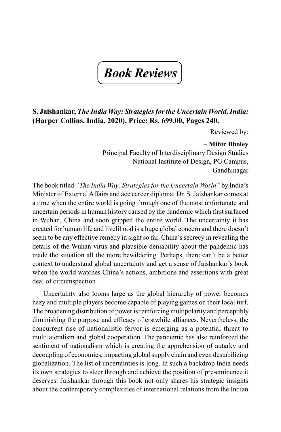# *Book Reviews*

#### **S. Jaishankar,** *The India Way: Strategies for the Uncertain World, India:* **(Harper Collins, India, 2020), Price: Rs. 699.00, Pages 240.**

Reviewed by:

#### **– Mihir Bholey**

Principal Faculty of Interdisciplinary Design Studies National Institute of Design, PG Campus, Gandhinagar

The book titled *"The India Way: Strategies for the Uncertain World"* by India's Minister of External Affairs and ace career diplomat Dr. S. Jaishankar comes at a time when the entire world is going through one of the most unfortunate and uncertain periods in human history caused by the pandemic which first surfaced in Wuhan, China and soon gripped the entire world. The uncertainty it has created for human life and livelihood is a huge global concern and there doesn't seem to be any effective remedy in sight so far. China's secrecy in revealing the details of the Wuhan virus and plausible deniability about the pandemic has made the situation all the more bewildering. Perhaps, there can't be a better context to understand global uncertainty and get a sense of Jaishankar's book when the world watches China's actions, ambitions and assertions with great deal of circumspection

Uncertainty also looms large as the global hierarchy of power becomes hazy and multiple players become capable of playing games on their local turf. The broadening distribution of power is reinforcing multipolarity and perceptibly diminishing the purpose and efficacy of erstwhile alliances. Nevertheless, the concurrent rise of nationalistic fervor is emerging as a potential threat to multilateralism and global cooperation. The pandemic has also reinforced the sentiment of nationalism which is creating the apprehension of autarky and decoupling of economies, impacting global supply chain and even destabilizing globalization. The list of uncertainties is long. In such a backdrop India needs its own strategies to steer through and achieve the position of pre-eminence it deserves. Jaishankar through this book not only shares his strategic insights about the contemporary complexities of international relations from the Indian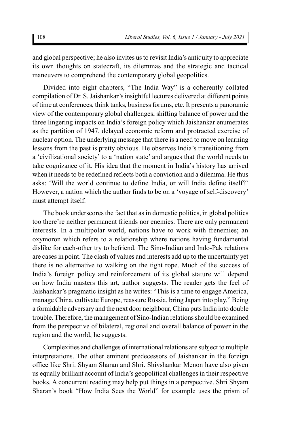and global perspective; he also invites us to revisit India's antiquity to appreciate its own thoughts on statecraft, its dilemmas and the strategic and tactical maneuvers to comprehend the contemporary global geopolitics.

Divided into eight chapters, "The India Way" is a coherently collated compilation of Dr. S. Jaishankar's insightful lectures delivered at different points of time at conferences, think tanks, business forums, etc. It presents a panoramic view of the contemporary global challenges, shifting balance of power and the three lingering impacts on India's foreign policy which Jaishankar enumerates as the partition of 1947, delayed economic reform and protracted exercise of nuclear option. The underlying message that there is a need to move on learning lessons from the past is pretty obvious. He observes India's transitioning from a 'civilizational society' to a 'nation state' and argues that the world needs to take cognizance of it. His idea that the moment in India's history has arrived when it needs to be redefined reflects both a conviction and a dilemma. He thus asks: 'Will the world continue to define India, or will India define itself?' However, a nation which the author finds to be on a 'voyage of self-discovery' must attempt itself.

The book underscores the fact that as in domestic politics, in global politics too there're neither permanent friends nor enemies. There are only permanent interests. In a multipolar world, nations have to work with frenemies; an oxymoron which refers to a relationship where nations having fundamental dislike for each-other try to befriend. The Sino-Indian and Indo-Pak relations are cases in point. The clash of values and interests add up to the uncertainty yet there is no alternative to walking on the tight rope. Much of the success of India's foreign policy and reinforcement of its global stature will depend on how India masters this art, author suggests. The reader gets the feel of Jaishankar's pragmatic insight as he writes: "This is a time to engage America, manage China, cultivate Europe, reassure Russia, bring Japan into play." Being a formidable adversary and the next door neighbour, China puts India into double trouble. Therefore, the management of Sino-Indian relations should be examined from the perspective of bilateral, regional and overall balance of power in the region and the world, he suggests.

Complexities and challenges of international relations are subject to multiple interpretations. The other eminent predecessors of Jaishankar in the foreign office like Shri. Shyam Sharan and Shri. Shivshankar Menon have also given us equally brilliant account of India's geopolitical challenges in their respective books. A concurrent reading may help put things in a perspective. Shri Shyam Sharan's book "How India Sees the World" for example uses the prism of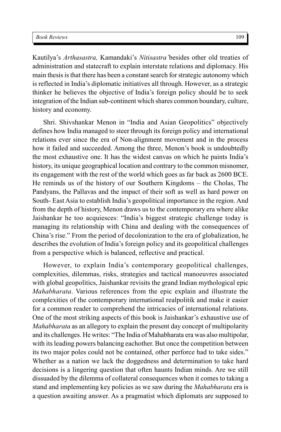Kautilya's *Arthasastra,* Kamandaki's *Nitisastra`*besides other old treaties of administration and statecraft to explain interstate relations and diplomacy. His main thesis is that there has been a constant search for strategic autonomy which is reflected in India's diplomatic initiatives all through. However, as a strategic thinker he believes the objective of India's foreign policy should be to seek integration of the Indian sub-continent which shares common boundary, culture, history and economy.

Shri. Shivshankar Menon in "India and Asian Geopolitics" objectively defines how India managed to steer through its foreign policy and international relations ever since the era of Non-alignment movement and in the process how it failed and succeeded. Among the three, Menon's book is undoubtedly the most exhaustive one. It has the widest canvas on which he paints India's history, its unique geographical location and contrary to the common misnomer, its engagement with the rest of the world which goes as far back as 2600 BCE. He reminds us of the history of our Southern Kingdoms – the Cholas, The Pandyans, the Pallavas and the impact of their soft as well as hard power on South- East Asia to establish India's geopolitical importance in the region. And from the depth of history, Menon draws us to the contemporary era where alike Jaishankar he too acquiesces: "India's biggest strategic challenge today is managing its relationship with China and dealing with the consequences of China's rise." From the period of decolonization to the era of globalization, he describes the evolution of India's foreign policy and its geopolitical challenges from a perspective which is balanced, reflective and practical.

However, to explain India's contemporary geopolitical challenges, complexities, dilemmas, risks, strategies and tactical manoeuvres associated with global geopolitics, Jaishankar revisits the grand Indian mythological epic *Mahabharata*. Various references from the epic explain and illustrate the complexities of the contemporary international realpolitik and make it easier for a common reader to comprehend the intricacies of international relations. One of the most striking aspects of this book is Jaishankar's exhaustive use of *Mahabharata* as an allegory to explain the present day concept of multipolarity and its challenges. He writes: "The India of Mahabharata era was also multipolar, with its leading powers balancing eachother. But once the competition between its two major poles could not be contained, other perforce had to take sides." Whether as a nation we lack the doggedness and determination to take hard decisions is a lingering question that often haunts Indian minds. Are we still dissuaded by the dilemma of collateral consequences when it comes to taking a stand and implementing key policies as we saw during the *Mahabharata* era is a question awaiting answer. As a pragmatist which diplomats are supposed to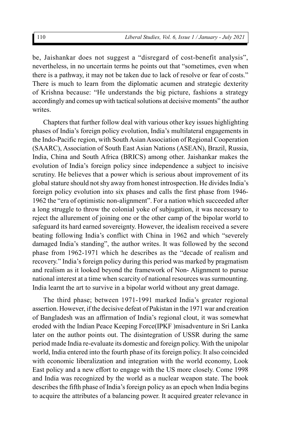be, Jaishankar does not suggest a "disregard of cost-benefit analysis", nevertheless, in no uncertain terms he points out that "sometimes, even when there is a pathway, it may not be taken due to lack of resolve or fear of costs." There is much to learn from the diplomatic acumen and strategic dexterity of Krishna because: "He understands the big picture, fashions a strategy accordingly and comes up with tactical solutions at decisive moments" the author writes.

Chapters that further follow deal with various other key issues highlighting phases of India's foreign policy evolution, India's multilateral engagements in the Indo-Pacific region, with South Asian Association of Regional Cooperation (SAARC), Association of South East Asian Nations (ASEAN), Brazil, Russia, India, China and South Africa (BRICS) among other. Jaishankar makes the evolution of India's foreign policy since independence a subject to incisive scrutiny. He believes that a power which is serious about improvement of its global stature should not shy away from honest introspection. He divides India's foreign policy evolution into six phases and calls the first phase from 1946- 1962 the "era of optimistic non-alignment". For a nation which succeeded after a long struggle to throw the colonial yoke of subjugation, it was necessary to reject the allurement of joining one or the other camp of the bipolar world to safeguard its hard earned sovereignty. However, the idealism received a severe beating following India's conflict with China in 1962 and which "severely damaged India's standing", the author writes. It was followed by the second phase from 1962-1971 which he describes as the "decade of realism and recovery." India's foreign policy during this period was marked by pragmatism and realism as it looked beyond the framework of Non- Alignment to pursue national interest at a time when scarcity of national resources was surmounting. India learnt the art to survive in a bipolar world without any great damage.

The third phase; between 1971-1991 marked India's greater regional assertion. However, if the decisive defeat of Pakistan in the 1971 war and creation of Bangladesh was an affirmation of India's regional clout, it was somewhat eroded with the Indian Peace Keeping Force(IPKF )misadventure in Sri Lanka later on the author points out. The disintegration of USSR during the same period made India re-evaluate its domestic and foreign policy. With the unipolar world, India entered into the fourth phase of its foreign policy. It also coincided with economic liberalization and integration with the world economy, Look East policy and a new effort to engage with the US more closely. Come 1998 and India was recognized by the world as a nuclear weapon state. The book describes the fifth phase of India's foreign policy as an epoch when India begins to acquire the attributes of a balancing power. It acquired greater relevance in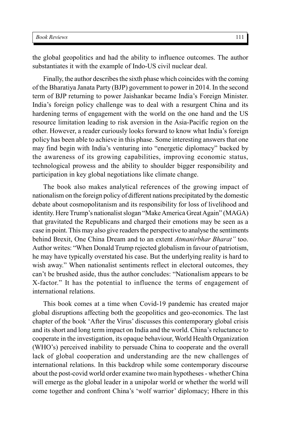the global geopolitics and had the ability to influence outcomes. The author substantiates it with the example of Indo-US civil nuclear deal.

Finally, the author describes the sixth phase which coincides with the coming of the Bharatiya Janata Party (BJP) government to power in 2014. In the second term of BJP returning to power Jaishankar became India's Foreign Minister. India's foreign policy challenge was to deal with a resurgent China and its hardening terms of engagement with the world on the one hand and the US resource limitation leading to risk aversion in the Asia-Pacific region on the other. However, a reader curiously looks forward to know what India's foreign policy has been able to achieve in this phase. Some interesting answers that one may find begin with India's venturing into "energetic diplomacy" backed by the awareness of its growing capabilities, improving economic status, technological prowess and the ability to shoulder bigger responsibility and participation in key global negotiations like climate change.

The book also makes analytical references of the growing impact of nationalism on the foreign policy of different nations precipitated by the domestic debate about cosmopolitanism and its responsibility for loss of livelihood and identity. Here Trump's nationalist slogan "Make America Great Again" (MAGA) that gravitated the Republicans and charged their emotions may be seen as a case in point. This may also give readers the perspective to analyse the sentiments behind Brexit, One China Dream and to an extent *Atmanirbhar Bharat"* too. Author writes: "When Donald Trump rejected globalism in favour of patriotism, he may have typically overstated his case. But the underlying reality is hard to wish away." When nationalist sentiments reflect in electoral outcomes, they can't be brushed aside, thus the author concludes: "Nationalism appears to be X-factor." It has the potential to influence the terms of engagement of international relations.

This book comes at a time when Covid-19 pandemic has created major global disruptions affecting both the geopolitics and geo-economics. The last chapter of the book 'After the Virus' discusses this contemporary global crisis and its short and long term impact on India and the world. China's reluctance to cooperate in the investigation, its opaque behaviour, World Health Organization (WHO's) perceived inability to persuade China to cooperate and the overall lack of global cooperation and understanding are the new challenges of international relations. In this backdrop while some contemporary discourse about the post-covid world order examine two main hypotheses - whether China will emerge as the global leader in a unipolar world or whether the world will come together and confront China's 'wolf warrior' diplomacy; Hhere in this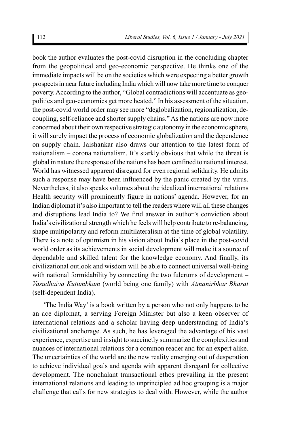book the author evaluates the post-covid disruption in the concluding chapter from the geopolitical and geo-economic perspective. He thinks one of the immediate impacts will be on the societies which were expecting a better growth prospects in near future including India which will now take more time to conquer poverty. According to the author, "Global contradictions will accentuate as geopolitics and geo-economics get more heated." In his assessment of the situation, the post-covid world order may see more "deglobalization, regionalization, decoupling, self-reliance and shorter supply chains." As the nations are now more concerned about their own respective strategic autonomy in the economic sphere, it will surely impact the process of economic globalization and the dependence on supply chain. Jaishankar also draws our attention to the latest form of nationalism – corona nationalism. It's starkly obvious that while the threat is global in nature the response of the nations has been confined to national interest. World has witnessed apparent disregard for even regional solidarity. He admits such a response may have been influenced by the panic created by the virus. Nevertheless, it also speaks volumes about the idealized international relations Health security will prominently figure in nations' agenda. However, for an Indian diplomat it's also important to tell the readers where will all these changes and disruptions lead India to? We find answer in author's conviction about India's civilizational strength which he feels will help contribute to re-balancing, shape multipolarity and reform multilateralism at the time of global volatility. There is a note of optimism in his vision about India's place in the post-covid world order as its achievements in social development will make it a source of dependable and skilled talent for the knowledge economy. And finally, its civilizational outlook and wisdom will be able to connect universal well-being with national formidability by connecting the two fulcrums of development – *Vasudhaiva Kutumbkam* (world being one family) with *Atmanirbhar Bharat* (self-dependent India).

'The India Way' is a book written by a person who not only happens to be an ace diplomat, a serving Foreign Minister but also a keen observer of international relations and a scholar having deep understanding of India's civilizational anchorage. As such, he has leveraged the advantage of his vast experience, expertise and insight to succinctly summarize the complexities and nuances of international relations for a common reader and for an expert alike. The uncertainties of the world are the new reality emerging out of desperation to achieve individual goals and agenda with apparent disregard for collective development. The nonchalant transactional ethos prevailing in the present international relations and leading to unprincipled ad hoc grouping is a major challenge that calls for new strategies to deal with. However, while the author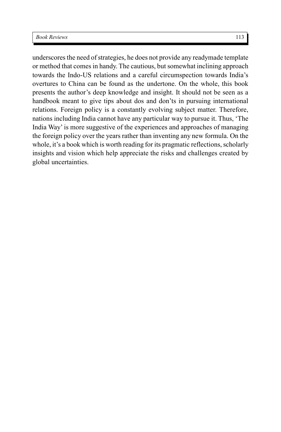underscores the need of strategies, he does not provide any readymade template or method that comes in handy. The cautious, but somewhat inclining approach towards the Indo-US relations and a careful circumspection towards India's overtures to China can be found as the undertone. On the whole, this book presents the author's deep knowledge and insight. It should not be seen as a handbook meant to give tips about dos and don'ts in pursuing international relations. Foreign policy is a constantly evolving subject matter. Therefore, nations including India cannot have any particular way to pursue it. Thus, 'The India Way' is more suggestive of the experiences and approaches of managing the foreign policy over the years rather than inventing any new formula. On the whole, it's a book which is worth reading for its pragmatic reflections, scholarly insights and vision which help appreciate the risks and challenges created by global uncertainties.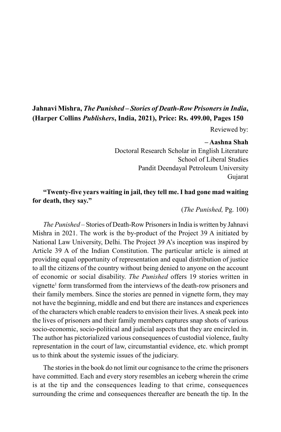## **Jahnavi Mishra,** *The Punished – Stories of Death-Row Prisoners in India***, (Harper Collins** *Publishers***, India, 2021), Price: Rs. 499.00, Pages 150**

Reviewed by:

### **– Aashna Shah**

Doctoral Research Scholar in English Literature School of Liberal Studies Pandit Deendayal Petroleum University Gujarat

## **"Twenty-five years waiting in jail, they tell me. I had gone mad waiting for death, they say."**

(*The Punished,* Pg. 100)

*The Punished* – Stories of Death-Row Prisoners in India is written by Jahnavi Mishra in 2021. The work is the by-product of the Project 39 A initiated by National Law University, Delhi. The Project 39 A's inception was inspired by Article 39 A of the Indian Constitution. The particular article is aimed at providing equal opportunity of representation and equal distribution of justice to all the citizens of the country without being denied to anyone on the account of economic or social disability. *The Punished* offers 19 stories written in vignette<sup>1</sup> form transformed from the interviews of the death-row prisoners and their family members. Since the stories are penned in vignette form, they may not have the beginning, middle and end but there are instances and experiences of the characters which enable readers to envision their lives. A sneak peek into the lives of prisoners and their family members captures snap shots of various socio-economic, socio-political and judicial aspects that they are encircled in. The author has pictorialized various consequences of custodial violence, faulty representation in the court of law, circumstantial evidence, etc. which prompt us to think about the systemic issues of the judiciary.

The stories in the book do not limit our cognisance to the crime the prisoners have committed. Each and every story resembles an iceberg wherein the crime is at the tip and the consequences leading to that crime, consequences surrounding the crime and consequences thereafter are beneath the tip. In the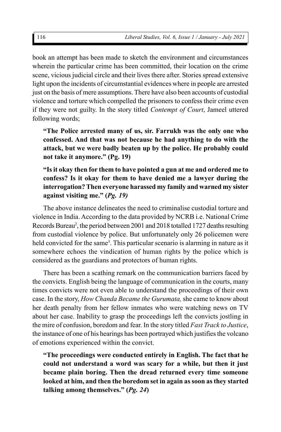book an attempt has been made to sketch the environment and circumstances wherein the particular crime has been committed, their location on the crime scene, vicious judicial circle and their lives there after. Stories spread extensive light upon the incidents of circumstantial evidences where in people are arrested just on the basis of mere assumptions. There have also been accounts of custodial violence and torture which compelled the prisoners to confess their crime even if they were not guilty. In the story titled *Contempt of Court*, Jameel uttered following words;

**"The Police arrested many of us, sir. Farrukh was the only one who confessed. And that was not because he had anything to do with the attack, but we were badly beaten up by the police. He probably could not take it anymore." (Pg. 19)**

## **"Is it okay then for them to have pointed a gun at me and ordered me to confess? Is it okay for them to have denied me a lawyer during the interrogation? Then everyone harassed my family and warned my sister against visiting me." (***Pg. 19)*

The above instance delineates the need to criminalise custodial torture and violence in India. According to the data provided by NCRB i.e. National Crime Records Bureau<sup>2</sup>, the period between 2001 and 2018 totalled 1727 deaths resulting from custodial violence by police. But unfortunately only 26 policemen were held convicted for the same<sup>3</sup>. This particular scenario is alarming in nature as it somewhere echoes the vindication of human rights by the police which is considered as the guardians and protectors of human rights.

There has been a scathing remark on the communication barriers faced by the convicts. English being the language of communication in the courts, many times convicts were not even able to understand the proceedings of their own case. In the story, *How Chanda Became the Gurumata,* she came to know about her death penalty from her fellow inmates who were watching news on TV about her case. Inability to grasp the proceedings left the convicts jostling in the mire of confusion, boredom and fear. In the story titled *Fast Track to Justice*, the instance of one of his hearings has been portrayed which justifies the volcano of emotions experienced within the convict.

**"The proceedings were conducted entirely in English. The fact that he could not understand a word was scary for a while, but then it just became plain boring. Then the dread returned every time someone looked at him, and then the boredom set in again as soon as they started talking among themselves." (***Pg. 24***)**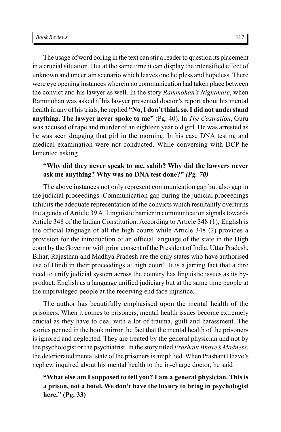The usage of word boring in the text can stir a reader to question its placement in a crucial situation. But at the same time it can display the intensified effect of unknown and uncertain scenario which leaves one helpless and hopeless. There were eye opening instances wherein no communication had taken place between the convict and his lawyer as well. In the story *Rammohan's Nightmare*, when Rammohan was asked if his lawyer presented doctor's report about his mental health in any of his trials, he replied **"No, I don't think so. I did not understand anything. The lawyer never spoke to me"** (Pg. 40). In *The Castration*, Guru was accused of rape and murder of an eighteen year old girl. He was arrested as he was seen dragging that girl in the morning. In his case DNA testing and medical examination were not conducted. While conversing with DCP he lamented asking

#### **"Why did they never speak to me, sahib? Why did the lawyers never ask me anything? Why was no DNA test done?"** *(Pg. 70)*

The above instances not only represent communication gap but also gap in the judicial proceedings. Communication gap during the judicial proceedings inhibits the adequate representation of the convicts which resultantly overturns the agenda of Article 39 A. Linguistic barrier in communication signals towards Article 348 of the Indian Constitution. According to Article 348 (1), English is the official language of all the high courts while Article 348 (2) provides a provision for the introduction of an official language of the state in the High court by the Governor with prior consent of the President of India. Uttar Pradesh, Bihar, Rajasthan and Madhya Pradesh are the only states who have authorised use of Hindi in their proceedings at high court<sup>4</sup>. It is a jarring fact that a dire need to unify judicial system across the country has linguistic issues as its byproduct. English as a language unified judiciary but at the same time people at the unprivileged people at the receiving end face injustice.

The author has beautifully emphasised upon the mental health of the prisoners. When it comes to prisoners, mental health issues become extremely crucial as they have to deal with a lot of trauma, guilt and harassment. The stories penned in the book mirror the fact that the mental health of the prisoners is ignored and neglected. They are treated by the general physician and not by the psychologist or the psychiatrist. In the story titled *Prashant Bhave's Madness*, the deteriorated mental state of the prisoners is amplified. When Prashant Bhave's nephew inquired about his mental health to the in-charge doctor, he said

## **"What else am I supposed to tell you? I am a general physician. This is a prison, not a hotel. We don't have the luxury to bring in psychologist here." (Pg. 33)**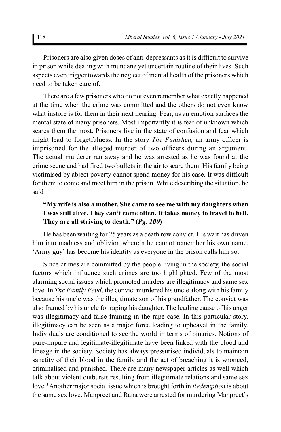Prisoners are also given doses of anti-depressants as it is difficult to survive in prison while dealing with mundane yet uncertain routine of their lives. Such aspects even trigger towards the neglect of mental health of the prisoners which need to be taken care of.

There are a few prisoners who do not even remember what exactly happened at the time when the crime was committed and the others do not even know what instore is for them in their next hearing. Fear, as an emotion surfaces the mental state of many prisoners. Most importantly it is fear of unknown which scares them the most. Prisoners live in the state of confusion and fear which might lead to forgetfulness. In the story *The Punished,* an army officer is imprisoned for the alleged murder of two officers during an argument. The actual murderer ran away and he was arrested as he was found at the crime scene and had fired two bullets in the air to scare them. His family being victimised by abject poverty cannot spend money for his case. It was difficult for them to come and meet him in the prison. While describing the situation, he said

## **"My wife is also a mother. She came to see me with my daughters when I was still alive. They can't come often. It takes money to travel to hell. They are all striving to death." (***Pg. 100***)**

He has been waiting for 25 years as a death row convict. His wait has driven him into madness and oblivion wherein he cannot remember his own name. 'Army guy' has become his identity as everyone in the prison calls him so.

Since crimes are committed by the people living in the society, the social factors which influence such crimes are too highlighted. Few of the most alarming social issues which promoted murders are illegitimacy and same sex love. In *The Family Feud*, the convict murdered his uncle along with his family because his uncle was the illegitimate son of his grandfather. The convict was also framed by his uncle for raping his daughter. The leading cause of his anger was illegitimacy and false framing in the rape case. In this particular story, illegitimacy can be seen as a major force leading to upheaval in the family. Individuals are conditioned to see the world in terms of binaries. Notions of pure-impure and legitimate-illegitimate have been linked with the blood and lineage in the society. Society has always pressurised individuals to maintain sanctity of their blood in the family and the act of breaching it is wronged, criminalised and punished. There are many newspaper articles as well which talk about violent outbursts resulting from illegitimate relations and same sex love.<sup>5</sup> Another major social issue which is brought forth in *Redemption* is about the same sex love. Manpreet and Rana were arrested for murdering Manpreet's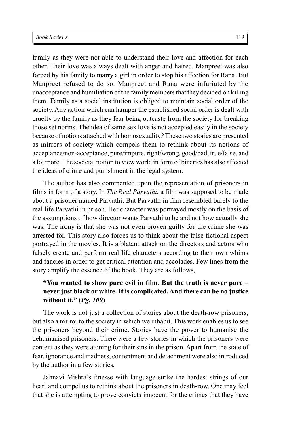family as they were not able to understand their love and affection for each other. Their love was always dealt with anger and hatred. Manpreet was also forced by his family to marry a girl in order to stop his affection for Rana. But Manpreet refused to do so. Manpreet and Rana were infuriated by the unacceptance and humiliation of the family members that they decided on killing them. Family as a social institution is obliged to maintain social order of the society. Any action which can hamper the established social order is dealt with cruelty by the family as they fear being outcaste from the society for breaking those set norms. The idea of same sex love is not accepted easily in the society because of notions attached with homosexuality.<sup>6</sup> These two stories are presented as mirrors of society which compels them to rethink about its notions of acceptance/non-acceptance, pure/impure, right/wrong, good/bad, true/false, and a lot more. The societal notion to view world in form of binaries has also affected the ideas of crime and punishment in the legal system.

The author has also commented upon the representation of prisoners in films in form of a story. In *The Real Parvathi*, a film was supposed to be made about a prisoner named Parvathi. But Parvathi in film resembled barely to the real life Parvathi in prison. Her character was portrayed mostly on the basis of the assumptions of how director wants Parvathi to be and not how actually she was. The irony is that she was not even proven guilty for the crime she was arrested for. This story also forces us to think about the false fictional aspect portrayed in the movies. It is a blatant attack on the directors and actors who falsely create and perform real life characters according to their own whims and fancies in order to get critical attention and accolades. Few lines from the story amplify the essence of the book. They are as follows,

## **"You wanted to show pure evil in film. But the truth is never pure – never just black or white. It is complicated. And there can be no justice without it." (***Pg. 109***)**

The work is not just a collection of stories about the death-row prisoners, but also a mirror to the society in which we inhabit. This work enables us to see the prisoners beyond their crime. Stories have the power to humanise the dehumanised prisoners. There were a few stories in which the prisoners were content as they were atoning for their sins in the prison. Apart from the state of fear, ignorance and madness, contentment and detachment were also introduced by the author in a few stories.

Jahnavi Mishra's finesse with language strike the hardest strings of our heart and compel us to rethink about the prisoners in death-row. One may feel that she is attempting to prove convicts innocent for the crimes that they have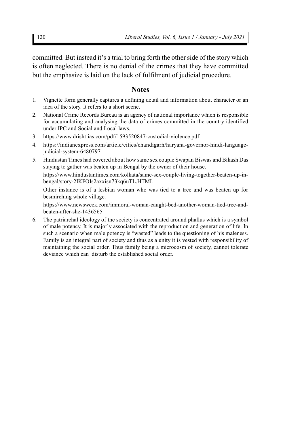committed. But instead it's a trial to bring forth the other side of the story which is often neglected. There is no denial of the crimes that they have committed but the emphasize is laid on the lack of fulfilment of judicial procedure.

#### **Notes**

- 1. Vignette form generally captures a defining detail and information about character or an idea of the story. It refers to a short scene.
- 2. National Crime Records Bureau is an agency of national importance which is responsible for accumulating and analysing the data of crimes committed in the country identified under IPC and Social and Local laws.
- 3. https://www.drishtiias.com/pdf/1593520847-custodial-violence.pdf
- 4. https://indianexpress.com/article/cities/chandigarh/haryana-governor-hindi-languagejudicial-system-6480797
- 5. Hindustan Times had covered about how same sex couple Swapan Biswas and Bikash Das staying to gather was beaten up in Bengal by the owner of their house. https://www.hindustantimes.com/kolkata/same-sex-couple-living-together-beaten-up-inbengal/story-2IKFOIs2axxisn73kq6uTL.HTML

Other instance is of a lesbian woman who was tied to a tree and was beaten up for besmirching whole village.

https://www.newsweek.com/immoral-woman-caught-bed-another-woman-tied-tree-andbeaten-after-she-1436565

6. The patriarchal ideology of the society is concentrated around phallus which is a symbol of male potency. It is majorly associated with the reproduction and generation of life. In such a scenario when male potency is "wasted" leads to the questioning of his maleness. Family is an integral part of society and thus as a unity it is vested with responsibility of maintaining the social order. Thus family being a microcosm of society, cannot tolerate deviance which can disturb the established social order.